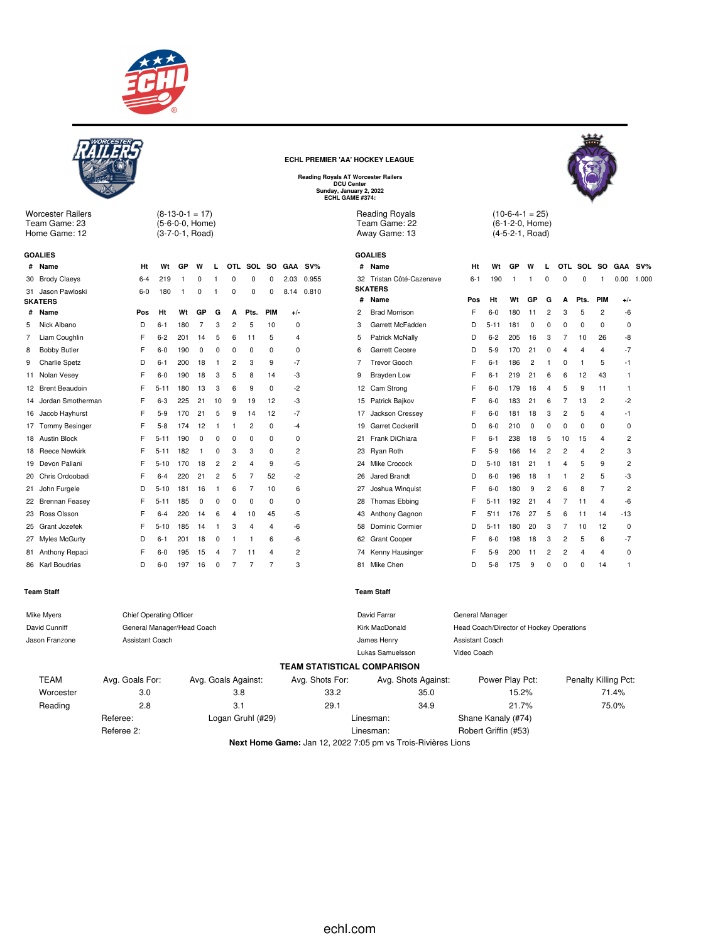



**Next Home Game:** Jan 12, 2022 7:05 pm vs Trois-Rivières Lions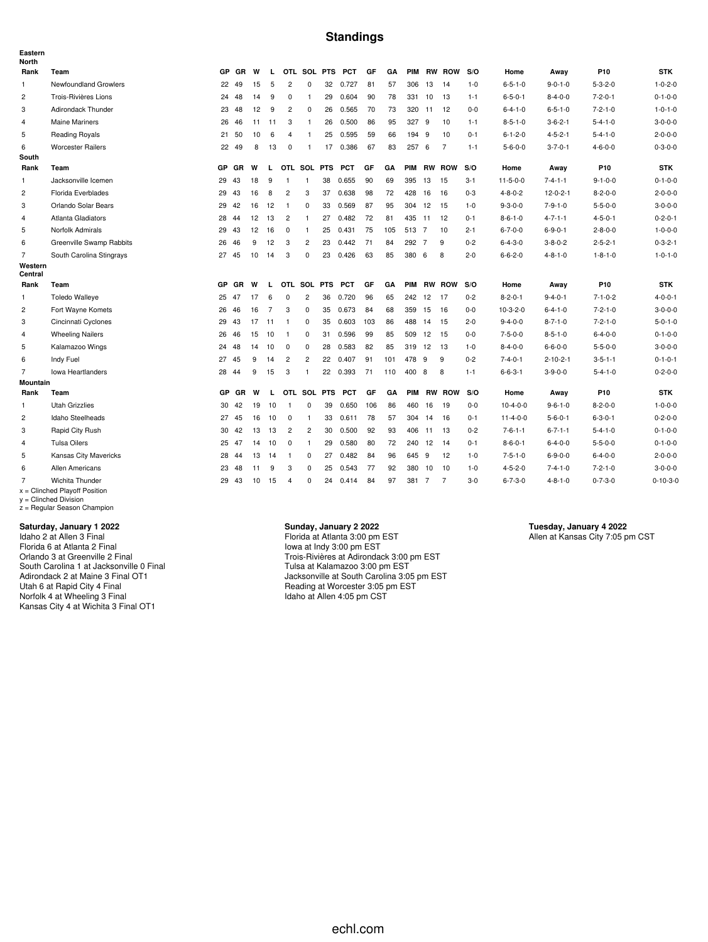## **Standings**

| Eastern<br><b>North</b> |                                 |           |           |    |                |                |                |    |            |     |     |            |                |                |         |                  |                  |                 |                  |
|-------------------------|---------------------------------|-----------|-----------|----|----------------|----------------|----------------|----|------------|-----|-----|------------|----------------|----------------|---------|------------------|------------------|-----------------|------------------|
| Rank                    | Team                            | GP        | <b>GR</b> | W  | L.             |                | OTL SOL PTS    |    | <b>PCT</b> | GF  | GA  | <b>PIM</b> |                | <b>RW ROW</b>  | S/O     | Home             | Away             | P10             | <b>STK</b>       |
| 1                       | Newfoundland Growlers           | 22        | 49        | 15 | 5              | $\overline{c}$ | 0              | 32 | 0.727      | 81  | 57  | 306        | 13             | 14             | $1 - 0$ | $6 - 5 - 1 - 0$  | $9 - 0 - 1 - 0$  | $5 - 3 - 2 - 0$ | $1 - 0 - 2 - 0$  |
| $\overline{c}$          | Trois-Rivières Lions            | 24        | 48        | 14 | 9              | $\mathbf 0$    | $\mathbf{1}$   | 29 | 0.604      | 90  | 78  | 331        | 10             | 13             | $1 - 1$ | $6 - 5 - 0 - 1$  | $8 - 4 - 0 - 0$  | $7 - 2 - 0 - 1$ | $0 - 1 - 0 - 0$  |
| 3                       | Adirondack Thunder              | 23        | 48        | 12 | 9              | $\overline{2}$ | 0              | 26 | 0.565      | 70  | 73  | 320 11     |                | 12             | $0 - 0$ | $6 - 4 - 1 - 0$  | $6 - 5 - 1 - 0$  | $7 - 2 - 1 - 0$ | $1 - 0 - 1 - 0$  |
| 4                       | <b>Maine Mariners</b>           | 26        | 46        | 11 | 11             | 3              | $\mathbf{1}$   | 26 | 0.500      | 86  | 95  | 327        | 9              | 10             | $1 - 1$ | $8 - 5 - 1 - 0$  | $3 - 6 - 2 - 1$  | $5 - 4 - 1 - 0$ | $3 - 0 - 0 - 0$  |
| 5                       | <b>Reading Royals</b>           | 21        | 50        | 10 | 6              | 4              | -1             | 25 | 0.595      | 59  | 66  | 194        | 9              | 10             | $0 - 1$ | $6 - 1 - 2 - 0$  | $4 - 5 - 2 - 1$  | $5 - 4 - 1 - 0$ | $2 - 0 - 0 - 0$  |
| 6                       | <b>Worcester Railers</b>        | 22        | 49        | 8  | 13             | $\mathbf 0$    | $\overline{1}$ | 17 | 0.386      | 67  | 83  | 257        | - 6            | $\overline{7}$ | $1 - 1$ | $5 - 6 - 0 - 0$  | $3 - 7 - 0 - 1$  | $4 - 6 - 0 - 0$ | $0 - 3 - 0 - 0$  |
| South                   |                                 |           |           |    |                |                |                |    |            |     |     |            |                |                |         |                  |                  |                 |                  |
| Rank                    | Team                            | <b>GP</b> | <b>GR</b> | W  | L              |                | OTL SOL PTS    |    | <b>PCT</b> | GF  | GΑ  | <b>PIM</b> |                | <b>RW ROW</b>  | S/O     | Home             | Away             | P <sub>10</sub> | <b>STK</b>       |
| 1                       | Jacksonville Icemen             | 29        | 43        | 18 | 9              | $\mathbf{1}$   | $\mathbf{1}$   | 38 | 0.655      | 90  | 69  | 395        | 13             | 15             | $3 - 1$ | $11 - 5 - 0 - 0$ | $7 - 4 - 1 - 1$  | $9 - 1 - 0 - 0$ | $0 - 1 - 0 - 0$  |
| $\overline{c}$          | Florida Everblades              | 29        | 43        | 16 | 8              | $\overline{2}$ | 3              | 37 | 0.638      | 98  | 72  | 428        | 16             | 16             | $0 - 3$ | $4 - 8 - 0 - 2$  | $12 - 0 - 2 - 1$ | $8 - 2 - 0 - 0$ | $2 - 0 - 0 - 0$  |
| 3                       | Orlando Solar Bears             | 29        | 42        | 16 | 12             | $\overline{1}$ | 0              | 33 | 0.569      | 87  | 95  | 304        | 12             | 15             | $1 - 0$ | $9 - 3 - 0 - 0$  | $7 - 9 - 1 - 0$  | $5 - 5 - 0 - 0$ | $3 - 0 - 0 - 0$  |
| $\overline{4}$          | Atlanta Gladiators              |           | 28 44     | 12 | 13             | $\overline{2}$ | $\mathbf{1}$   | 27 | 0.482      | 72  | 81  | 435        | 11             | 12             | $0 - 1$ | $8 - 6 - 1 - 0$  | $4 - 7 - 1 - 1$  | $4 - 5 - 0 - 1$ | $0 - 2 - 0 - 1$  |
| 5                       | Norfolk Admirals                | 29 43     |           | 12 | 16             | $\mathbf 0$    | $\mathbf{1}$   | 25 | 0.431      | 75  | 105 | 513 7      |                | 10             | $2 - 1$ | $6 - 7 - 0 - 0$  | $6 - 9 - 0 - 1$  | $2 - 8 - 0 - 0$ | $1 - 0 - 0 - 0$  |
| 6                       | Greenville Swamp Rabbits        | 26        | 46        | 9  | 12             | 3              | $\overline{c}$ | 23 | 0.442      | 71  | 84  | 292        | $\overline{7}$ | 9              | $0 - 2$ | $6 - 4 - 3 - 0$  | $3 - 8 - 0 - 2$  | $2 - 5 - 2 - 1$ | $0 - 3 - 2 - 1$  |
| $\overline{7}$          | South Carolina Stingrays        | 27 45     |           | 10 | 14             | 3              | 0              | 23 | 0.426      | 63  | 85  | 380        | 6              | 8              | $2 - 0$ | $6 - 6 - 2 - 0$  | $4 - 8 - 1 - 0$  | $1 - 8 - 1 - 0$ | $1 - 0 - 1 - 0$  |
| Western<br>Central      |                                 |           |           |    |                |                |                |    |            |     |     |            |                |                |         |                  |                  |                 |                  |
| Rank                    | Team                            | <b>GP</b> | GR        | W  | L.             |                | OTL SOL PTS    |    | <b>PCT</b> | GF  | GA  |            |                | PIM RW ROW     | S/O     | Home             | Away             | P <sub>10</sub> | <b>STK</b>       |
| $\mathbf{1}$            | <b>Toledo Walleye</b>           | 25 47     |           | 17 | 6              | 0              | $\overline{c}$ | 36 | 0.720      | 96  | 65  | 242        | 12             | 17             | $0 - 2$ | $8 - 2 - 0 - 1$  | $9 - 4 - 0 - 1$  | $7 - 1 - 0 - 2$ | $4 - 0 - 0 - 1$  |
| $\overline{c}$          | Fort Wayne Komets               | 26        | 46        | 16 | $\overline{7}$ | 3              | $\mathbf 0$    | 35 | 0.673      | 84  | 68  | 359        | 15             | 16             | $0-0$   | $10-3-2-0$       | $6 - 4 - 1 - 0$  | $7 - 2 - 1 - 0$ | $3 - 0 - 0 - 0$  |
| 3                       | Cincinnati Cyclones             | 29        | 43        | 17 | 11             | $\overline{1}$ | 0              | 35 | 0.603      | 103 | 86  | 488        | 14             | 15             | $2 - 0$ | $9 - 4 - 0 - 0$  | $8 - 7 - 1 - 0$  | $7 - 2 - 1 - 0$ | $5 - 0 - 1 - 0$  |
| 4                       | <b>Wheeling Nailers</b>         | 26        | 46        | 15 | 10             | $\overline{1}$ | $\mathbf 0$    | 31 | 0.596      | 99  | 85  | 509        | 12             | 15             | $0-0$   | $7 - 5 - 0 - 0$  | $8 - 5 - 1 - 0$  | $6 - 4 - 0 - 0$ | $0 - 1 - 0 - 0$  |
| 5                       | Kalamazoo Wings                 |           | 24 48     | 14 | 10             | 0              | $\mathbf 0$    | 28 | 0.583      | 82  | 85  | 319        | 12             | 13             | $1 - 0$ | $8 - 4 - 0 - 0$  | $6 - 6 - 0 - 0$  | $5 - 5 - 0 - 0$ | $3 - 0 - 0 - 0$  |
| 6                       | Indy Fuel                       | 27        | 45        | 9  | 14             | $\overline{c}$ | $\overline{2}$ | 22 | 0.407      | 91  | 101 | 478        | 9              | 9              | $0 - 2$ | $7 - 4 - 0 - 1$  | $2 - 10 - 2 - 1$ | $3 - 5 - 1 - 1$ | $0 - 1 - 0 - 1$  |
| $\overline{7}$          | <b>Iowa Heartlanders</b>        | 28        | 44        | 9  | 15             | 3              | $\overline{1}$ | 22 | 0.393      | 71  | 110 | 400        | 8              | 8              | $1 - 1$ | $6 - 6 - 3 - 1$  | $3 - 9 - 0 - 0$  | $5 - 4 - 1 - 0$ | $0 - 2 - 0 - 0$  |
| <b>Mountain</b>         |                                 |           |           |    |                |                |                |    |            |     |     |            |                |                |         |                  |                  |                 |                  |
| Rank                    | Team                            | GP        | GR        | W  | L.             |                | OTL SOL PTS    |    | <b>PCT</b> | GF  | GA  |            |                | PIM RW ROW     | S/O     | Home             | Away             | P <sub>10</sub> | <b>STK</b>       |
| $\mathbf{1}$            | <b>Utah Grizzlies</b>           | 30        | 42        | 19 | 10             | $\overline{1}$ | $\mathbf 0$    | 39 | 0.650      | 106 | 86  | 460        | 16             | 19             | $0-0$   | $10-4-0-0$       | $9 - 6 - 1 - 0$  | $8 - 2 - 0 - 0$ | $1 - 0 - 0 - 0$  |
| $\overline{c}$          | Idaho Steelheads                | 27        | 45        | 16 | 10             | 0              | $\mathbf{1}$   | 33 | 0.611      | 78  | 57  | 304        | 14             | 16             | $0 - 1$ | $11 - 4 - 0 - 0$ | $5 - 6 - 0 - 1$  | $6 - 3 - 0 - 1$ | $0 - 2 - 0 - 0$  |
| 3                       | Rapid City Rush                 | 30        | 42        | 13 | 13             | $\overline{c}$ | 2              | 30 | 0.500      | 92  | 93  | 406 11     |                | 13             | $0 - 2$ | $7 - 6 - 1 - 1$  | $6 - 7 - 1 - 1$  | $5 - 4 - 1 - 0$ | $0 - 1 - 0 - 0$  |
| $\overline{4}$          | <b>Tulsa Oilers</b>             | 25        | 47        | 14 | 10             | $\mathbf 0$    | $\mathbf{1}$   | 29 | 0.580      | 80  | 72  | 240        | 12             | 14             | $0 - 1$ | $8 - 6 - 0 - 1$  | $6 - 4 - 0 - 0$  | $5 - 5 - 0 - 0$ | $0 - 1 - 0 - 0$  |
| 5                       | Kansas City Mavericks           | 28        | 44        | 13 | 14             | $\overline{1}$ | 0              | 27 | 0.482      | 84  | 96  | 645        | 9              | 12             | $1 - 0$ | $7 - 5 - 1 - 0$  | $6 - 9 - 0 - 0$  | $6 - 4 - 0 - 0$ | $2 - 0 - 0 - 0$  |
| 6                       | Allen Americans                 | 23        | 48        | 11 | 9              | 3              | $\mathbf 0$    | 25 | 0.543      | -77 | 92  | 380        | 10             | 10             | $1 - 0$ | $4 - 5 - 2 - 0$  | $7 - 4 - 1 - 0$  | $7 - 2 - 1 - 0$ | $3 - 0 - 0 - 0$  |
| $\overline{7}$          | Wichita Thunder                 | 29        | 43        | 10 | 15             | $\overline{4}$ | $\mathbf 0$    | 24 | 0.414      | 84  | 97  | 381        | 7              | $\overline{7}$ | $3-0$   | $6 - 7 - 3 - 0$  | $4 - 8 - 1 - 0$  | $0 - 7 - 3 - 0$ | $0 - 10 - 3 - 0$ |
|                         | $x =$ Clinched Playoff Position |           |           |    |                |                |                |    |            |     |     |            |                |                |         |                  |                  |                 |                  |

x = Clinched Playoff Position y = Clinched Division z = Regular Season Champion

### **Saturday, January 1 2022**

Idaho 2 at Allen 3 Final Florida 6 at Atlanta 2 Final Orlando 3 at Greenville 2 Final South Carolina 1 at Jacksonville 0 Final Adirondack 2 at Maine 3 Final OT1 Utah 6 at Rapid City 4 Final Norfolk 4 at Wheeling 3 Final Kansas City 4 at Wichita 3 Final OT1

### **Sunday, January 2 2022**

Florida at Atlanta 3:00 pm EST Iowa at Indy 3:00 pm EST Trois-Rivières at Adirondack 3:00 pm EST Tulsa at Kalamazoo 3:00 pm EST Jacksonville at South Carolina 3:05 pm EST Reading at Worcester 3:05 pm EST Idaho at Allen 4:05 pm CST

**Tuesday, January 4 2022** Allen at Kansas City 7:05 pm CST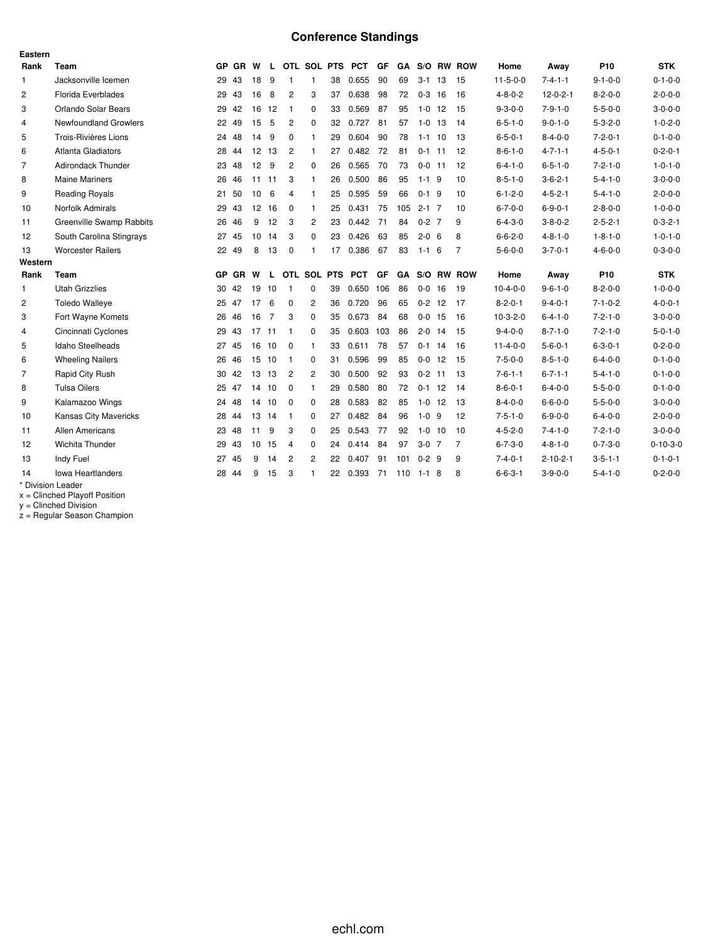# **Conference Standings**

| Eastern        |                           |           |           |       |                |                |              |    |                 |           |           |             |    |                      |                  |                  |                 |                  |
|----------------|---------------------------|-----------|-----------|-------|----------------|----------------|--------------|----|-----------------|-----------|-----------|-------------|----|----------------------|------------------|------------------|-----------------|------------------|
| Rank           | Team                      |           | GP GR W   |       | L.             |                |              |    | OTL SOL PTS PCT | <b>GF</b> |           |             |    | <b>GA S/O RW ROW</b> | Home             | Away             | P <sub>10</sub> | <b>STK</b>       |
| $\mathbf{1}$   | Jacksonville Icemen       | 29        | 43        | 18    | 9              | $\mathbf{1}$   | $\mathbf{1}$ | 38 | 0.655           | 90        | 69        | $3 - 1$     | 13 | 15                   | $11 - 5 - 0 - 0$ | $7 - 4 - 1 - 1$  | $9 - 1 - 0 - 0$ | $0 - 1 - 0 - 0$  |
| $\overline{c}$ | Florida Everblades        | 29        | 43        | 16    | 8              | 2              | 3            | 37 | 0.638           | 98        | 72        | $0-3$ 16    |    | 16                   | $4 - 8 - 0 - 2$  | $12 - 0 - 2 - 1$ | $8 - 2 - 0 - 0$ | $2 - 0 - 0 - 0$  |
| 3              | Orlando Solar Bears       | 29        | 42        | 16    | 12             | $\mathbf{1}$   | 0            | 33 | 0.569           | 87        | 95        | $1 - 0$     | 12 | 15                   | $9 - 3 - 0 - 0$  | $7 - 9 - 1 - 0$  | $5 - 5 - 0 - 0$ | $3 - 0 - 0 - 0$  |
| $\overline{4}$ | Newfoundland Growlers     | 22        | 49        | 15    | 5              | 2              | 0            | 32 | 0.727           | 81        | 57        | $1 - 0$ 13  |    | 14                   | $6 - 5 - 1 - 0$  | $9 - 0 - 1 - 0$  | $5 - 3 - 2 - 0$ | $1 - 0 - 2 - 0$  |
| 5              | Trois-Rivières Lions      |           | 24 48     | 14    | 9              | $\mathbf 0$    | $\mathbf{1}$ | 29 | 0.604           | 90        | 78        | $1 - 1$ 10  |    | 13                   | $6 - 5 - 0 - 1$  | $8 - 4 - 0 - 0$  | $7 - 2 - 0 - 1$ | $0 - 1 - 0 - 0$  |
| 6              | <b>Atlanta Gladiators</b> | 28        | -44       | 12 13 |                | $\overline{c}$ | 1            | 27 | 0.482           | 72        | 81        | $0-1$ 11    |    | 12                   | $8 - 6 - 1 - 0$  | $4 - 7 - 1 - 1$  | $4 - 5 - 0 - 1$ | $0 - 2 - 0 - 1$  |
| 7              | <b>Adirondack Thunder</b> | 23        | 48        | 12    | 9              | $\overline{2}$ | $\mathbf 0$  | 26 | 0.565           | 70        | 73        | $0 - 0$ 11  |    | 12                   | $6 - 4 - 1 - 0$  | $6 - 5 - 1 - 0$  | $7 - 2 - 1 - 0$ | $1 - 0 - 1 - 0$  |
| 8              | <b>Maine Mariners</b>     | 26        | 46        | 11    | -11            | 3              | $\mathbf{1}$ | 26 | 0.500           | 86        | 95        | $1 - 1$ 9   |    | 10                   | $8 - 5 - 1 - 0$  | $3 - 6 - 2 - 1$  | $5 - 4 - 1 - 0$ | $3 - 0 - 0 - 0$  |
| 9              | <b>Reading Royals</b>     | 21        | 50        | 10    | 6              | $\overline{4}$ | $\mathbf{1}$ | 25 | 0.595           | 59        | 66        | $0-1$ 9     |    | 10                   | $6 - 1 - 2 - 0$  | $4 - 5 - 2 - 1$  | $5 - 4 - 1 - 0$ | $2 - 0 - 0 - 0$  |
| 10             | Norfolk Admirals          | 29        | 43        | 12    | 16             | $\mathbf{0}$   | $\mathbf{1}$ | 25 | 0.431           | 75        | 105       | $2 - 1$ 7   |    | 10                   | $6 - 7 - 0 - 0$  | $6 - 9 - 0 - 1$  | $2 - 8 - 0 - 0$ | $1 - 0 - 0 - 0$  |
| 11             | Greenville Swamp Rabbits  | 26        | 46        | 9     | 12             | 3              | 2            | 23 | 0.442           | 71        | 84        | $0 - 2$ 7   |    | 9                    | $6 - 4 - 3 - 0$  | $3 - 8 - 0 - 2$  | $2 - 5 - 2 - 1$ | $0 - 3 - 2 - 1$  |
| 12             | South Carolina Stingrays  | 27        | 45        | 10    | 14             | 3              | $\mathbf 0$  | 23 | 0.426           | 63        | 85        | $2 - 0 = 6$ |    | 8                    | $6 - 6 - 2 - 0$  | $4 - 8 - 1 - 0$  | $1 - 8 - 1 - 0$ | $1 - 0 - 1 - 0$  |
| 13             | <b>Worcester Railers</b>  |           | 22 49     | 8     | 13             | 0              | $\mathbf{1}$ | 17 | 0.386           | 67        | 83        | $1 - 1 = 6$ |    | $\overline{7}$       | $5 - 6 - 0 - 0$  | $3 - 7 - 0 - 1$  | $4 - 6 - 0 - 0$ | $0 - 3 - 0 - 0$  |
| Western        |                           |           |           |       |                |                |              |    |                 |           |           |             |    |                      |                  |                  |                 |                  |
| Rank           | <b>Team</b>               | <b>GP</b> | <b>GR</b> | W     | L              |                | OTL SOL PTS  |    | <b>PCT</b>      | GF        | <b>GA</b> |             |    | S/O RW ROW           | Home             | Away             | P <sub>10</sub> | <b>STK</b>       |
| $\mathbf{1}$   | <b>Utah Grizzlies</b>     |           | 30 42     | 19    | 10             | $\mathbf{1}$   | 0            | 39 | 0.650 106       |           | 86        | $0 - 0$ 16  |    | 19                   | $10-4-0-0$       | $9 - 6 - 1 - 0$  | $8 - 2 - 0 - 0$ | $1 - 0 - 0 - 0$  |
| $\overline{c}$ | <b>Toledo Walleye</b>     |           | 25 47     | 17    | 6              | $\Omega$       | 2            | 36 | 0.720           | 96        | 65        | $0 - 2$ 12  |    | -17                  | $8 - 2 - 0 - 1$  | $9 - 4 - 0 - 1$  | $7 - 1 - 0 - 2$ | $4 - 0 - 0 - 1$  |
| 3              | Fort Wayne Komets         | 26        | 46        | 16    | $\overline{7}$ | 3              | $\mathbf 0$  | 35 | 0.673           | 84        | 68        | $0 - 0$ 15  |    | 16                   | $10-3-2-0$       | $6 - 4 - 1 - 0$  | $7 - 2 - 1 - 0$ | $3 - 0 - 0 - 0$  |
| $\overline{4}$ | Cincinnati Cyclones       | 29        | 43        | 17    | 11             | $\overline{1}$ | 0            | 35 | 0.603           | 103       | 86        | $2 - 0$ 14  |    | 15                   | $9 - 4 - 0 - 0$  | $8 - 7 - 1 - 0$  | $7 - 2 - 1 - 0$ | $5 - 0 - 1 - 0$  |
| 5              | Idaho Steelheads          |           | 27 45     | 16    | 10             | - 0            | 1            | 33 | 0.611           | 78        | 57        | $0-1$ 14    |    | 16                   | $11 - 4 - 0 - 0$ | $5 - 6 - 0 - 1$  | $6 - 3 - 0 - 1$ | $0 - 2 - 0 - 0$  |
| 6              | <b>Wheeling Nailers</b>   | 26        | 46        | 15    | 10             | -1             | 0            | 31 | 0.596           | 99        | 85        | $0 - 0$ 12  |    | 15                   | $7 - 5 - 0 - 0$  | $8 - 5 - 1 - 0$  | $6 - 4 - 0 - 0$ | $0 - 1 - 0 - 0$  |
| 7              | Rapid City Rush           | 30        | 42        | 13    | 13             | 2              | 2            | 30 | 0.500           | 92        | 93        | $0 - 2$ 11  |    | -13                  | $7 - 6 - 1 - 1$  | $6 - 7 - 1 - 1$  | $5 - 4 - 1 - 0$ | $0 - 1 - 0 - 0$  |
| 8              | <b>Tulsa Oilers</b>       |           | 25 47     |       | 14 10          | $\mathbf 0$    | $\mathbf{1}$ | 29 | 0.580           | 80        | 72        | $0-1$ 12    |    | 14                   | $8 - 6 - 0 - 1$  | $6 - 4 - 0 - 0$  | $5 - 5 - 0 - 0$ | $0 - 1 - 0 - 0$  |
| 9              | Kalamazoo Wings           | 24        | 48        | 14    | 10             | 0              | 0            | 28 | 0.583           | 82        | 85        | $1-0$ 12    |    | 13                   | $8 - 4 - 0 - 0$  | $6 - 6 - 0 - 0$  | $5 - 5 - 0 - 0$ | $3 - 0 - 0 - 0$  |
| 10             | Kansas City Mavericks     |           | 28 44     | 13 14 |                | $\mathbf{1}$   | 0            | 27 | 0.482           | 84        | 96        | $1 - 0$ 9   |    | 12                   | $7 - 5 - 1 - 0$  | $6 - 9 - 0 - 0$  | $6 - 4 - 0 - 0$ | $2 - 0 - 0 - 0$  |
| 11             | <b>Allen Americans</b>    |           | 23 48     | 11    | 9              | 3              | $\Omega$     | 25 | 0.543           | 77        | 92        | $1 - 0$ 10  |    | 10                   | $4 - 5 - 2 - 0$  | $7 - 4 - 1 - 0$  | $7 - 2 - 1 - 0$ | $3 - 0 - 0 - 0$  |
| 12             | Wichita Thunder           | 29        | 43        | 10    | 15             | $\overline{4}$ | $\Omega$     | 24 | 0.414           | 84        | 97        | $3-0$ 7     |    | $\overline{7}$       | $6 - 7 - 3 - 0$  | $4 - 8 - 1 - 0$  | $0 - 7 - 3 - 0$ | $0 - 10 - 3 - 0$ |
| 13             | Indy Fuel                 | 27        | 45        | 9     | 14             | $\overline{c}$ | 2            | 22 | 0.407           | 91        | 101       | $0 - 2$ 9   |    | 9                    | $7 - 4 - 0 - 1$  | $2 - 10 - 2 - 1$ | $3 - 5 - 1 - 1$ | $0 - 1 - 0 - 1$  |
| 14             | <b>Iowa Heartlanders</b>  | 28        | 44        | 9     | 15             | 3              | 1            | 22 | 0.393           | 71        | 110       | $1 - 1$     | 8  | 8                    | $6 - 6 - 3 - 1$  | $3-9-0-0$        | $5 - 4 - 1 - 0$ | $0 - 2 - 0 - 0$  |
|                | * Division Leader         |           |           |       |                |                |              |    |                 |           |           |             |    |                      |                  |                  |                 |                  |

x = Clinched Playoff Position

y = Clinched Division

z = Regular Season Champion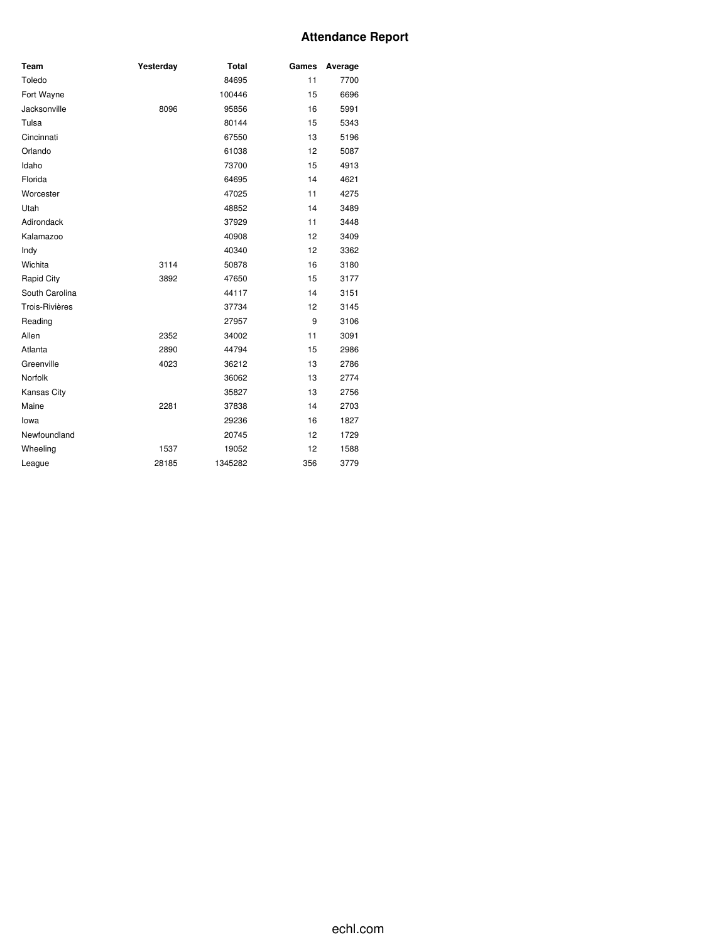# **Attendance Report**

| Team           | Yesterday | <b>Total</b> | Games | Average |
|----------------|-----------|--------------|-------|---------|
| Toledo         |           | 84695        | 11    | 7700    |
| Fort Wayne     |           | 100446       | 15    | 6696    |
| Jacksonville   | 8096      | 95856        | 16    | 5991    |
| Tulsa          |           | 80144        | 15    | 5343    |
| Cincinnati     |           | 67550        | 13    | 5196    |
| Orlando        |           | 61038        | 12    | 5087    |
| Idaho          |           | 73700        | 15    | 4913    |
| Florida        |           | 64695        | 14    | 4621    |
| Worcester      |           | 47025        | 11    | 4275    |
| Utah           |           | 48852        | 14    | 3489    |
| Adirondack     |           | 37929        | 11    | 3448    |
| Kalamazoo      |           | 40908        | 12    | 3409    |
| Indy           |           | 40340        | 12    | 3362    |
| Wichita        | 3114      | 50878        | 16    | 3180    |
| Rapid City     | 3892      | 47650        | 15    | 3177    |
| South Carolina |           | 44117        | 14    | 3151    |
| Trois-Rivières |           | 37734        | 12    | 3145    |
| Reading        |           | 27957        | 9     | 3106    |
| Allen          | 2352      | 34002        | 11    | 3091    |
| Atlanta        | 2890      | 44794        | 15    | 2986    |
| Greenville     | 4023      | 36212        | 13    | 2786    |
| Norfolk        |           | 36062        | 13    | 2774    |
| Kansas City    |           | 35827        | 13    | 2756    |
| Maine          | 2281      | 37838        | 14    | 2703    |
| lowa           |           | 29236        | 16    | 1827    |
| Newfoundland   |           | 20745        | 12    | 1729    |
| Wheeling       | 1537      | 19052        | 12    | 1588    |
| League         | 28185     | 1345282      | 356   | 3779    |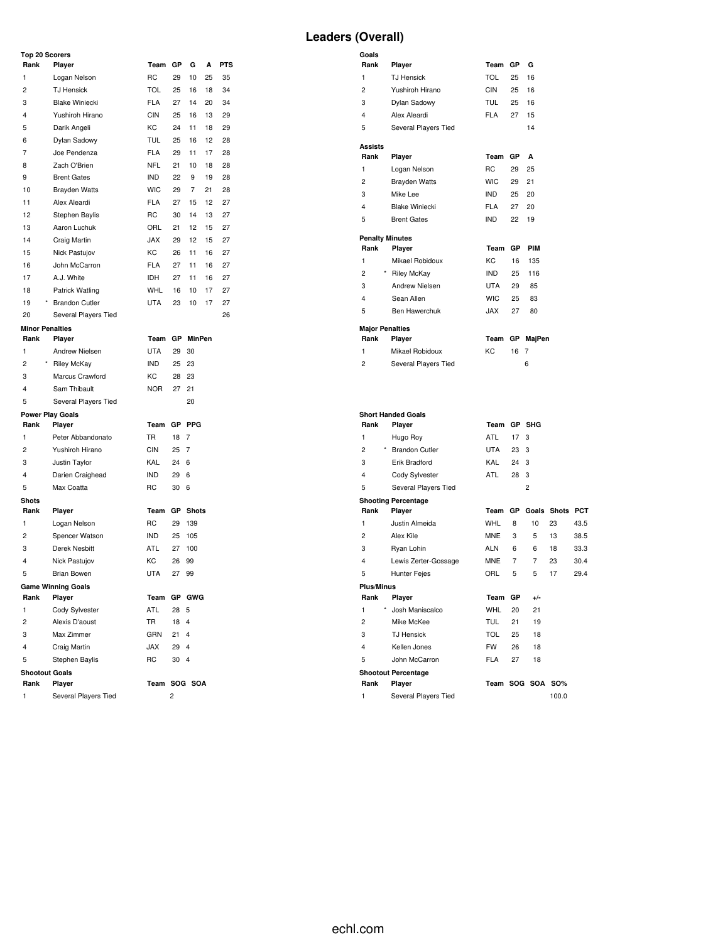| <b>Leaders (Overall)</b> |  |
|--------------------------|--|
|--------------------------|--|

| <b>Top 20 Scorers</b><br>Rank | Player                  | Team GP      |      | G             | А  | <b>PTS</b> |
|-------------------------------|-------------------------|--------------|------|---------------|----|------------|
| 1                             | Logan Nelson            | RC           | 29   | 10            | 25 | 35         |
| 2                             | <b>TJ Hensick</b>       | <b>TOL</b>   | 25   | 16            | 18 | 34         |
| 3                             | <b>Blake Winiecki</b>   | <b>FLA</b>   | 27   | 14            | 20 | 34         |
| 4                             | Yushiroh Hirano         | <b>CIN</b>   | 25   | 16            | 13 | 29         |
| 5                             | Darik Angeli            | KC           | 24   | 11            | 18 | 29         |
| 6                             | Dylan Sadowy            | <b>TUL</b>   | 25   | 16            | 12 | 28         |
| 7                             | Joe Pendenza            | <b>FLA</b>   | 29   | 11            | 17 | 28         |
| 8                             | Zach O'Brien            | <b>NFL</b>   | 21   | 10            | 18 | 28         |
| 9                             | <b>Brent Gates</b>      | <b>IND</b>   | 22   | 9             | 19 | 28         |
| 10                            | <b>Brayden Watts</b>    | <b>WIC</b>   | 29   | 7             | 21 | 28         |
| 11                            | Alex Aleardi            | <b>FLA</b>   | 27   | 15            | 12 | 27         |
| 12                            | Stephen Baylis          | RC           | 30   | 14            | 13 | 27         |
| 13                            | Aaron Luchuk            | ORL          | 21   | 12            | 15 | 27         |
| 14                            | Craig Martin            | <b>JAX</b>   | 29   | 12            | 15 | 27         |
| 15                            | Nick Pastujov           | КC           | 26   | 11            | 16 | 27         |
| 16                            | John McCarron           | <b>FLA</b>   | 27   | 11            | 16 | 27         |
| 17                            | A.J. White              | IDH          | 27   | 11            | 16 | 27         |
| 18                            | Patrick Watling         | <b>WHL</b>   | 16   | 10            | 17 | 27         |
| 19                            | * Brandon Cutler        | <b>UTA</b>   | 23   | 10            | 17 | 27         |
| 20                            | Several Players Tied    |              |      |               |    | 26         |
| <b>Minor Penalties</b>        |                         |              |      |               |    |            |
| Rank                          | Player                  | Team GP      |      | <b>MinPen</b> |    |            |
| 1                             | Andrew Nielsen          | UTA          | 29   | 30            |    |            |
| $\overline{c}$                | * Riley McKay           | IND          | 25   | 23            |    |            |
| 3                             | Marcus Crawford         | КC           | 28   | 23            |    |            |
| 4                             | Sam Thibault            | <b>NOR</b>   | 27   | 21            |    |            |
| 5                             | Several Players Tied    |              |      | 20            |    |            |
|                               | <b>Power Play Goals</b> |              |      |               |    |            |
| Rank                          | Player                  | Team         |      | GP PPG        |    |            |
| 1                             | Peter Abbandonato       | TR           | 18   | 7             |    |            |
| $\overline{c}$                | Yushiroh Hirano         | CIN          | 25   | 7             |    |            |
| 3                             | Justin Taylor           | KAL          | 24   | 6             |    |            |
| $\overline{4}$                | Darien Craighead        | IND          | 29   | 6             |    |            |
| 5                             | Max Coatta              | RC           | 30   | 6             |    |            |
| <b>Shots</b>                  |                         |              |      |               |    |            |
| Rank                          | Player                  | Team         | GР   | <b>Shots</b>  |    |            |
| 1                             | Logan Nelson            | RC           | 29   | 139           |    |            |
| $\overline{c}$                | Spencer Watson          | IND          | 25   | 105           |    |            |
| 3                             | Derek Nesbitt           | ATL          | 27   | 100           |    |            |
| 4                             | Nick Pastujov           | KC           | 26   | 99            |    |            |
| 5                             | <b>Brian Bowen</b>      | <b>UTA</b>   | 27   | 99            |    |            |
|                               | Game Winning Goals      |              |      |               |    |            |
| Rank                          | Player                  | Team         |      | GP GWG        |    |            |
| 1                             | Cody Sylvester          | ATL          | 28   | 5             |    |            |
| 2                             | Alexis D'aoust          | TR           | 18   | 4             |    |            |
| 3                             | Max Zimmer              | GRN          | 21   | 4             |    |            |
| 4                             | Craig Martin            | <b>JAX</b>   | 29   | 4             |    |            |
| 5                             | Stephen Baylis          | RC           | 30 4 |               |    |            |
| <b>Shootout Goals</b>         |                         |              |      |               |    |            |
| Rank                          | Player                  | Team SOG SOA |      |               |    |            |
| 1                             | Several Players Tied    |              | 2    |               |    |            |

| Goals                          |                                      |             |    |                  |                 |      |
|--------------------------------|--------------------------------------|-------------|----|------------------|-----------------|------|
| Rank                           | Player                               | Team        | GP | G                |                 |      |
| 1                              | <b>TJ Hensick</b>                    | TOL         | 25 | 16               |                 |      |
| $\overline{c}$                 | Yushiroh Hirano                      | CIN         | 25 | 16               |                 |      |
| 3                              | Dylan Sadowy                         | TUL         | 25 | 16               |                 |      |
| 4                              | Alex Aleardi                         | <b>FLA</b>  | 27 | 15               |                 |      |
| 5                              | Several Players Tied                 |             |    | 14               |                 |      |
| Assists                        |                                      |             |    |                  |                 |      |
| Rank                           | Player                               | Team        | GP | A                |                 |      |
| 1                              | Logan Nelson                         | <b>RC</b>   | 29 | 25               |                 |      |
| $\overline{c}$                 | <b>Brayden Watts</b>                 | <b>WIC</b>  | 29 | 21               |                 |      |
| 3                              | Mike Lee                             | IND.        | 25 | 20               |                 |      |
| 4                              | <b>Blake Winiecki</b>                | <b>FLA</b>  | 27 | 20               |                 |      |
| 5                              | <b>Brent Gates</b>                   | <b>IND</b>  | 22 | 19               |                 |      |
|                                |                                      |             |    |                  |                 |      |
| <b>Penalty Minutes</b><br>Rank | Player                               | Team        | GР | <b>PIM</b>       |                 |      |
| 1                              | Mikael Robidoux                      | KC          | 16 | 135              |                 |      |
| 2                              | * Riley McKay                        | <b>IND</b>  | 25 | 116              |                 |      |
| 3                              | <b>Andrew Nielsen</b>                | <b>UTA</b>  | 29 | 85               |                 |      |
| 4                              | Sean Allen                           | <b>WIC</b>  | 25 | 83               |                 |      |
| 5                              | Ben Hawerchuk                        | <b>JAX</b>  | 27 | 80               |                 |      |
|                                |                                      |             |    |                  |                 |      |
| <b>Major Penalties</b>         |                                      |             |    |                  |                 |      |
| Rank                           | Player                               | Team        |    | GP MajPen        |                 |      |
| 1                              | Mikael Robidoux                      | KC          | 16 | 7                |                 |      |
| 2                              | Several Players Tied                 |             |    | 6                |                 |      |
|                                |                                      |             |    |                  |                 |      |
|                                |                                      |             |    |                  |                 |      |
|                                | <b>Short Handed Goals</b>            |             |    |                  |                 |      |
| Rank                           | Player                               | Team GP SHG |    |                  |                 |      |
| $\mathbf{1}$                   |                                      |             |    |                  |                 |      |
|                                | Hugo Roy                             | ATL         | 17 | 3                |                 |      |
| $\overline{c}$                 | * Brandon Cutler                     | <b>UTA</b>  | 23 | 3                |                 |      |
| 3                              | Erik Bradford                        | KAL         | 24 | 3                |                 |      |
| 4                              |                                      | ATL         | 28 | 3                |                 |      |
| 5                              | Cody Sylvester                       |             |    | $\overline{c}$   |                 |      |
|                                | Several Players Tied                 |             |    |                  |                 |      |
| Rank                           | <b>Shooting Percentage</b><br>Player | Team        | GP |                  | Goals Shots PCT |      |
| 1                              | Justin Almeida                       | <b>WHL</b>  | 8  | 10               | 23              | 43.5 |
| 2                              | Alex Kile                            | <b>MNE</b>  | 3  | 5                | 13              | 38.5 |
| 3                              | Ryan Lohin                           | ALN         | 6  | 6                | 18              | 33.3 |
| 4                              | Lewis Zerter-Gossage                 | MNE         | 7  | 7                | 23              | 30.4 |
| 5                              | <b>Hunter Fejes</b>                  | ORL         | 5  | 5                | 17              | 29.4 |
| <b>Plus/Minus</b>              |                                      |             |    |                  |                 |      |
| Rank                           | Player                               | Team        | GP | $+/-$            |                 |      |
| 1                              | Josh Maniscalco                      | <b>WHL</b>  | 20 | 21               |                 |      |
| $\overline{c}$                 | Mike McKee                           | <b>TUL</b>  | 21 | 19               |                 |      |
| 3                              | <b>TJ Hensick</b>                    | <b>TOL</b>  | 25 | 18               |                 |      |
| 4                              | Kellen Jones                         | <b>FW</b>   | 26 | 18               |                 |      |
| 5                              | John McCarron                        | <b>FLA</b>  | 27 | 18               |                 |      |
|                                | <b>Shootout Percentage</b>           |             |    |                  |                 |      |
| Rank                           | Player                               |             |    | Team SOG SOA SO% |                 |      |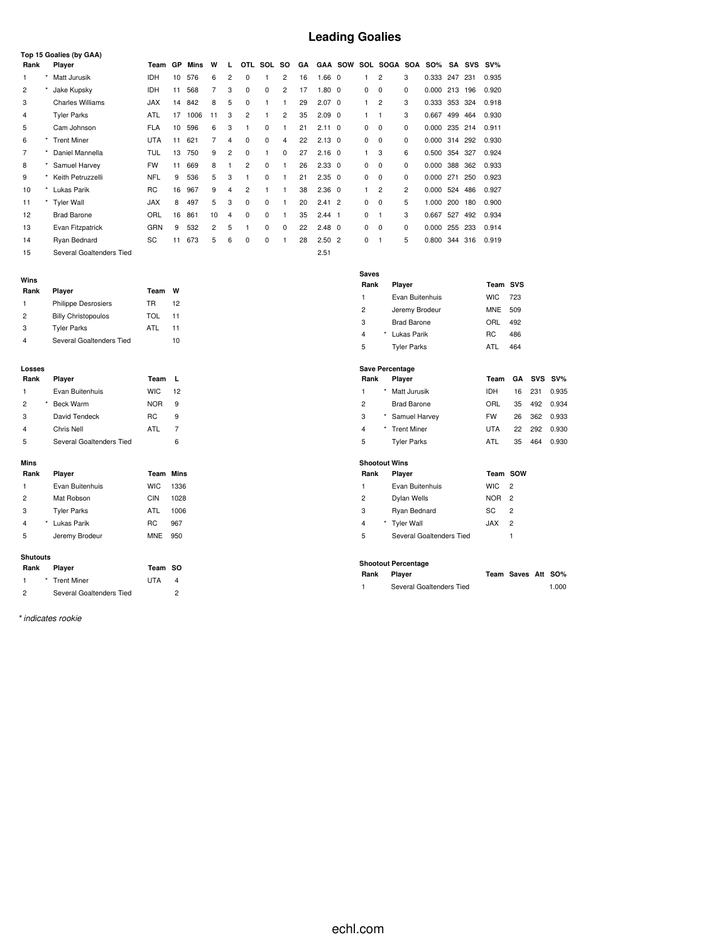# **Leading Goalies**

|                |         | Top 15 Goalies (by GAA)  |            |           |      |    |                |                |          |                |    |                   |                |   |                |                |            |         |     |        |
|----------------|---------|--------------------------|------------|-----------|------|----|----------------|----------------|----------|----------------|----|-------------------|----------------|---|----------------|----------------|------------|---------|-----|--------|
| Rank           |         | Player                   | Team       | <b>GP</b> | Mins | W  | $\mathbf{L}$   | OTL.           | SOL      | <b>SO</b>      | GA |                   | <b>GAA SOW</b> |   | SOL SOGA SOA   |                | <b>SO%</b> | SA      | SVS | $SV\%$ |
|                | $\star$ | Matt Jurusik             | <b>IDH</b> | 10        | 576  | 6  | 2              | 0              |          | 2              | 16 | 1.66 <sub>0</sub> |                |   | 2              | 3              | 0.333      | 247     | 231 | 0.935  |
| $\overline{2}$ |         | Jake Kupsky              | <b>IDH</b> | 11        | 568  | 7  | 3              | $\mathbf 0$    | 0        | $\overline{c}$ | 17 | $1.80 \quad 0$    |                | 0 | 0              | $\Omega$       | 0.000      | 213     | 196 | 0.920  |
| 3              |         | <b>Charles Williams</b>  | <b>JAX</b> | 14        | 842  | 8  | 5              | 0              |          |                | 29 | $2.07 \quad 0$    |                | 1 | $\overline{2}$ | 3              | 0.333      | 353     | 324 | 0.918  |
| 4              |         | <b>Tyler Parks</b>       | <b>ATL</b> | 17        | 1006 | 11 | 3              | $\overline{c}$ |          | 2              | 35 | $2.09\quad0$      |                | 1 | $\mathbf{1}$   | 3              | 0.667      | 499     | 464 | 0.930  |
| 5              |         | Cam Johnson              | <b>FLA</b> | 10        | 596  | 6  | 3              |                | 0        |                | 21 | $2.11 \quad 0$    |                | 0 | 0              | 0              | 0.000      | 235     | 214 | 0.911  |
| 6              |         | <b>Trent Miner</b>       | <b>UTA</b> | 11        | 621  | 7  | 4              | $\Omega$       | $\Omega$ | 4              | 22 | $2.13 \quad 0$    |                | 0 | $\Omega$       | $\Omega$       | 0.000      | 314 292 |     | 0.930  |
| 7              |         | Daniel Mannella          | <b>TUL</b> | 13        | 750  | 9  | $\overline{2}$ | 0              |          | 0              | 27 | $2.16 \quad 0$    |                | 1 | 3              | 6              | 0.500      | 354     | 327 | 0.924  |
| 8              |         | Samuel Harvey            | <b>FW</b>  | 11        | 669  | 8  |                | $\overline{c}$ | 0        | 1              | 26 | $2.33 \quad 0$    |                | 0 | 0              | $\Omega$       | 0.000      | 388     | 362 | 0.933  |
| 9              |         | Keith Petruzzelli        | <b>NFL</b> | 9         | 536  | 5  | 3              |                | 0        |                | 21 | $2.35 \quad 0$    |                | 0 | $\Omega$       | $\Omega$       | 0.000      | 271     | 250 | 0.923  |
| 10             | $\star$ | Lukas Parik              | <b>RC</b>  | 16        | 967  | 9  | 4              | $\overline{2}$ |          |                | 38 | $2.36 \quad 0$    |                | 1 | $\overline{2}$ | $\overline{2}$ | 0.000      | 524     | 486 | 0.927  |
| 11             |         | <b>Tyler Wall</b>        | <b>JAX</b> | 8         | 497  | 5  | 3              | 0              | 0        |                | 20 | $2.41$ 2          |                | 0 | 0              | 5              | 1.000      | 200     | 180 | 0.900  |
| 12             |         | <b>Brad Barone</b>       | ORL        | 16        | 861  | 10 | 4              | $\Omega$       | 0        | 1              | 35 | $2.44$ 1          |                | 0 | $\mathbf{1}$   | 3              | 0.667      | 527     | 492 | 0.934  |
| 13             |         | Evan Fitzpatrick         | GRN        | 9         | 532  | 2  | 5              |                | $\Omega$ | 0              | 22 | $2.48 \quad 0$    |                | 0 | 0              | $\Omega$       | 0.000      | 255     | 233 | 0.914  |
| 14             |         | Ryan Bednard             | SC         | 11        | 673  | 5  | 6              | $\Omega$       | $\Omega$ |                | 28 | 2.502             |                | 0 | f.             | 5              | 0.800      | 344     | 316 | 0.919  |
| 15             |         | Several Goaltenders Tied |            |           |      |    |                |                |          |                |    | 2.51              |                |   |                |                |            |         |     |        |

| Rank          | Player                     | Team | w  |
|---------------|----------------------------|------|----|
| 1             | <b>Philippe Desrosiers</b> | TR   | 12 |
| $\mathcal{P}$ | <b>Billy Christopoulos</b> | TOL  | 11 |
| 3             | <b>Tyler Parks</b>         | ATI  | 11 |
|               | Several Goaltenders Tied   |      | 10 |

#### **Losses**

| Rank           |   | Player                   | Team           | L  |
|----------------|---|--------------------------|----------------|----|
| 1              |   | Evan Buitenhuis          | <b>WIC</b>     | 12 |
| $\overline{2}$ | * | <b>Beck Warm</b>         | <b>NOR</b>     | 9  |
| 3              |   | David Tendeck            | R <sub>C</sub> | 9  |
| 4              |   | Chris Nell               | ATI            | 7  |
| 5              |   | Several Goaltenders Tied |                | 6  |

### **Mins**

| Rank           | Player             | <b>Team Mins</b> |      |
|----------------|--------------------|------------------|------|
| 1              | Evan Buitenhuis    | <b>WIC</b>       | 1336 |
| $\overline{2}$ | Mat Robson         | CIN              | 1028 |
| 3              | <b>Tyler Parks</b> | ATL              | 1006 |
| 4              | Lukas Parik        | RC.              | 967  |
| 5              | Jeremy Brodeur     | <b>MNE</b>       | 950  |
|                |                    |                  |      |

## **Shutouts**

| Rank | Player                   | Team SO    |   |
|------|--------------------------|------------|---|
|      | * Trent Miner            | <b>UTA</b> | 4 |
| 2    | Several Goaltenders Tied |            |   |

*\* indicates rookie*

| <b>Saves</b> |   |                    |            |     |
|--------------|---|--------------------|------------|-----|
| Rank         |   | Player             | Team SVS   |     |
| 1            |   | Evan Buitenhuis    | <b>WIC</b> | 723 |
| 2            |   | Jeremy Brodeur     | <b>MNE</b> | 509 |
| 3            |   | <b>Brad Barone</b> | ORL        | 492 |
| 4            | * | Lukas Parik        | RC         | 486 |
| 5            |   | <b>Tyler Parks</b> | ATL        | 464 |
|              |   |                    |            |     |

## **Save Percentage**

| Rank           |   | <b>Plaver</b>      | Team       |    |     | GA SVS SV% |
|----------------|---|--------------------|------------|----|-----|------------|
| 1              | * | Matt Jurusik       | IDH        | 16 | 231 | 0.935      |
| 2              |   | <b>Brad Barone</b> | ORL        | 35 | 492 | 0.934      |
| 3              |   | * Samuel Harvey    | <b>FW</b>  | 26 | 362 | 0.933      |
| $\overline{4}$ |   | * Trent Miner      | <b>UTA</b> | 22 | 292 | 0.930      |
| 5              |   | <b>Tyler Parks</b> | ATL        | 35 | 464 | 0.930      |

## **Shootout Wins**

| Rank | Player                   | Team SOW         |               |
|------|--------------------------|------------------|---------------|
| 1    | Evan Buitenhuis          | $WIC$ 2          |               |
| 2    | Dylan Wells              | NOR <sub>2</sub> |               |
| 3    | Ryan Bednard             | SC.              | $\mathcal{P}$ |
| 4    | * Tyler Wall             | <b>JAX</b>       | $\mathcal{P}$ |
| 5    | Several Goaltenders Tied |                  |               |

### **Shootout Percentage**

| Rank | Player                   | Team Saves Att SO% |       |
|------|--------------------------|--------------------|-------|
|      | Several Goaltenders Tied |                    | 1.000 |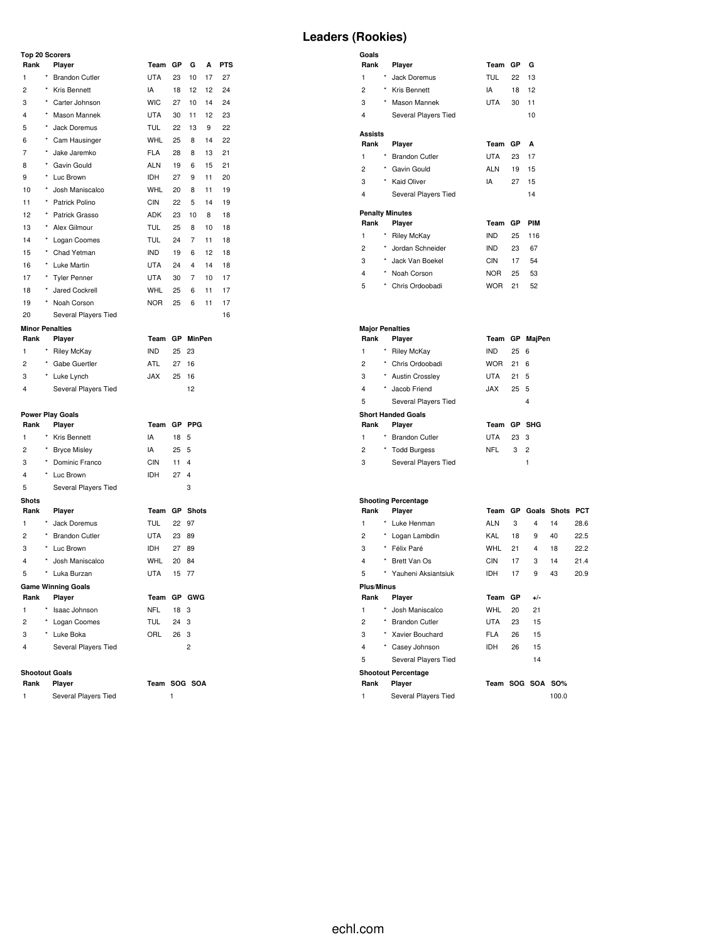## **Top 20 Scorers**  $Plank$  **Player**

**Minor Penalties**

1 \* Brandon Cutler 2 \* Kris Bennett 3 \* Carter Johnson 4 \* Mason Mannek 5 \* Jack Doremus

| Team GP G A PTS |             |  |  |
|-----------------|-------------|--|--|
| UTA 23 10 17 27 |             |  |  |
| IA 18 12 12 24  |             |  |  |
| WIC.            | 27 10 14 24 |  |  |
| UTA 30 11 12 23 |             |  |  |
| TIII 22 13 9 22 |             |  |  |

# **Leaders (Rookies)**

| Goals          |            |                        |            |    |            |
|----------------|------------|------------------------|------------|----|------------|
| Rank           |            | Player                 | Team       | GP | G          |
| 1              | *          | Jack Doremus           | TUL        | 22 | 13         |
| $\overline{c}$ | *          | Kris Bennett           | IA         | 18 | 12         |
| 3              | *          | Mason Mannek           | UTA        | 30 | 11         |
| 4              |            | Several Players Tied   |            |    | 10         |
| Assists        |            |                        |            |    |            |
| Rank           |            | Player                 | Team       | GP | A          |
| 1              | *          | <b>Brandon Cutler</b>  | <b>UTA</b> | 23 | 17         |
| 2              | *          | Gavin Gould            | <b>ALN</b> | 19 | 15         |
| 3              | *          | Kaid Oliver            | IΑ         | 27 | 15         |
| 4              |            | Several Players Tied   |            |    | 14         |
|                |            | <b>Penalty Minutes</b> |            |    |            |
| Rank           |            | Player                 | Team       | GP | <b>PIM</b> |
| 1              | $^{\star}$ | <b>Riley McKay</b>     | <b>IND</b> | 25 | 116        |
| $\overline{c}$ | $\star$    | Jordan Schneider       | <b>IND</b> | 23 | 67         |
| 3              | $\star$    | Jack Van Boekel        | CIN        | 17 | 54         |
| 4              | ×          | Noah Corson            | <b>NOR</b> | 25 | 53         |
| 5              | *          | Chris Ordoobadi        | <b>WOR</b> | 21 | 52         |

| <b>Major Penalties</b> |            |                           |            |      |                |
|------------------------|------------|---------------------------|------------|------|----------------|
| Rank                   |            | Player                    | Team GP    |      | MajPen         |
| 1                      | *          | <b>Riley McKay</b>        | <b>IND</b> | 256  |                |
| 2                      | *          | Chris Ordoobadi           | <b>WOR</b> | 21   | 6              |
| 3                      | *          | <b>Austin Crossley</b>    | UTA        | 21   | 5              |
| 4                      | $\star$    | Jacob Friend              | XAL.       | 25   | - 5            |
| 5                      |            | Several Players Tied      |            |      | 4              |
|                        |            | <b>Short Handed Goals</b> |            |      |                |
| Rank                   |            | Player                    | Team       |      | GP SHG         |
| 1                      | $^\star$   | <b>Brandon Cutler</b>     | UTA        | 23 3 |                |
| 2                      | $^{\star}$ | <b>Todd Burgess</b>       | NFL        | 3    | $\overline{2}$ |
| 3                      |            | Several Players Tied      |            |      | 1              |

| <b>Shooting Percentage</b> |            |                            |            |           |                  |                       |            |
|----------------------------|------------|----------------------------|------------|-----------|------------------|-----------------------|------------|
| Rank                       |            | Player                     | Team       |           |                  | <b>GP</b> Goals Shots | <b>PCT</b> |
| 1                          | *          | Luke Henman                | <b>ALN</b> | 3         | 4                | 14                    | 28.6       |
| $\overline{c}$             | $^{\star}$ | Logan Lambdin              | KAL        | 18        | 9                | 40                    | 22.5       |
| 3                          | $^{\star}$ | Félix Paré                 | <b>WHL</b> | 21        | 4                | 18                    | 22.2       |
| 4                          | *          | Brett Van Os               | <b>CIN</b> | 17        | 3                | 14                    | 21.4       |
| 5                          | *          | Yauheni Aksiantsiuk        | <b>IDH</b> | 17        | 9                | 43                    | 20.9       |
| <b>Plus/Minus</b>          |            |                            |            |           |                  |                       |            |
| Rank                       |            | Player                     | Team       | <b>GP</b> | $+/-$            |                       |            |
| 1                          | $\star$    | Josh Maniscalco            | <b>WHL</b> | 20        | 21               |                       |            |
| 2                          | $\star$    | <b>Brandon Cutler</b>      | <b>UTA</b> | 23        | 15               |                       |            |
| 3                          |            | Xavier Bouchard            | <b>FLA</b> | 26        | 15               |                       |            |
| 4                          |            | Casey Johnson              | <b>IDH</b> | 26        | 15               |                       |            |
| 5                          |            | Several Players Tied       |            |           | 14               |                       |            |
|                            |            | <b>Shootout Percentage</b> |            |           |                  |                       |            |
| Rank                       |            | Player                     |            |           | Team SOG SOA SO% |                       |            |
| 1                          |            | Several Players Tied       |            |           |                  | 100.0                 |            |

| 2              | $\star$    | Gabe Guertler           | <b>ATL</b> | 27 16           |                 |
|----------------|------------|-------------------------|------------|-----------------|-----------------|
| 3              |            | * Luke Lynch            | <b>JAX</b> | 25              | 16              |
| 4              |            | Several Players Tied    |            |                 | 12              |
|                |            |                         |            |                 |                 |
|                |            | <b>Power Play Goals</b> |            |                 |                 |
| Rank           |            | Player                  | Team       | GP              | PPG             |
| 1              |            | * Kris Bennett          | IA         | 18 5            |                 |
| 2              |            | * Bryce Misley          | IA         | 25 <sub>5</sub> |                 |
| 3              | $\star$    | Dominic Franco          | <b>CIN</b> | $11 \quad 4$    |                 |
| $\overline{4}$ |            | * Luc Brown             | <b>IDH</b> | 27 <sub>4</sub> |                 |
| 5              |            | Several Players Tied    |            |                 | 3               |
| <b>Shots</b>   |            |                         |            |                 |                 |
| Rank           |            | Player                  | Team       |                 | <b>GP</b> Shots |
| 1              | $^{\star}$ | Jack Doremus            | <b>TUL</b> | 22 97           |                 |

UTA 23 89 IDH 27 89 WHL 20 84 UTA 15 77

**Rank Player Team GP GWG** NFL 18 3 TUL 24 3

**Rank Player Team GP MinPen** 1 \* Riley McKay **IND** 25 23

 \* Cam Hausinger WHL 25 8 14 22 \* Jake Jaremko FLA 28 8 13 21 \* Gavin Gould ALN 19 6 15 21 \* Luc Brown IDH 27 9 11 20 \* Josh Maniscalco WHL 20 8 11 19 \* Patrick Polino CIN 22 5 14 19 \* Patrick Grasso ADK 23 10 8 18 \* Alex Gilmour TUL 25 8 10 18 \* Logan Coomes TUL 24 7 11 18 15 \* Chad Yetman IND 19 6 12 18 \* Luke Martin UTA 24 4 14 18 \* Tyler Penner UTA 30 7 10 17 \* Jared Cockrell WHL 25 6 11 17 \* Noah Corson NOR 25 6 11 17 20 Several Players Tied 16

| 1              | Jack Doremus              | TUL        | $22 \t97$       |     |
|----------------|---------------------------|------------|-----------------|-----|
| $\overline{2}$ | * Brandon Cutler          | <b>UTA</b> | 23              | 89  |
| 3              | Luc Brown                 | <b>IDH</b> | 27              | 89  |
| $\overline{4}$ | * Josh Maniscalco         | WHL        | 20              | 84  |
| 5              | * Luka Burzan             | UTA        | $15 \t 77$      |     |
|                | <b>Game Winning Goals</b> |            |                 |     |
| Rank           | Player                    | Team GP G  |                 |     |
| 1              | Isaac Johnson             | NFL        | 18 <sup>3</sup> |     |
| $\overline{2}$ | Logan Coomes              | TUL        | 24              | - 3 |
| 3              | Luke Boka                 | ORL        | 26              | 3   |

4 Several Players Tied 2

## **Shootout Goals**

| Rank Player | Team SOG SOA |  |
|-------------|--------------|--|
|             |              |  |

1 Several Players Tied 1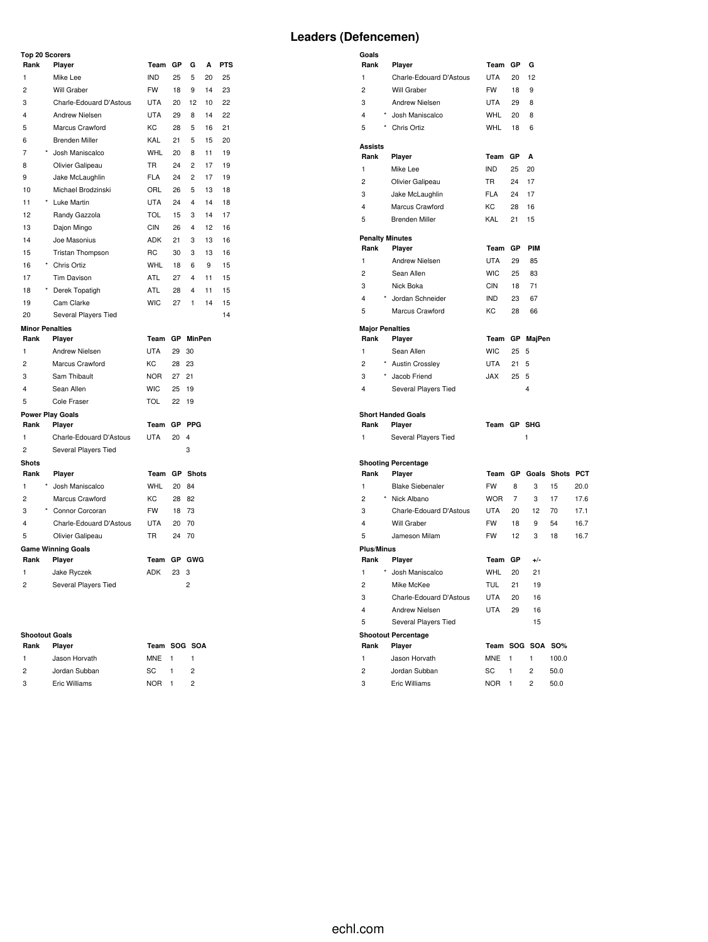# **Leaders (Defencemen)**

**Goals**

| <b>Top 20 Scorers</b>   |                           |            |    |                         |    |            |
|-------------------------|---------------------------|------------|----|-------------------------|----|------------|
| Rank                    | Player                    | Team       | GP | G                       | A  | <b>PTS</b> |
| 1                       | Mike Lee                  | <b>IND</b> | 25 | 5                       | 20 | 25         |
| $\overline{c}$          | Will Graber               | <b>FW</b>  | 18 | 9                       | 14 | 23         |
| 3                       | Charle-Edouard D'Astous   | <b>UTA</b> | 20 | 12                      | 10 | 22         |
| 4                       | <b>Andrew Nielsen</b>     | <b>UTA</b> | 29 | 8                       | 14 | 22         |
| 5                       | Marcus Crawford           | KC         | 28 | 5                       | 16 | 21         |
| 6                       | <b>Brenden Miller</b>     | KAL        | 21 | 5                       | 15 | 20         |
| 7                       | Josh Maniscalco           | <b>WHL</b> | 20 | 8                       | 11 | 19         |
| 8                       | Olivier Galipeau          | <b>TR</b>  | 24 | $\overline{c}$          | 17 | 19         |
| 9                       | Jake McLaughlin           | <b>FLA</b> | 24 | $\overline{2}$          | 17 | 19         |
| 10                      | Michael Brodzinski        | ORL        | 26 | 5                       | 13 | 18         |
| 11                      | <b>Luke Martin</b>        | <b>UTA</b> | 24 | $\overline{\mathbf{4}}$ | 14 | 18         |
| 12                      | Randy Gazzola             | <b>TOL</b> | 15 | 3                       | 14 | 17         |
| 13                      | Dajon Mingo               | <b>CIN</b> | 26 | 4                       | 12 | 16         |
| 14                      | Joe Masonius              | <b>ADK</b> | 21 | 3                       | 13 | 16         |
| 15                      | Tristan Thompson          | <b>RC</b>  | 30 | 3                       | 13 | 16         |
| 16                      | Chris Ortiz               | <b>WHL</b> | 18 | 6                       | 9  | 15         |
| 17                      | <b>Tim Davison</b>        | <b>ATL</b> | 27 | $\overline{4}$          | 11 | 15         |
| 18                      | Derek Topatigh            | <b>ATL</b> | 28 | $\overline{\mathbf{4}}$ | 11 | 15         |
| 19                      | Cam Clarke                | <b>WIC</b> | 27 | 1                       | 14 | 15         |
| 20                      | Several Players Tied      |            |    |                         |    | 14         |
|                         | <b>Minor Penalties</b>    |            |    |                         |    |            |
| Rank                    | Player                    | Team       | GP | <b>MinPen</b>           |    |            |
| 1                       | <b>Andrew Nielsen</b>     | <b>UTA</b> | 29 | 30                      |    |            |
| $\overline{2}$          | Marcus Crawford           | KC         | 28 | 23                      |    |            |
| 3                       | Sam Thibault              | <b>NOR</b> | 27 | 21                      |    |            |
| 4                       | Sean Allen                | <b>WIC</b> | 25 | 19                      |    |            |
| 5                       | Cole Fraser               | <b>TOL</b> | 22 | 19                      |    |            |
|                         | <b>Power Play Goals</b>   |            |    |                         |    |            |
| Rank                    | Player                    | Team       | GР | <b>PPG</b>              |    |            |
| $\mathbf{1}$            | Charle-Edouard D'Astous   | <b>UTA</b> | 20 | $\overline{4}$          |    |            |
| $\overline{2}$          | Several Players Tied      |            |    | 3                       |    |            |
| <b>Shots</b>            |                           |            |    |                         |    |            |
| Rank                    | Player                    | Team       |    | <b>GP</b> Shots         |    |            |
| $\mathbf{1}$            | Josh Maniscalco           | <b>WHL</b> | 20 | 84                      |    |            |
| $\overline{c}$          | Marcus Crawford           | KC         | 28 | 82                      |    |            |
| 3                       | Connor Corcoran           | <b>FW</b>  | 18 | 73                      |    |            |
| $\overline{\mathbf{4}}$ | Charle-Edouard D'Astous   | <b>UTA</b> | 20 | 70                      |    |            |
| 5                       | Olivier Galipeau          | <b>TR</b>  | 24 | 70                      |    |            |
|                         | <b>Game Winning Goals</b> |            |    |                         |    |            |
| Rank                    | Player                    | Team       | GP | GWG                     |    |            |
| 1                       | Jake Ryczek               | <b>ADK</b> | 23 | 3                       |    |            |
| $\overline{2}$          | Several Players Tied      |            |    | $\overline{2}$          |    |            |

## **Shootout Goals**

| Shootout Goals |               |              |                |               |  |  |  |  |  |  |  |  |  |
|----------------|---------------|--------------|----------------|---------------|--|--|--|--|--|--|--|--|--|
| Rank           | Player        | Team SOG SOA |                |               |  |  |  |  |  |  |  |  |  |
| $\mathbf{1}$   | Jason Horvath | MNE 1        |                |               |  |  |  |  |  |  |  |  |  |
| $\overline{2}$ | Jordan Subban | SC.          | $\overline{1}$ | $\mathcal{P}$ |  |  |  |  |  |  |  |  |  |
| -3             | Eric Williams | NOR L        |                |               |  |  |  |  |  |  |  |  |  |

| Rank                   | Player                             | Team             | GР             | G          |                    |      |
|------------------------|------------------------------------|------------------|----------------|------------|--------------------|------|
| 1                      | Charle-Edouard D'Astous            | UTA              | 20             | 12         |                    |      |
| $\overline{2}$         | Will Graber                        | <b>FW</b>        | 18             | 9          |                    |      |
| 3                      | <b>Andrew Nielsen</b>              | <b>UTA</b>       | 29             | 8          |                    |      |
| $^\star$<br>4          | Josh Maniscalco                    | <b>WHL</b>       | 20             | 8          |                    |      |
| 5                      | * Chris Ortiz                      | <b>WHL</b>       | 18             | 6          |                    |      |
|                        |                                    |                  |                |            |                    |      |
| <b>Assists</b><br>Rank | Player                             | Team GP          |                | A          |                    |      |
| 1                      | Mike Lee                           | <b>IND</b>       | 25             | 20         |                    |      |
| $\overline{c}$         | Olivier Galipeau                   | <b>TR</b>        | 24             | 17         |                    |      |
| 3                      |                                    | <b>FLA</b>       | 24             | 17         |                    |      |
| 4                      | Jake McLaughlin<br>Marcus Crawford | КC               | 28             | 16         |                    |      |
| 5                      | <b>Brenden Miller</b>              | KAL              | 21             | 15         |                    |      |
|                        |                                    |                  |                |            |                    |      |
| <b>Penalty Minutes</b> |                                    |                  |                |            |                    |      |
| Rank                   | Player                             | Team GP          |                | <b>PIM</b> |                    |      |
| 1                      | Andrew Nielsen                     | <b>UTA</b>       | 29             | 85         |                    |      |
| $\overline{c}$         | Sean Allen                         | <b>WIC</b>       | 25             | 83         |                    |      |
| 3                      | Nick Boka                          | <b>CIN</b>       | 18             | 71         |                    |      |
| 4                      | * Jordan Schneider                 | <b>IND</b>       | 23             | 67         |                    |      |
| 5                      | Marcus Crawford                    | KC.              | 28             | 66         |                    |      |
| <b>Major Penalties</b> |                                    |                  |                |            |                    |      |
| Rank                   | Player                             | Team             |                | GP MajPen  |                    |      |
| 1                      | Sean Allen                         | <b>WIC</b>       | 25             | 5          |                    |      |
| 2                      | * Austin Crossley                  | UTA              | 21             | 5          |                    |      |
| 3                      | * Jacob Friend                     | <b>JAX</b>       | 25             | 5          |                    |      |
| 4                      | Several Players Tied               |                  |                | 4          |                    |      |
|                        |                                    |                  |                |            |                    |      |
|                        |                                    |                  |                |            |                    |      |
|                        | <b>Short Handed Goals</b>          |                  |                |            |                    |      |
| Rank                   | Player                             | Team GP SHG      |                |            |                    |      |
| 1                      | Several Players Tied               |                  |                | 1          |                    |      |
|                        |                                    |                  |                |            |                    |      |
|                        | <b>Shooting Percentage</b>         |                  |                |            |                    |      |
| Rank                   | Player                             | Team             |                |            | GP Goals Shots PCT |      |
| 1                      | <b>Blake Siebenaler</b>            | <b>FW</b>        | 8              | 3          | 15                 | 20.0 |
| $\overline{c}$         | * Nick Albano                      | <b>WOR</b>       | $\overline{7}$ | 3          | 17                 | 17.6 |
| 3                      | Charle-Edouard D'Astous            | <b>UTA</b>       | 20             | 12         | 70                 | 17.1 |
| 4                      | Will Graber                        | FW               | 18             | 9          | 54                 | 16.7 |
| 5                      | Jameson Milam                      | <b>FW</b>        | 12             | 3          | 18                 | 16.7 |
| <b>Plus/Minus</b>      |                                    |                  |                |            |                    |      |
| Rank                   | Player                             | Team             | GР             | $+/-$      |                    |      |
| 1                      | Josh Maniscalco                    | WHL              | 20             | 21         |                    |      |
| 2                      | Mike McKee                         | <b>TUL</b>       | 21             | 19         |                    |      |
| 3                      | Charle-Edouard D'Astous            | UTA              | 20             | 16         |                    |      |
| 4                      | Andrew Nielsen                     | <b>UTA</b>       | 29             | 16         |                    |      |
| 5                      | Several Players Tied               |                  |                | 15         |                    |      |
|                        | <b>Shootout Percentage</b>         |                  |                |            |                    |      |
| Rank                   | Player                             | Team SOG         |                | SOA        | <b>SO%</b>         |      |
| 1                      | Jason Horvath                      | <b>MNE</b>       | 1              | 1          | 100.0              |      |
| 2<br>3                 | Jordan Subban<br>Eric Williams     | SC<br><b>NOR</b> | 1              | 2<br>2     | 50.0               |      |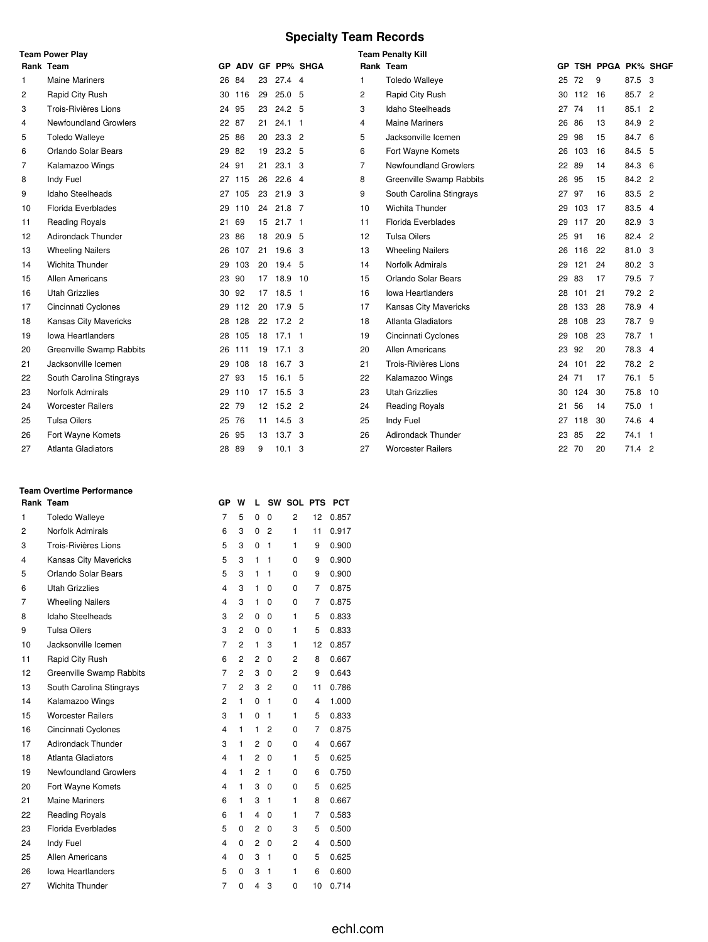# **Specialty Team Records**

|    | <b>Team Power Play</b>    |       |        |    |                   |                    |           | <b>Team Penalty Kill</b>     |       |     |                   |         |  |
|----|---------------------------|-------|--------|----|-------------------|--------------------|-----------|------------------------------|-------|-----|-------------------|---------|--|
|    | Rank Team                 |       |        |    |                   | GP ADV GF PP% SHGA | Rank Team |                              | GP    |     | TSH PPGA PK% SHGF |         |  |
| 1  | <b>Maine Mariners</b>     |       | 26 84  | 23 | $27.4$ 4          |                    | 1         | <b>Toledo Walleye</b>        | 25    | 72  | 9                 | 87.5 3  |  |
| 2  | Rapid City Rush           |       | 30 116 | 29 | 25.0 <sub>5</sub> |                    | 2         | Rapid City Rush              | 30    | 112 | 16                | 85.7 2  |  |
| 3  | Trois-Rivières Lions      | 24    | 95     | 23 | 24.2 <sub>5</sub> |                    | 3         | Idaho Steelheads             | 27    | 74  | 11                | 85.1 2  |  |
| 4  | Newfoundland Growlers     | 22 87 |        | 21 | $24.1$ 1          |                    | 4         | <b>Maine Mariners</b>        | 26 86 |     | 13                | 84.9 2  |  |
| 5  | <b>Toledo Walleye</b>     | 25 86 |        | 20 | $23.3$ 2          |                    | 5         | Jacksonville Icemen          | 29    | 98  | 15                | 84.7 6  |  |
| 6  | Orlando Solar Bears       | 29    | 82     | 19 | 23.2 5            |                    | 6         | Fort Wayne Komets            | 26    | 103 | 16                | 84.5 5  |  |
| 7  | Kalamazoo Wings           | 24    | 91     | 21 | $23.1\quad 3$     |                    | 7         | <b>Newfoundland Growlers</b> | 22    | 89  | 14                | 84.3 6  |  |
| 8  | Indy Fuel                 |       | 27 115 | 26 | $22.6$ 4          |                    | 8         | Greenville Swamp Rabbits     | 26    | 95  | 15                | 84.2 2  |  |
| 9  | Idaho Steelheads          | 27    | 105    | 23 | 21.9 <sup>3</sup> |                    | 9         | South Carolina Stingrays     | 27    | 97  | 16                | 83.5 2  |  |
| 10 | Florida Everblades        | 29    | 110    | 24 | $21.8$ 7          |                    | 10        | <b>Wichita Thunder</b>       | 29    | 103 | 17                | 83.5 4  |  |
| 11 | <b>Reading Royals</b>     | 21    | 69     | 15 | $21.7-1$          |                    | 11        | Florida Everblades           | 29    | 117 | 20                | 82.9 3  |  |
| 12 | <b>Adirondack Thunder</b> | 23    | 86     | 18 | 20.9 <sub>5</sub> |                    | 12        | <b>Tulsa Oilers</b>          | 25    | 91  | 16                | 82.4 2  |  |
| 13 | <b>Wheeling Nailers</b>   |       | 26 107 | 21 | 19.6 <sup>3</sup> |                    | 13        | <b>Wheeling Nailers</b>      | 26    | 116 | 22                | 81.0 3  |  |
| 14 | Wichita Thunder           | 29    | 103    | 20 | 19.4 5            |                    | 14        | Norfolk Admirals             | 29    | 121 | 24                | 80.2 3  |  |
| 15 | Allen Americans           | 23 90 |        | 17 | 18.9              | 10                 | 15        | Orlando Solar Bears          | 29    | 83  | 17                | 79.5 7  |  |
| 16 | <b>Utah Grizzlies</b>     | 30 92 |        | 17 | $18.5$ 1          |                    | 16        | <b>Iowa Heartlanders</b>     | 28    | 101 | 21                | 79.2 2  |  |
| 17 | Cincinnati Cyclones       | 29    | 112    | 20 | 17.9 5            |                    | 17        | <b>Kansas City Mavericks</b> | 28    | 133 | 28                | 78.9 4  |  |
| 18 | Kansas City Mavericks     |       | 28 128 |    | 22 17.2 2         |                    | 18        | Atlanta Gladiators           | 28    | 108 | 23                | 78.7 9  |  |
| 19 | <b>Iowa Heartlanders</b>  | 28    | 105    | 18 | $17.1$ 1          |                    | 19        | Cincinnati Cyclones          | 29    | 108 | 23                | 78.7 1  |  |
| 20 | Greenville Swamp Rabbits  | 26    | 111    | 19 | 17.1 <sub>3</sub> |                    | 20        | <b>Allen Americans</b>       | 23    | 92  | 20                | 78.3 4  |  |
| 21 | Jacksonville Icemen       | 29    | 108    |    | 18 16.7 3         |                    | 21        | Trois-Rivières Lions         | 24    | 101 | 22                | 78.2 2  |  |
| 22 | South Carolina Stingrays  | 27    | 93     | 15 | 16.1 <sub>5</sub> |                    | 22        | Kalamazoo Wings              | 24    | 71  | 17                | 76.1 5  |  |
| 23 | Norfolk Admirals          |       | 29 110 |    | 17 15.5 3         |                    | 23        | <b>Utah Grizzlies</b>        | 30    | 124 | 30                | 75.8 10 |  |
| 24 | <b>Worcester Railers</b>  | 22 79 |        |    | 12 15.2 2         |                    | 24        | <b>Reading Royals</b>        | 21    | 56  | 14                | 75.0 1  |  |
| 25 | <b>Tulsa Oilers</b>       | 25 76 |        |    | 11 14.5 3         |                    | 25        | Indy Fuel                    | 27    | 118 | 30                | 74.6 4  |  |
| 26 | Fort Wayne Komets         | 26    | 95     | 13 | 13.7 <sup>3</sup> |                    | 26        | <b>Adirondack Thunder</b>    | 23    | 85  | 22                | 74.1 1  |  |
| 27 | <b>Atlanta Gladiators</b> | 28    | 89     | 9  | $10.1 \quad 3$    |                    | 27        | <b>Worcester Railers</b>     | 22    | 70  | 20                | 71.4 2  |  |

#### **Team Overtime Performance**

|    | Rank Team                    | GР                      | w              | L              |                | SW SOL PTS     |    | <b>PCT</b> |  |
|----|------------------------------|-------------------------|----------------|----------------|----------------|----------------|----|------------|--|
| 1  | <b>Toledo Walleye</b>        | $\overline{7}$          | 5              | $\Omega$       | $\Omega$       | $\overline{2}$ | 12 | 0.857      |  |
| 2  | Norfolk Admirals             | 6                       | 3              | 0              | $\overline{2}$ | 1              | 11 | 0.917      |  |
| 3  | Trois-Rivières Lions         | 5                       | 3              | $\mathbf 0$    | 1              | 1              | 9  | 0.900      |  |
| 4  | Kansas City Mavericks        | 5                       | 3              | 1              | 1              | 0              | 9  | 0.900      |  |
| 5  | Orlando Solar Bears          | 5                       | 3              | 1              | 1              | 0              | 9  | 0.900      |  |
| 6  | <b>Utah Grizzlies</b>        | $\overline{\mathbf{4}}$ | 3              | 1              | 0              | 0              | 7  | 0.875      |  |
| 7  | <b>Wheeling Nailers</b>      | $\overline{\mathbf{4}}$ | 3              | 1              | 0              | 0              | 7  | 0.875      |  |
| 8  | <b>Idaho Steelheads</b>      | 3                       | $\overline{2}$ | 0              | 0              | 1              | 5  | 0.833      |  |
| 9  | <b>Tulsa Oilers</b>          | 3                       | $\overline{2}$ | 0              | 0              | 1              | 5  | 0.833      |  |
| 10 | Jacksonville Icemen          | $\overline{7}$          | $\overline{2}$ | 1              | 3              | 1              | 12 | 0.857      |  |
| 11 | Rapid City Rush              | 6                       | 2              | 2              | 0              | 2              | 8  | 0.667      |  |
| 12 | Greenville Swamp Rabbits     | $\overline{7}$          | $\overline{2}$ | 3              | 0              | $\overline{c}$ | 9  | 0.643      |  |
| 13 | South Carolina Stingrays     | $\overline{7}$          | $\overline{2}$ | 3              | $\overline{2}$ | $\Omega$       | 11 | 0.786      |  |
| 14 | Kalamazoo Wings              | $\overline{2}$          | 1              | 0              | 1              | 0              | 4  | 1.000      |  |
| 15 | <b>Worcester Railers</b>     | 3                       | 1              | $\Omega$       | 1              | 1              | 5  | 0.833      |  |
| 16 | Cincinnati Cyclones          | 4                       | 1              | 1              | 2              | 0              | 7  | 0.875      |  |
| 17 | <b>Adirondack Thunder</b>    | 3                       | 1              | $\overline{2}$ | 0              | 0              | 4  | 0.667      |  |
| 18 | <b>Atlanta Gladiators</b>    | 4                       | 1              | 2              | 0              | 1              | 5  | 0.625      |  |
| 19 | <b>Newfoundland Growlers</b> | $\overline{\mathbf{4}}$ | 1              | $\overline{c}$ | 1              | 0              | 6  | 0.750      |  |
| 20 | Fort Wayne Komets            | $\overline{\mathbf{4}}$ | 1              | 3              | 0              | 0              | 5  | 0.625      |  |
| 21 | <b>Maine Mariners</b>        | 6                       | 1              | 3              | 1              | 1              | 8  | 0.667      |  |
| 22 | <b>Reading Royals</b>        | 6                       | 1              | 4              | $\Omega$       | 1              | 7  | 0.583      |  |
| 23 | Florida Everblades           | 5                       | 0              | $\overline{c}$ | 0              | 3              | 5  | 0.500      |  |
| 24 | Indy Fuel                    | $\overline{\mathbf{4}}$ | 0              | 2              | 0              | $\overline{2}$ | 4  | 0.500      |  |
| 25 | Allen Americans              | $\overline{\mathbf{4}}$ | 0              | 3              | 1              | 0              | 5  | 0.625      |  |
| 26 | <b>Iowa Heartlanders</b>     | 5                       | 0              | 3              | 1              | 1              | 6  | 0.600      |  |
| 27 | <b>Wichita Thunder</b>       | $\overline{7}$          | 0              | 4              | 3              | 0              | 10 | 0.714      |  |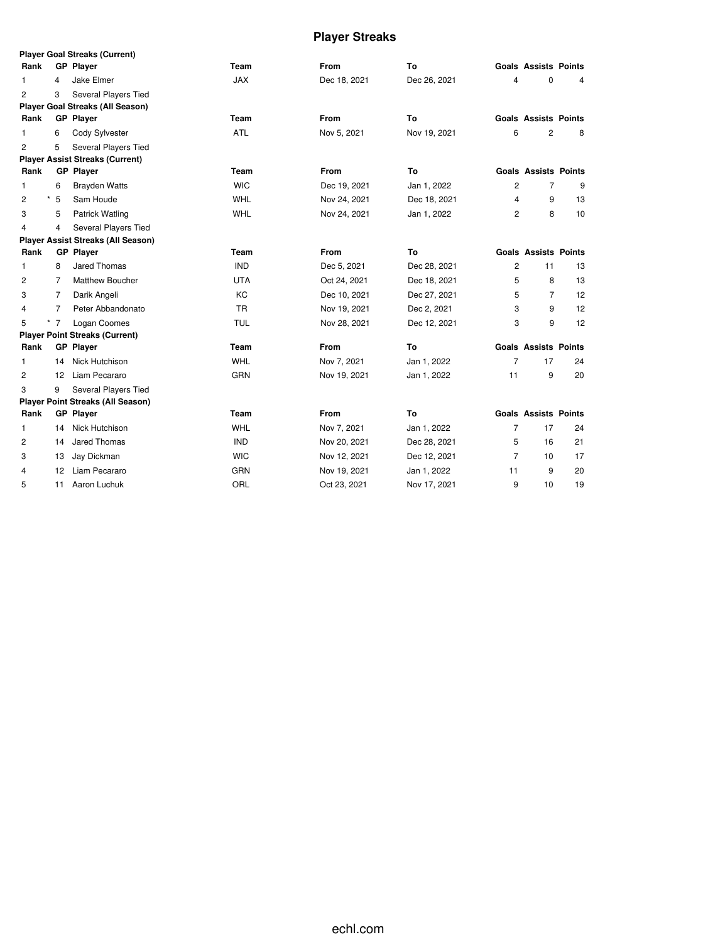# **Player Streaks**

|                |                | <b>Player Goal Streaks (Current)</b>      |            |              |              |                |                             |    |
|----------------|----------------|-------------------------------------------|------------|--------------|--------------|----------------|-----------------------------|----|
| Rank           |                | <b>GP Player</b>                          | Team       | <b>From</b>  | To           |                | <b>Goals Assists Points</b> |    |
| 1              | 4              | Jake Elmer                                | <b>JAX</b> | Dec 18, 2021 | Dec 26, 2021 | 4              | 0                           | 4  |
| $\overline{2}$ | 3              | Several Players Tied                      |            |              |              |                |                             |    |
|                |                | <b>Player Goal Streaks (All Season)</b>   |            |              |              |                |                             |    |
| Rank           |                | <b>GP Player</b>                          | Team       | <b>From</b>  | To           |                | <b>Goals Assists Points</b> |    |
| $\mathbf{1}$   | 6              | Cody Sylvester                            | <b>ATL</b> | Nov 5, 2021  | Nov 19, 2021 | 6              | $\overline{c}$              | 8  |
| 2              | 5              | Several Players Tied                      |            |              |              |                |                             |    |
|                |                | <b>Player Assist Streaks (Current)</b>    |            |              |              |                |                             |    |
| Rank           |                | <b>GP Player</b>                          | Team       | <b>From</b>  | To           |                | <b>Goals Assists Points</b> |    |
| 1.             | 6              | <b>Brayden Watts</b>                      | <b>WIC</b> | Dec 19, 2021 | Jan 1, 2022  | $\overline{2}$ | $\overline{7}$              | 9  |
| 2              | *<br>5         | Sam Houde                                 | <b>WHL</b> | Nov 24, 2021 | Dec 18, 2021 | 4              | 9                           | 13 |
| 3              | 5              | <b>Patrick Watling</b>                    | <b>WHL</b> | Nov 24, 2021 | Jan 1, 2022  | 2              | 8                           | 10 |
| 4              | 4              | Several Players Tied                      |            |              |              |                |                             |    |
|                |                | <b>Player Assist Streaks (All Season)</b> |            |              |              |                |                             |    |
| Rank           |                | <b>GP Player</b>                          | Team       | <b>From</b>  | To           |                | <b>Goals Assists Points</b> |    |
| 1              | 8              | Jared Thomas                              | <b>IND</b> | Dec 5, 2021  | Dec 28, 2021 | $\overline{c}$ | 11                          | 13 |
| 2              | 7              | Matthew Boucher                           | <b>UTA</b> | Oct 24, 2021 | Dec 18, 2021 | 5              | 8                           | 13 |
| 3              | $\overline{7}$ | Darik Angeli                              | <b>KC</b>  | Dec 10, 2021 | Dec 27, 2021 | 5              | $\overline{7}$              | 12 |
| 4              | 7              | Peter Abbandonato                         | <b>TR</b>  | Nov 19, 2021 | Dec 2, 2021  | 3              | 9                           | 12 |
| 5              | $*$ 7          | Logan Coomes                              | <b>TUL</b> | Nov 28, 2021 | Dec 12, 2021 | 3              | 9                           | 12 |
|                |                | <b>Player Point Streaks (Current)</b>     |            |              |              |                |                             |    |
| Rank           |                | <b>GP Player</b>                          | Team       | <b>From</b>  | To           |                | <b>Goals Assists Points</b> |    |
| 1              | 14             | Nick Hutchison                            | <b>WHL</b> | Nov 7, 2021  | Jan 1, 2022  | $\overline{7}$ | 17                          | 24 |
| 2              | 12             | Liam Pecararo                             | GRN        | Nov 19, 2021 | Jan 1, 2022  | 11             | 9                           | 20 |
| 3              | 9              | Several Players Tied                      |            |              |              |                |                             |    |
|                |                | <b>Player Point Streaks (All Season)</b>  |            |              |              |                |                             |    |
| Rank           |                | <b>GP Player</b>                          | Team       | <b>From</b>  | To           |                | <b>Goals Assists Points</b> |    |
| $\mathbf{1}$   | 14             | <b>Nick Hutchison</b>                     | WHL        | Nov 7, 2021  | Jan 1, 2022  | $\overline{7}$ | 17                          | 24 |
| 2              | 14             | Jared Thomas                              | <b>IND</b> | Nov 20, 2021 | Dec 28, 2021 | 5              | 16                          | 21 |
| 3              | 13             | Jay Dickman                               | <b>WIC</b> | Nov 12, 2021 | Dec 12, 2021 | $\overline{7}$ | 10                          | 17 |
| 4              | 12             | Liam Pecararo                             | <b>GRN</b> | Nov 19, 2021 | Jan 1, 2022  | 11             | 9                           | 20 |
| 5              | 11             | Aaron Luchuk                              | ORL        | Oct 23, 2021 | Nov 17, 2021 | 9              | 10                          | 19 |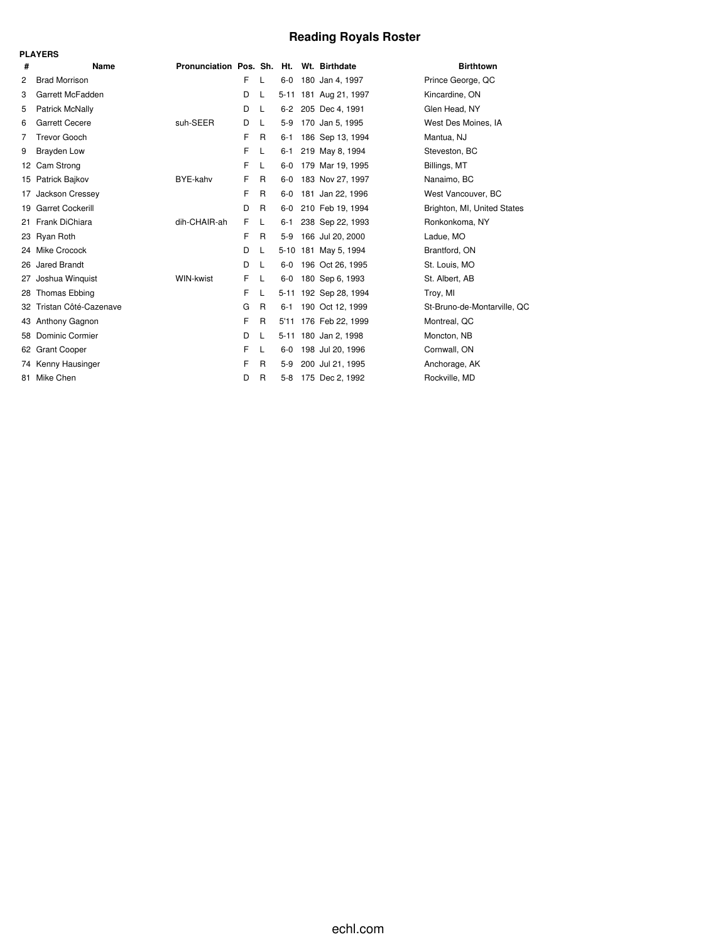# **Reading Royals Roster**

|    | <b>PLAYERS</b>          |                                          |    |              |          |                       |                             |
|----|-------------------------|------------------------------------------|----|--------------|----------|-----------------------|-----------------------------|
| #  | Name                    | Pronunciation Pos. Sh. Ht. Wt. Birthdate |    |              |          |                       | <b>Birthtown</b>            |
| 2  | <b>Brad Morrison</b>    |                                          | F. | L            | $6-0$    | 180 Jan 4, 1997       | Prince George, QC           |
| 3  | Garrett McFadden        |                                          | D  | L            |          | 5-11 181 Aug 21, 1997 | Kincardine, ON              |
| 5  | Patrick McNally         |                                          | D  | L            | $6 - 2$  | 205 Dec 4, 1991       | Glen Head, NY               |
| 6  | <b>Garrett Cecere</b>   | suh-SEER                                 | D  | L            | $5-9$    | 170 Jan 5, 1995       | West Des Moines, IA         |
| 7  | <b>Trevor Gooch</b>     |                                          | F  | R            | $6 - 1$  | 186 Sep 13, 1994      | Mantua, NJ                  |
| 9  | <b>Brayden Low</b>      |                                          | F  | L            | 6-1      | 219 May 8, 1994       | Steveston, BC               |
| 12 | Cam Strong              |                                          | F  | L            | $6-0$    | 179 Mar 19, 1995      | Billings, MT                |
|    | 15 Patrick Bajkov       | BYE-kahv                                 | F  | R            | $6-0$    | 183 Nov 27, 1997      | Nanaimo, BC                 |
| 17 | Jackson Cressey         |                                          | F  | R            | $6-0$    | 181 Jan 22, 1996      | West Vancouver, BC          |
| 19 | <b>Garret Cockerill</b> |                                          | D  | R            | $6-0$    | 210 Feb 19, 1994      | Brighton, MI, United States |
| 21 | Frank DiChiara          | dih-CHAIR-ah                             | F  | L            | $6 - 1$  | 238 Sep 22, 1993      | Ronkonkoma, NY              |
|    | 23 Ryan Roth            |                                          | F  | R            | $5-9$    | 166 Jul 20, 2000      | Ladue, MO                   |
|    | 24 Mike Crocock         |                                          | D  | L            |          | 5-10 181 May 5, 1994  | Brantford, ON               |
|    | 26 Jared Brandt         |                                          | D  | L            | 6-0      | 196 Oct 26, 1995      | St. Louis, MO               |
| 27 | Joshua Winquist         | WIN-kwist                                | F  | L            | $6-0$    | 180 Sep 6, 1993       | St. Albert, AB              |
| 28 | Thomas Ebbing           |                                          | F  | L            | $5 - 11$ | 192 Sep 28, 1994      | Troy, MI                    |
| 32 | Tristan Côté-Cazenave   |                                          | G  | R            | $6 - 1$  | 190 Oct 12, 1999      | St-Bruno-de-Montarville, QC |
|    | 43 Anthony Gagnon       |                                          | F  | R            | 5'11     | 176 Feb 22, 1999      | Montreal, QC                |
| 58 | <b>Dominic Cormier</b>  |                                          | D  | L            |          | 5-11 180 Jan 2, 1998  | Moncton, NB                 |
| 62 | <b>Grant Cooper</b>     |                                          | F  | L            | 6-0      | 198 Jul 20, 1996      | Cornwall, ON                |
|    | 74 Kenny Hausinger      |                                          | F  | R            | $5-9$    | 200 Jul 21, 1995      | Anchorage, AK               |
| 81 | Mike Chen               |                                          | D  | $\mathsf{R}$ | $5-8$    | 175 Dec 2, 1992       | Rockville, MD               |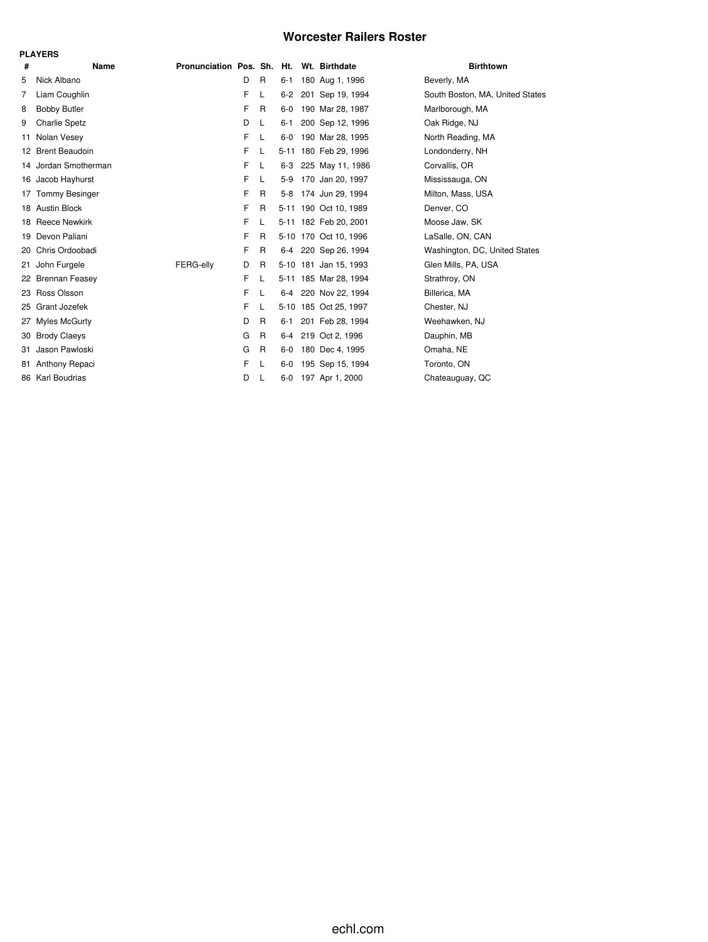## **Worcester Railers Roster**

|    | <b>PLAYERS</b>        |                                          |   |              |         |  |                       |                                 |  |  |  |  |
|----|-----------------------|------------------------------------------|---|--------------|---------|--|-----------------------|---------------------------------|--|--|--|--|
| #  | Name                  | Pronunciation Pos. Sh. Ht. Wt. Birthdate |   |              |         |  |                       | <b>Birthtown</b>                |  |  |  |  |
| 5  | Nick Albano           |                                          | D | R            | $6 - 1$ |  | 180 Aug 1, 1996       | Beverly, MA                     |  |  |  |  |
| 7  | Liam Coughlin         |                                          | F | L            | $6-2$   |  | 201 Sep 19, 1994      | South Boston, MA, United States |  |  |  |  |
| 8  | <b>Bobby Butler</b>   |                                          | F | R            | $6-0$   |  | 190 Mar 28, 1987      | Marlborough, MA                 |  |  |  |  |
| 9  | <b>Charlie Spetz</b>  |                                          | D | L            | $6 - 1$ |  | 200 Sep 12, 1996      | Oak Ridge, NJ                   |  |  |  |  |
| 11 | Nolan Vesey           |                                          | F | L            | 6-0     |  | 190 Mar 28, 1995      | North Reading, MA               |  |  |  |  |
|    | 12 Brent Beaudoin     |                                          | F | L            |         |  | 5-11 180 Feb 29, 1996 | Londonderry, NH                 |  |  |  |  |
|    | 14 Jordan Smotherman  |                                          | F | L            | $6 - 3$ |  | 225 May 11, 1986      | Corvallis, OR                   |  |  |  |  |
|    | 16 Jacob Hayhurst     |                                          | F | L            | $5-9$   |  | 170 Jan 20, 1997      | Mississauga, ON                 |  |  |  |  |
| 17 | <b>Tommy Besinger</b> |                                          | F | R            |         |  | 5-8 174 Jun 29, 1994  | Milton, Mass, USA               |  |  |  |  |
|    | 18 Austin Block       |                                          | F | R            |         |  | 5-11 190 Oct 10, 1989 | Denver, CO                      |  |  |  |  |
|    | 18 Reece Newkirk      |                                          | F | L            |         |  | 5-11 182 Feb 20, 2001 | Moose Jaw, SK                   |  |  |  |  |
| 19 | Devon Paliani         |                                          | F | R            |         |  | 5-10 170 Oct 10, 1996 | LaSalle, ON, CAN                |  |  |  |  |
| 20 | Chris Ordoobadi       |                                          | F | R            |         |  | 6-4 220 Sep 26, 1994  | Washington, DC, United States   |  |  |  |  |
| 21 | John Furgele          | FERG-elly                                | D | R            |         |  | 5-10 181 Jan 15, 1993 | Glen Mills, PA, USA             |  |  |  |  |
|    | 22 Brennan Feasey     |                                          | F | L            |         |  | 5-11 185 Mar 28, 1994 | Strathroy, ON                   |  |  |  |  |
| 23 | Ross Olsson           |                                          | F | L            | 6-4     |  | 220 Nov 22, 1994      | Billerica, MA                   |  |  |  |  |
| 25 | Grant Jozefek         |                                          | F | L            |         |  | 5-10 185 Oct 25, 1997 | Chester, NJ                     |  |  |  |  |
| 27 | <b>Myles McGurty</b>  |                                          | D | R            | 6-1     |  | 201 Feb 28, 1994      | Weehawken, NJ                   |  |  |  |  |
| 30 | <b>Brody Claeys</b>   |                                          | G | $\mathsf{R}$ | $6 - 4$ |  | 219 Oct 2, 1996       | Dauphin, MB                     |  |  |  |  |
| 31 | Jason Pawloski        |                                          | G | $\mathsf{R}$ | 6-0     |  | 180 Dec 4, 1995       | Omaha, NE                       |  |  |  |  |
| 81 | Anthony Repaci        |                                          | F | L            | $6-0$   |  | 195 Sep 15, 1994      | Toronto, ON                     |  |  |  |  |
|    | 86 Karl Boudrias      |                                          | D | L            | 6-0     |  | 197 Apr 1, 2000       | Chateauguay, QC                 |  |  |  |  |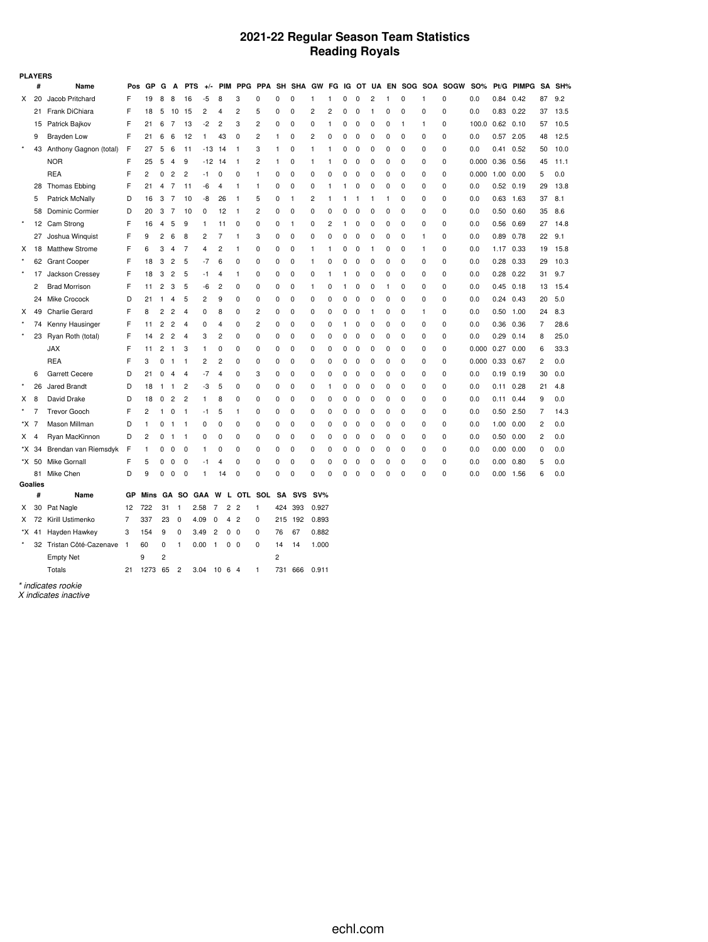## **2021-22 Regular Season Team Statistics Reading Royals**

| #<br>GP<br><b>PIM</b><br><b>PPG</b><br>PPA<br>SH<br><b>SHA</b><br>GW<br>IG OT UA EN SOG SOA SOGW<br>SO%<br>Pt/G PIMPG<br>SA<br>SH%<br>Name<br>Pos<br>G<br>A<br><b>PTS</b><br>FG<br>$+/-$<br>87<br>Jacob Pritchard<br>F<br>19<br>8<br>8<br>-5<br>8<br>3<br>0<br>0<br>0<br>$\overline{\mathbf{c}}$<br>0<br>0<br>0.0<br>0.84<br>0.42<br>9.2<br>Χ<br>20<br>16<br>0<br>1<br>1<br>0<br>$\mathbf{1}$<br>1<br>F<br>$\overline{c}$<br>$\overline{c}$<br>2<br>13.5<br>Frank DiChiara<br>5<br>15<br>5<br>0<br>0<br>2<br>0<br>0<br>0<br>0.0<br>0.83<br>0.22<br>37<br>21<br>18<br>10<br>4<br>0<br>$\mathbf{1}$<br>0<br>0<br>F<br>$-2$<br>$\overline{c}$<br>10.5<br>Patrick Bajkov<br>21<br>7<br>13<br>2<br>3<br>0<br>0<br>0<br>100.0<br>0.62<br>0.10<br>6<br>0<br>1<br>0<br>0<br>1<br>1<br>0<br>57<br>15<br>0<br>F<br>Brayden Low<br>21<br>6<br>6<br>12<br>0<br>2<br>0<br>$\overline{c}$<br>0<br>0<br>0<br>0<br>0.57 2.05<br>48<br>12.5<br>9<br>43<br>1<br>$\Omega$<br>0<br>0<br>0.0<br>-1<br>0<br>$\star$<br>Anthony Gagnon (total)<br>F<br>5<br>10.0<br>43<br>27<br>6<br>11<br>$-13$ 14<br>3<br>0<br>1<br>0<br>0<br>0<br>0<br>0<br>0<br>0.0<br>0.41<br>0.52<br>50<br>$\mathbf{1}$<br>1<br>1<br>0<br>F<br><b>NOR</b><br>25<br>5<br>$\overline{4}$<br>9<br>$-12$ 14<br>2<br>0<br>0<br>$\Omega$<br>0<br>0.000<br>0.36 0.56<br>45<br>11.1<br>1<br>1<br>1<br>0<br>0<br>0<br>0<br>1<br>F<br><b>REA</b><br>2<br>0<br>2<br>$\overline{c}$<br>0<br>0<br>0<br>0<br>0<br>$\Omega$<br>0.000<br>5<br>0.0<br>-1<br>0<br>0<br>0<br>O<br>0<br>0<br>0<br>1.00 0.00<br>1<br>F<br>Thomas Ebbing<br>21<br>7<br>0<br>0<br>0<br>0.0<br>29<br>13.8<br>28<br>11<br>-6<br>$\mathbf{1}$<br>0<br>0<br>O<br>0<br>0<br>$0.52$ 0.19<br>4<br>4<br>1<br>1<br>1<br>0<br>Patrick McNally<br>D<br>3<br>-8<br>0<br>$\overline{c}$<br>0<br>0.0<br>37<br>8.1<br>16<br>7<br>10<br>26<br>1<br>0<br>0<br>0.63 1.63<br>5<br>-1<br>5<br>1<br>1<br>1<br>1<br>1<br>Dominic Cormier<br>D<br>3<br>7<br>0<br>0<br>0<br>35<br>58<br>20<br>10<br>0<br>12<br>$\mathbf{1}$<br>2<br>0<br>0<br>0<br>$\Omega$<br>$\Omega$<br>0<br>0<br>0.0<br>$0.50$ 0.60<br>8.6<br>0<br>$\star$<br>F<br>Cam Strong<br>16<br>4<br>5<br>9<br>0<br>0<br>$\mathbf{1}$<br>0<br>2<br>0<br>0<br>0<br>0<br>0<br>0.0<br>0.56 0.69<br>27<br>14.8<br>12<br>$\mathbf{1}$<br>11<br>$\Omega$<br>1<br>0<br>F<br>$\overline{c}$<br>27<br>Joshua Winquist<br>9<br>6<br>8<br>2<br>$\overline{7}$<br>3<br>0<br>0<br>0<br>0<br>0<br>0<br>0<br>0<br>0.89 0.78<br>22<br>9.1<br>$\mathbf{1}$<br>0<br>1<br>0<br>0.0<br>F<br>2<br><b>Matthew Strome</b><br>6<br>3<br>7<br>0<br>0<br>0<br>0<br>0<br>0<br>1.17 0.33<br>19<br>15.8<br>х<br>18<br>4<br>4<br>$\mathbf{1}$<br>0<br>1<br>0<br>1<br>0.0<br>1<br>1<br>F<br><b>Grant Cooper</b><br>3<br>$\overline{2}$<br>5<br>$-7$<br>6<br>0<br>0<br>$\mathbf 0$<br>0<br>0<br>0<br>0<br>0.0<br>$0.28$ 0.33<br>29<br>10.3<br>62<br>18<br>0<br>1<br>0<br>$\Omega$<br>0<br>$\Omega$<br>F<br>$\star$<br>Jackson Cressey<br>5<br>31<br>17<br>18<br>3<br>2<br>$-1$<br>$\overline{4}$<br>$\Omega$<br>0<br>0<br>0<br>0<br>0<br>0<br>0<br>0<br>0<br>0.0<br>$0.28$ 0.22<br>9.7<br>1<br>1<br>1<br>F<br>2<br><b>Brad Morrison</b><br>2<br>3<br>5<br>-6<br>$\overline{c}$<br>0<br>0<br>$\mathbf 0$<br>$\Omega$<br>0<br>0.0<br>$0.45$ 0.18<br>13<br>15.4<br>11<br>$\Omega$<br>1<br>0<br>1<br>0<br>0<br>1<br>0<br>D<br>24<br>Mike Crocock<br>5<br>$\overline{c}$<br>9<br>0<br>0<br>0<br>0<br>0<br>0<br>0<br>20<br>5.0<br>21<br>$\mathbf{1}$<br>4<br>$\Omega$<br>0<br>$\Omega$<br>O<br>0<br>0<br>0.0<br>$0.24$ 0.43<br>F<br>$\overline{c}$<br>49<br><b>Charlie Gerard</b><br>8<br>2<br>2<br>0<br>0<br>24<br>8.3<br>4<br>0<br>8<br>0<br>0<br>0<br>0<br>0<br>0<br>1<br>0<br>0.0<br>0.50<br>1.00<br>х<br>-1<br>0<br>Kenny Hausinger<br>F<br>2<br>2<br>0<br>2<br>0<br>0<br>0<br>7<br>28.6<br>74<br>11<br>$\overline{4}$<br>0<br>0<br>0<br>0<br>0<br>0<br>0.0<br>0.36<br>0.36<br>4<br>1<br>0<br>0<br>$\star$<br>Ryan Roth (total)<br>F<br>2<br>2<br>25.0<br>23<br>14<br>4<br>3<br>2<br>0<br>0<br>0<br>0<br>0<br>0<br>0<br>0<br>0<br>0<br>0<br>0<br>0.0<br>0.29<br>0.14<br>8<br>0<br>F<br>33.3<br><b>JAX</b><br>2<br>3<br>0<br>0<br>0<br>0<br>0<br>0<br>0<br>0<br>0<br>0<br>0<br>0.000<br>0.27<br>11<br>$\mathbf{1}$<br>$\mathbf{1}$<br>0<br>0<br>0<br>0.00<br>6<br>F<br><b>REA</b><br>$\overline{c}$<br>3<br>0<br>2<br>0<br>0<br>0<br>0<br>0<br>0.000<br>0.33<br>2<br>0.0<br>$\mathbf{1}$<br>$\mathbf{1}$<br>0<br>0<br>0<br>0<br>0<br>0<br>0<br>0<br>0.67<br>D<br><b>Garrett Cecere</b><br>21<br>0<br>-7<br>3<br>0<br>0<br>0<br>0<br>0<br>0<br>0<br>0<br>0.19<br>0.19<br>0.0<br>4<br>$\overline{4}$<br>0<br>0<br>0<br>0<br>0.0<br>30<br>6<br>4 |
|--------------------------------------------------------------------------------------------------------------------------------------------------------------------------------------------------------------------------------------------------------------------------------------------------------------------------------------------------------------------------------------------------------------------------------------------------------------------------------------------------------------------------------------------------------------------------------------------------------------------------------------------------------------------------------------------------------------------------------------------------------------------------------------------------------------------------------------------------------------------------------------------------------------------------------------------------------------------------------------------------------------------------------------------------------------------------------------------------------------------------------------------------------------------------------------------------------------------------------------------------------------------------------------------------------------------------------------------------------------------------------------------------------------------------------------------------------------------------------------------------------------------------------------------------------------------------------------------------------------------------------------------------------------------------------------------------------------------------------------------------------------------------------------------------------------------------------------------------------------------------------------------------------------------------------------------------------------------------------------------------------------------------------------------------------------------------------------------------------------------------------------------------------------------------------------------------------------------------------------------------------------------------------------------------------------------------------------------------------------------------------------------------------------------------------------------------------------------------------------------------------------------------------------------------------------------------------------------------------------------------------------------------------------------------------------------------------------------------------------------------------------------------------------------------------------------------------------------------------------------------------------------------------------------------------------------------------------------------------------------------------------------------------------------------------------------------------------------------------------------------------------------------------------------------------------------------------------------------------------------------------------------------------------------------------------------------------------------------------------------------------------------------------------------------------------------------------------------------------------------------------------------------------------------------------------------------------------------------------------------------------------------------------------------------------------------------------------------------------------------------------------------------------------------------------------------------------------------------------------------------------------------------------------------------------------------------------------------------------------------------------------------------------------------------------------------------------------------------------------------------------------------------------------------------------------------------------------------------------------------------------------------------------------------------------------------------------------------------------------------------------------------------------------------------------------------------------------------------------------------------------------------------------------------------------------------------------------------------------------------------------------------------------|
|                                                                                                                                                                                                                                                                                                                                                                                                                                                                                                                                                                                                                                                                                                                                                                                                                                                                                                                                                                                                                                                                                                                                                                                                                                                                                                                                                                                                                                                                                                                                                                                                                                                                                                                                                                                                                                                                                                                                                                                                                                                                                                                                                                                                                                                                                                                                                                                                                                                                                                                                                                                                                                                                                                                                                                                                                                                                                                                                                                                                                                                                                                                                                                                                                                                                                                                                                                                                                                                                                                                                                                                                                                                                                                                                                                                                                                                                                                                                                                                                                                                                                                                                                                                                                                                                                                                                                                                                                                                                                                                                                                                                                                                        |
|                                                                                                                                                                                                                                                                                                                                                                                                                                                                                                                                                                                                                                                                                                                                                                                                                                                                                                                                                                                                                                                                                                                                                                                                                                                                                                                                                                                                                                                                                                                                                                                                                                                                                                                                                                                                                                                                                                                                                                                                                                                                                                                                                                                                                                                                                                                                                                                                                                                                                                                                                                                                                                                                                                                                                                                                                                                                                                                                                                                                                                                                                                                                                                                                                                                                                                                                                                                                                                                                                                                                                                                                                                                                                                                                                                                                                                                                                                                                                                                                                                                                                                                                                                                                                                                                                                                                                                                                                                                                                                                                                                                                                                                        |
|                                                                                                                                                                                                                                                                                                                                                                                                                                                                                                                                                                                                                                                                                                                                                                                                                                                                                                                                                                                                                                                                                                                                                                                                                                                                                                                                                                                                                                                                                                                                                                                                                                                                                                                                                                                                                                                                                                                                                                                                                                                                                                                                                                                                                                                                                                                                                                                                                                                                                                                                                                                                                                                                                                                                                                                                                                                                                                                                                                                                                                                                                                                                                                                                                                                                                                                                                                                                                                                                                                                                                                                                                                                                                                                                                                                                                                                                                                                                                                                                                                                                                                                                                                                                                                                                                                                                                                                                                                                                                                                                                                                                                                                        |
|                                                                                                                                                                                                                                                                                                                                                                                                                                                                                                                                                                                                                                                                                                                                                                                                                                                                                                                                                                                                                                                                                                                                                                                                                                                                                                                                                                                                                                                                                                                                                                                                                                                                                                                                                                                                                                                                                                                                                                                                                                                                                                                                                                                                                                                                                                                                                                                                                                                                                                                                                                                                                                                                                                                                                                                                                                                                                                                                                                                                                                                                                                                                                                                                                                                                                                                                                                                                                                                                                                                                                                                                                                                                                                                                                                                                                                                                                                                                                                                                                                                                                                                                                                                                                                                                                                                                                                                                                                                                                                                                                                                                                                                        |
|                                                                                                                                                                                                                                                                                                                                                                                                                                                                                                                                                                                                                                                                                                                                                                                                                                                                                                                                                                                                                                                                                                                                                                                                                                                                                                                                                                                                                                                                                                                                                                                                                                                                                                                                                                                                                                                                                                                                                                                                                                                                                                                                                                                                                                                                                                                                                                                                                                                                                                                                                                                                                                                                                                                                                                                                                                                                                                                                                                                                                                                                                                                                                                                                                                                                                                                                                                                                                                                                                                                                                                                                                                                                                                                                                                                                                                                                                                                                                                                                                                                                                                                                                                                                                                                                                                                                                                                                                                                                                                                                                                                                                                                        |
|                                                                                                                                                                                                                                                                                                                                                                                                                                                                                                                                                                                                                                                                                                                                                                                                                                                                                                                                                                                                                                                                                                                                                                                                                                                                                                                                                                                                                                                                                                                                                                                                                                                                                                                                                                                                                                                                                                                                                                                                                                                                                                                                                                                                                                                                                                                                                                                                                                                                                                                                                                                                                                                                                                                                                                                                                                                                                                                                                                                                                                                                                                                                                                                                                                                                                                                                                                                                                                                                                                                                                                                                                                                                                                                                                                                                                                                                                                                                                                                                                                                                                                                                                                                                                                                                                                                                                                                                                                                                                                                                                                                                                                                        |
|                                                                                                                                                                                                                                                                                                                                                                                                                                                                                                                                                                                                                                                                                                                                                                                                                                                                                                                                                                                                                                                                                                                                                                                                                                                                                                                                                                                                                                                                                                                                                                                                                                                                                                                                                                                                                                                                                                                                                                                                                                                                                                                                                                                                                                                                                                                                                                                                                                                                                                                                                                                                                                                                                                                                                                                                                                                                                                                                                                                                                                                                                                                                                                                                                                                                                                                                                                                                                                                                                                                                                                                                                                                                                                                                                                                                                                                                                                                                                                                                                                                                                                                                                                                                                                                                                                                                                                                                                                                                                                                                                                                                                                                        |
|                                                                                                                                                                                                                                                                                                                                                                                                                                                                                                                                                                                                                                                                                                                                                                                                                                                                                                                                                                                                                                                                                                                                                                                                                                                                                                                                                                                                                                                                                                                                                                                                                                                                                                                                                                                                                                                                                                                                                                                                                                                                                                                                                                                                                                                                                                                                                                                                                                                                                                                                                                                                                                                                                                                                                                                                                                                                                                                                                                                                                                                                                                                                                                                                                                                                                                                                                                                                                                                                                                                                                                                                                                                                                                                                                                                                                                                                                                                                                                                                                                                                                                                                                                                                                                                                                                                                                                                                                                                                                                                                                                                                                                                        |
|                                                                                                                                                                                                                                                                                                                                                                                                                                                                                                                                                                                                                                                                                                                                                                                                                                                                                                                                                                                                                                                                                                                                                                                                                                                                                                                                                                                                                                                                                                                                                                                                                                                                                                                                                                                                                                                                                                                                                                                                                                                                                                                                                                                                                                                                                                                                                                                                                                                                                                                                                                                                                                                                                                                                                                                                                                                                                                                                                                                                                                                                                                                                                                                                                                                                                                                                                                                                                                                                                                                                                                                                                                                                                                                                                                                                                                                                                                                                                                                                                                                                                                                                                                                                                                                                                                                                                                                                                                                                                                                                                                                                                                                        |
|                                                                                                                                                                                                                                                                                                                                                                                                                                                                                                                                                                                                                                                                                                                                                                                                                                                                                                                                                                                                                                                                                                                                                                                                                                                                                                                                                                                                                                                                                                                                                                                                                                                                                                                                                                                                                                                                                                                                                                                                                                                                                                                                                                                                                                                                                                                                                                                                                                                                                                                                                                                                                                                                                                                                                                                                                                                                                                                                                                                                                                                                                                                                                                                                                                                                                                                                                                                                                                                                                                                                                                                                                                                                                                                                                                                                                                                                                                                                                                                                                                                                                                                                                                                                                                                                                                                                                                                                                                                                                                                                                                                                                                                        |
|                                                                                                                                                                                                                                                                                                                                                                                                                                                                                                                                                                                                                                                                                                                                                                                                                                                                                                                                                                                                                                                                                                                                                                                                                                                                                                                                                                                                                                                                                                                                                                                                                                                                                                                                                                                                                                                                                                                                                                                                                                                                                                                                                                                                                                                                                                                                                                                                                                                                                                                                                                                                                                                                                                                                                                                                                                                                                                                                                                                                                                                                                                                                                                                                                                                                                                                                                                                                                                                                                                                                                                                                                                                                                                                                                                                                                                                                                                                                                                                                                                                                                                                                                                                                                                                                                                                                                                                                                                                                                                                                                                                                                                                        |
|                                                                                                                                                                                                                                                                                                                                                                                                                                                                                                                                                                                                                                                                                                                                                                                                                                                                                                                                                                                                                                                                                                                                                                                                                                                                                                                                                                                                                                                                                                                                                                                                                                                                                                                                                                                                                                                                                                                                                                                                                                                                                                                                                                                                                                                                                                                                                                                                                                                                                                                                                                                                                                                                                                                                                                                                                                                                                                                                                                                                                                                                                                                                                                                                                                                                                                                                                                                                                                                                                                                                                                                                                                                                                                                                                                                                                                                                                                                                                                                                                                                                                                                                                                                                                                                                                                                                                                                                                                                                                                                                                                                                                                                        |
|                                                                                                                                                                                                                                                                                                                                                                                                                                                                                                                                                                                                                                                                                                                                                                                                                                                                                                                                                                                                                                                                                                                                                                                                                                                                                                                                                                                                                                                                                                                                                                                                                                                                                                                                                                                                                                                                                                                                                                                                                                                                                                                                                                                                                                                                                                                                                                                                                                                                                                                                                                                                                                                                                                                                                                                                                                                                                                                                                                                                                                                                                                                                                                                                                                                                                                                                                                                                                                                                                                                                                                                                                                                                                                                                                                                                                                                                                                                                                                                                                                                                                                                                                                                                                                                                                                                                                                                                                                                                                                                                                                                                                                                        |
|                                                                                                                                                                                                                                                                                                                                                                                                                                                                                                                                                                                                                                                                                                                                                                                                                                                                                                                                                                                                                                                                                                                                                                                                                                                                                                                                                                                                                                                                                                                                                                                                                                                                                                                                                                                                                                                                                                                                                                                                                                                                                                                                                                                                                                                                                                                                                                                                                                                                                                                                                                                                                                                                                                                                                                                                                                                                                                                                                                                                                                                                                                                                                                                                                                                                                                                                                                                                                                                                                                                                                                                                                                                                                                                                                                                                                                                                                                                                                                                                                                                                                                                                                                                                                                                                                                                                                                                                                                                                                                                                                                                                                                                        |
|                                                                                                                                                                                                                                                                                                                                                                                                                                                                                                                                                                                                                                                                                                                                                                                                                                                                                                                                                                                                                                                                                                                                                                                                                                                                                                                                                                                                                                                                                                                                                                                                                                                                                                                                                                                                                                                                                                                                                                                                                                                                                                                                                                                                                                                                                                                                                                                                                                                                                                                                                                                                                                                                                                                                                                                                                                                                                                                                                                                                                                                                                                                                                                                                                                                                                                                                                                                                                                                                                                                                                                                                                                                                                                                                                                                                                                                                                                                                                                                                                                                                                                                                                                                                                                                                                                                                                                                                                                                                                                                                                                                                                                                        |
|                                                                                                                                                                                                                                                                                                                                                                                                                                                                                                                                                                                                                                                                                                                                                                                                                                                                                                                                                                                                                                                                                                                                                                                                                                                                                                                                                                                                                                                                                                                                                                                                                                                                                                                                                                                                                                                                                                                                                                                                                                                                                                                                                                                                                                                                                                                                                                                                                                                                                                                                                                                                                                                                                                                                                                                                                                                                                                                                                                                                                                                                                                                                                                                                                                                                                                                                                                                                                                                                                                                                                                                                                                                                                                                                                                                                                                                                                                                                                                                                                                                                                                                                                                                                                                                                                                                                                                                                                                                                                                                                                                                                                                                        |
|                                                                                                                                                                                                                                                                                                                                                                                                                                                                                                                                                                                                                                                                                                                                                                                                                                                                                                                                                                                                                                                                                                                                                                                                                                                                                                                                                                                                                                                                                                                                                                                                                                                                                                                                                                                                                                                                                                                                                                                                                                                                                                                                                                                                                                                                                                                                                                                                                                                                                                                                                                                                                                                                                                                                                                                                                                                                                                                                                                                                                                                                                                                                                                                                                                                                                                                                                                                                                                                                                                                                                                                                                                                                                                                                                                                                                                                                                                                                                                                                                                                                                                                                                                                                                                                                                                                                                                                                                                                                                                                                                                                                                                                        |
|                                                                                                                                                                                                                                                                                                                                                                                                                                                                                                                                                                                                                                                                                                                                                                                                                                                                                                                                                                                                                                                                                                                                                                                                                                                                                                                                                                                                                                                                                                                                                                                                                                                                                                                                                                                                                                                                                                                                                                                                                                                                                                                                                                                                                                                                                                                                                                                                                                                                                                                                                                                                                                                                                                                                                                                                                                                                                                                                                                                                                                                                                                                                                                                                                                                                                                                                                                                                                                                                                                                                                                                                                                                                                                                                                                                                                                                                                                                                                                                                                                                                                                                                                                                                                                                                                                                                                                                                                                                                                                                                                                                                                                                        |
|                                                                                                                                                                                                                                                                                                                                                                                                                                                                                                                                                                                                                                                                                                                                                                                                                                                                                                                                                                                                                                                                                                                                                                                                                                                                                                                                                                                                                                                                                                                                                                                                                                                                                                                                                                                                                                                                                                                                                                                                                                                                                                                                                                                                                                                                                                                                                                                                                                                                                                                                                                                                                                                                                                                                                                                                                                                                                                                                                                                                                                                                                                                                                                                                                                                                                                                                                                                                                                                                                                                                                                                                                                                                                                                                                                                                                                                                                                                                                                                                                                                                                                                                                                                                                                                                                                                                                                                                                                                                                                                                                                                                                                                        |
|                                                                                                                                                                                                                                                                                                                                                                                                                                                                                                                                                                                                                                                                                                                                                                                                                                                                                                                                                                                                                                                                                                                                                                                                                                                                                                                                                                                                                                                                                                                                                                                                                                                                                                                                                                                                                                                                                                                                                                                                                                                                                                                                                                                                                                                                                                                                                                                                                                                                                                                                                                                                                                                                                                                                                                                                                                                                                                                                                                                                                                                                                                                                                                                                                                                                                                                                                                                                                                                                                                                                                                                                                                                                                                                                                                                                                                                                                                                                                                                                                                                                                                                                                                                                                                                                                                                                                                                                                                                                                                                                                                                                                                                        |
|                                                                                                                                                                                                                                                                                                                                                                                                                                                                                                                                                                                                                                                                                                                                                                                                                                                                                                                                                                                                                                                                                                                                                                                                                                                                                                                                                                                                                                                                                                                                                                                                                                                                                                                                                                                                                                                                                                                                                                                                                                                                                                                                                                                                                                                                                                                                                                                                                                                                                                                                                                                                                                                                                                                                                                                                                                                                                                                                                                                                                                                                                                                                                                                                                                                                                                                                                                                                                                                                                                                                                                                                                                                                                                                                                                                                                                                                                                                                                                                                                                                                                                                                                                                                                                                                                                                                                                                                                                                                                                                                                                                                                                                        |
|                                                                                                                                                                                                                                                                                                                                                                                                                                                                                                                                                                                                                                                                                                                                                                                                                                                                                                                                                                                                                                                                                                                                                                                                                                                                                                                                                                                                                                                                                                                                                                                                                                                                                                                                                                                                                                                                                                                                                                                                                                                                                                                                                                                                                                                                                                                                                                                                                                                                                                                                                                                                                                                                                                                                                                                                                                                                                                                                                                                                                                                                                                                                                                                                                                                                                                                                                                                                                                                                                                                                                                                                                                                                                                                                                                                                                                                                                                                                                                                                                                                                                                                                                                                                                                                                                                                                                                                                                                                                                                                                                                                                                                                        |
|                                                                                                                                                                                                                                                                                                                                                                                                                                                                                                                                                                                                                                                                                                                                                                                                                                                                                                                                                                                                                                                                                                                                                                                                                                                                                                                                                                                                                                                                                                                                                                                                                                                                                                                                                                                                                                                                                                                                                                                                                                                                                                                                                                                                                                                                                                                                                                                                                                                                                                                                                                                                                                                                                                                                                                                                                                                                                                                                                                                                                                                                                                                                                                                                                                                                                                                                                                                                                                                                                                                                                                                                                                                                                                                                                                                                                                                                                                                                                                                                                                                                                                                                                                                                                                                                                                                                                                                                                                                                                                                                                                                                                                                        |
|                                                                                                                                                                                                                                                                                                                                                                                                                                                                                                                                                                                                                                                                                                                                                                                                                                                                                                                                                                                                                                                                                                                                                                                                                                                                                                                                                                                                                                                                                                                                                                                                                                                                                                                                                                                                                                                                                                                                                                                                                                                                                                                                                                                                                                                                                                                                                                                                                                                                                                                                                                                                                                                                                                                                                                                                                                                                                                                                                                                                                                                                                                                                                                                                                                                                                                                                                                                                                                                                                                                                                                                                                                                                                                                                                                                                                                                                                                                                                                                                                                                                                                                                                                                                                                                                                                                                                                                                                                                                                                                                                                                                                                                        |
| D<br>Jared Brandt<br>$\overline{2}$<br>-3<br>5<br>0<br>0<br>0<br>0.28<br>21<br>26<br>18<br>0<br>0<br>0<br>0<br>0<br>0<br>0<br>0<br>0.0<br>4.8<br>-1<br>-1<br>0<br>0.11<br>1                                                                                                                                                                                                                                                                                                                                                                                                                                                                                                                                                                                                                                                                                                                                                                                                                                                                                                                                                                                                                                                                                                                                                                                                                                                                                                                                                                                                                                                                                                                                                                                                                                                                                                                                                                                                                                                                                                                                                                                                                                                                                                                                                                                                                                                                                                                                                                                                                                                                                                                                                                                                                                                                                                                                                                                                                                                                                                                                                                                                                                                                                                                                                                                                                                                                                                                                                                                                                                                                                                                                                                                                                                                                                                                                                                                                                                                                                                                                                                                                                                                                                                                                                                                                                                                                                                                                                                                                                                                                            |
| David Drake<br>D<br>8<br>18<br>0<br>2<br>2<br>8<br>0<br>0<br>0<br>0<br>0<br>0<br>0<br>0<br>0<br>0<br>0<br>0.0<br>$0.11 \quad 0.44$<br>9<br>0.0<br>Χ<br>0<br>0<br>1                                                                                                                                                                                                                                                                                                                                                                                                                                                                                                                                                                                                                                                                                                                                                                                                                                                                                                                                                                                                                                                                                                                                                                                                                                                                                                                                                                                                                                                                                                                                                                                                                                                                                                                                                                                                                                                                                                                                                                                                                                                                                                                                                                                                                                                                                                                                                                                                                                                                                                                                                                                                                                                                                                                                                                                                                                                                                                                                                                                                                                                                                                                                                                                                                                                                                                                                                                                                                                                                                                                                                                                                                                                                                                                                                                                                                                                                                                                                                                                                                                                                                                                                                                                                                                                                                                                                                                                                                                                                                     |
| F<br><b>Trevor Gooch</b><br>2<br>5<br>0<br>0<br>0<br>$\Omega$<br>0<br>0.0<br>0.50 2.50<br>$\overline{7}$<br>14.3<br>7<br>$\mathbf{1}$<br>0<br>$\mathbf{1}$<br>$-1$<br>1<br>$\Omega$<br>0<br>0<br>0<br>0<br>0<br>0                                                                                                                                                                                                                                                                                                                                                                                                                                                                                                                                                                                                                                                                                                                                                                                                                                                                                                                                                                                                                                                                                                                                                                                                                                                                                                                                                                                                                                                                                                                                                                                                                                                                                                                                                                                                                                                                                                                                                                                                                                                                                                                                                                                                                                                                                                                                                                                                                                                                                                                                                                                                                                                                                                                                                                                                                                                                                                                                                                                                                                                                                                                                                                                                                                                                                                                                                                                                                                                                                                                                                                                                                                                                                                                                                                                                                                                                                                                                                                                                                                                                                                                                                                                                                                                                                                                                                                                                                                      |
| Mason Millman<br>D<br>0<br>0<br>0<br>0<br>$1.00$ $0.00$<br>2<br>0.0<br>*X 7<br>0<br>$\mathbf{1}$<br>0<br>0<br>0<br>0<br>0<br>0<br>0<br>0<br>0<br>0<br>0<br>0.0<br>1<br>-1                                                                                                                                                                                                                                                                                                                                                                                                                                                                                                                                                                                                                                                                                                                                                                                                                                                                                                                                                                                                                                                                                                                                                                                                                                                                                                                                                                                                                                                                                                                                                                                                                                                                                                                                                                                                                                                                                                                                                                                                                                                                                                                                                                                                                                                                                                                                                                                                                                                                                                                                                                                                                                                                                                                                                                                                                                                                                                                                                                                                                                                                                                                                                                                                                                                                                                                                                                                                                                                                                                                                                                                                                                                                                                                                                                                                                                                                                                                                                                                                                                                                                                                                                                                                                                                                                                                                                                                                                                                                              |
| Ryan MacKinnon<br>D<br>x<br>2<br>0<br>$\mathbf{1}$<br>0<br>0<br>0<br>0<br>0<br>0<br>0<br>0<br>0<br>O<br>0<br>0<br>0<br>0<br>0.0<br>$0.50 \quad 0.00$<br>2<br>0.0<br>4<br>-1<br>0                                                                                                                                                                                                                                                                                                                                                                                                                                                                                                                                                                                                                                                                                                                                                                                                                                                                                                                                                                                                                                                                                                                                                                                                                                                                                                                                                                                                                                                                                                                                                                                                                                                                                                                                                                                                                                                                                                                                                                                                                                                                                                                                                                                                                                                                                                                                                                                                                                                                                                                                                                                                                                                                                                                                                                                                                                                                                                                                                                                                                                                                                                                                                                                                                                                                                                                                                                                                                                                                                                                                                                                                                                                                                                                                                                                                                                                                                                                                                                                                                                                                                                                                                                                                                                                                                                                                                                                                                                                                       |
| Brendan van Riemsdyk<br>F<br>0<br>0<br>0<br>0<br>0<br>0<br>0<br>0<br>$\Omega$<br>$\Omega$<br>0<br>0<br>0.0<br>$0.00 \quad 0.00$<br>0<br>0.0<br>*X 34<br>0<br>1<br>0<br>0<br>0<br>0<br>1                                                                                                                                                                                                                                                                                                                                                                                                                                                                                                                                                                                                                                                                                                                                                                                                                                                                                                                                                                                                                                                                                                                                                                                                                                                                                                                                                                                                                                                                                                                                                                                                                                                                                                                                                                                                                                                                                                                                                                                                                                                                                                                                                                                                                                                                                                                                                                                                                                                                                                                                                                                                                                                                                                                                                                                                                                                                                                                                                                                                                                                                                                                                                                                                                                                                                                                                                                                                                                                                                                                                                                                                                                                                                                                                                                                                                                                                                                                                                                                                                                                                                                                                                                                                                                                                                                                                                                                                                                                                |
| Mike Gornall<br>F<br>*X 50<br>5<br>0<br>0<br>0<br>0<br>0<br>0<br>0<br>0<br>0<br>$\Omega$<br>$\Omega$<br>0<br>0<br>0.0<br>0.80<br>0.0<br>$-1$<br>0<br>0<br>0.00<br>4<br>0<br>5                                                                                                                                                                                                                                                                                                                                                                                                                                                                                                                                                                                                                                                                                                                                                                                                                                                                                                                                                                                                                                                                                                                                                                                                                                                                                                                                                                                                                                                                                                                                                                                                                                                                                                                                                                                                                                                                                                                                                                                                                                                                                                                                                                                                                                                                                                                                                                                                                                                                                                                                                                                                                                                                                                                                                                                                                                                                                                                                                                                                                                                                                                                                                                                                                                                                                                                                                                                                                                                                                                                                                                                                                                                                                                                                                                                                                                                                                                                                                                                                                                                                                                                                                                                                                                                                                                                                                                                                                                                                          |
| 81 Mike Chen<br>D<br>9<br>0<br>0<br>0<br>0<br>0<br>0<br>0<br>0<br>0<br>$\Omega$<br>$\Omega$<br>0<br>0<br>0<br>0.0<br>$0.00$ 1.56<br>0.0<br>$\mathbf{1}$<br>14<br>$\Omega$<br>0<br>6                                                                                                                                                                                                                                                                                                                                                                                                                                                                                                                                                                                                                                                                                                                                                                                                                                                                                                                                                                                                                                                                                                                                                                                                                                                                                                                                                                                                                                                                                                                                                                                                                                                                                                                                                                                                                                                                                                                                                                                                                                                                                                                                                                                                                                                                                                                                                                                                                                                                                                                                                                                                                                                                                                                                                                                                                                                                                                                                                                                                                                                                                                                                                                                                                                                                                                                                                                                                                                                                                                                                                                                                                                                                                                                                                                                                                                                                                                                                                                                                                                                                                                                                                                                                                                                                                                                                                                                                                                                                    |
| Goalies<br>#<br>Name<br>GA SO<br>GAA W<br>L OTL SOL<br>SA<br><b>SVS</b><br>$SV\%$<br>GР<br>Mins                                                                                                                                                                                                                                                                                                                                                                                                                                                                                                                                                                                                                                                                                                                                                                                                                                                                                                                                                                                                                                                                                                                                                                                                                                                                                                                                                                                                                                                                                                                                                                                                                                                                                                                                                                                                                                                                                                                                                                                                                                                                                                                                                                                                                                                                                                                                                                                                                                                                                                                                                                                                                                                                                                                                                                                                                                                                                                                                                                                                                                                                                                                                                                                                                                                                                                                                                                                                                                                                                                                                                                                                                                                                                                                                                                                                                                                                                                                                                                                                                                                                                                                                                                                                                                                                                                                                                                                                                                                                                                                                                        |
| 30 Pat Nagle<br>393<br>0.927<br>12<br>722<br>31<br>2.58<br>7<br>2<br>$\overline{2}$<br>424<br>X<br>1<br>-1                                                                                                                                                                                                                                                                                                                                                                                                                                                                                                                                                                                                                                                                                                                                                                                                                                                                                                                                                                                                                                                                                                                                                                                                                                                                                                                                                                                                                                                                                                                                                                                                                                                                                                                                                                                                                                                                                                                                                                                                                                                                                                                                                                                                                                                                                                                                                                                                                                                                                                                                                                                                                                                                                                                                                                                                                                                                                                                                                                                                                                                                                                                                                                                                                                                                                                                                                                                                                                                                                                                                                                                                                                                                                                                                                                                                                                                                                                                                                                                                                                                                                                                                                                                                                                                                                                                                                                                                                                                                                                                                             |
| 0.893<br>72 Kirill Ustimenko<br>23<br>192<br>7<br>337<br>4.09<br>0<br>$\overline{2}$<br>215<br>0<br>4<br>0<br>X                                                                                                                                                                                                                                                                                                                                                                                                                                                                                                                                                                                                                                                                                                                                                                                                                                                                                                                                                                                                                                                                                                                                                                                                                                                                                                                                                                                                                                                                                                                                                                                                                                                                                                                                                                                                                                                                                                                                                                                                                                                                                                                                                                                                                                                                                                                                                                                                                                                                                                                                                                                                                                                                                                                                                                                                                                                                                                                                                                                                                                                                                                                                                                                                                                                                                                                                                                                                                                                                                                                                                                                                                                                                                                                                                                                                                                                                                                                                                                                                                                                                                                                                                                                                                                                                                                                                                                                                                                                                                                                                        |
| 3.49<br>$\overline{2}$<br>0.882<br>*X 41 Hayden Hawkey<br>3<br>9<br>0<br>$\mathbf 0$<br>0<br>67<br>154<br>0<br>76                                                                                                                                                                                                                                                                                                                                                                                                                                                                                                                                                                                                                                                                                                                                                                                                                                                                                                                                                                                                                                                                                                                                                                                                                                                                                                                                                                                                                                                                                                                                                                                                                                                                                                                                                                                                                                                                                                                                                                                                                                                                                                                                                                                                                                                                                                                                                                                                                                                                                                                                                                                                                                                                                                                                                                                                                                                                                                                                                                                                                                                                                                                                                                                                                                                                                                                                                                                                                                                                                                                                                                                                                                                                                                                                                                                                                                                                                                                                                                                                                                                                                                                                                                                                                                                                                                                                                                                                                                                                                                                                      |
| $\star$<br>32 Tristan Côté-Cazenave<br>60<br>0.00<br>1.000<br>$\overline{1}$<br>0<br>$\mathbf{1}$<br>$\mathbf 0$<br>0<br>$\Omega$<br>14<br>14<br>1                                                                                                                                                                                                                                                                                                                                                                                                                                                                                                                                                                                                                                                                                                                                                                                                                                                                                                                                                                                                                                                                                                                                                                                                                                                                                                                                                                                                                                                                                                                                                                                                                                                                                                                                                                                                                                                                                                                                                                                                                                                                                                                                                                                                                                                                                                                                                                                                                                                                                                                                                                                                                                                                                                                                                                                                                                                                                                                                                                                                                                                                                                                                                                                                                                                                                                                                                                                                                                                                                                                                                                                                                                                                                                                                                                                                                                                                                                                                                                                                                                                                                                                                                                                                                                                                                                                                                                                                                                                                                                     |

*\* indicates rookie*

Empty Net  $\begin{array}{cccc} 9 & 2 & \end{array}$  2

Totals 21 1273 65 2 3.04 10 6 4 1 731 666 0.911

*X indicates inactive*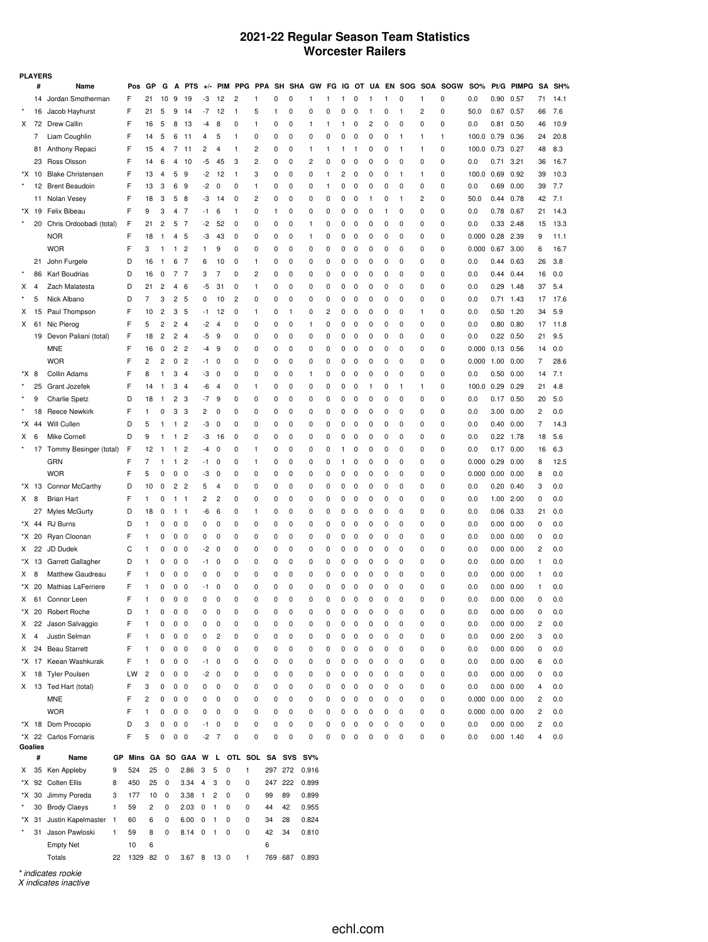## **2021-22 Regular Season Team Statistics Worcester Railers**

|         | <b>PLAYERS</b> |                           |                    |                |              |                |                         |                         |                               |                                   |    |             |          |          |              |   |          |              |          |              |          |                          |                       |                   |            |          |        |
|---------|----------------|---------------------------|--------------------|----------------|--------------|----------------|-------------------------|-------------------------|-------------------------------|-----------------------------------|----|-------------|----------|----------|--------------|---|----------|--------------|----------|--------------|----------|--------------------------|-----------------------|-------------------|------------|----------|--------|
|         | #              | Name                      | Pos                | GP             | G            | А              | <b>PTS</b>              | $+/-$                   |                               | PIM PPG PPA                       |    | SH          |          | SHA GW   | FG           |   |          |              |          |              |          | IG OT UA EN SOG SOA SOGW | <b>SO%</b>            |                   | Pt/G PIMPG |          | SA SH% |
|         | 14             | Jordan Smotherman         | F                  | 21             | 10           | 9              | 19                      | -3                      | 12                            | 2                                 | 1  | 0           | 0        | 1        | 1            | 1 | 0        | $\mathbf{1}$ | 1        | 0            | 1        | 0                        | 0.0                   | 0.90              | 0.57       | 71       | 14.1   |
| $\star$ | 16             | Jacob Hayhurst            | F                  | 21             | 5            | 9              | 14                      | -7                      | 12                            | 1                                 | 5  | 1           | 0        | 0        | 0            | 0 | 0        | -1           | 0        | $\mathbf{1}$ | 2        | 0                        | 50.0                  | 0.67 0.57         |            | 66       | 7.6    |
| X       | 72             | <b>Drew Callin</b>        | F                  | 16             | 5            | 8              | 13                      | -4                      | 8                             | 0                                 | 1  | 0           | 0        | 1        | 1            | 1 | 0        | 2            | 0        | 0            | 0        | 0                        | 0.0                   | 0.81              | 0.50       | 46       | 10.9   |
|         | 7              | Liam Coughlin             | F                  | 14             | 5            | 6              | 11                      | 4                       | 5                             | 1                                 | 0  | 0           | 0        | 0        | 0            | 0 | 0        | 0            | 0        | $\mathbf{1}$ | 1        | 1                        | 100.0                 | 0.79              | 0.36       | 24       | 20.8   |
|         | 81             | Anthony Repaci            | F                  | 15             | 4            | 7              | 11                      | 2                       | 4                             | 1                                 | 2  | 0           | 0        | 1        | 1            | 1 | 1        | 0            | 0        | $\mathbf{1}$ | 1        | 0                        | 100.0                 | 0.73              | 0.27       | 48       | 8.3    |
|         | 23             | Ross Olsson               | F                  | 14             | 6            | $\overline{4}$ | 10                      | -5                      | 45                            | 3                                 | 2  | $\mathbf 0$ | 0        | 2        | 0            | 0 | 0        | 0            | 0        | 0            | $\Omega$ | 0                        | 0.0                   | 0.71              | 3.21       | 36       | 16.7   |
| *X.     | 10             | <b>Blake Christensen</b>  | F                  | 13             | 4            | 5              | 9                       | -2                      | 12                            | 1                                 | 3  | 0           | 0        | 0        | $\mathbf{1}$ | 2 | 0        | 0            | 0        | $\mathbf{1}$ | 1        | 0                        | 100.0                 | 0.69              | 0.92       | 39       | 10.3   |
| $\star$ |                | 12 Brent Beaudoin         | F                  | 13             | 3            | 6              | 9                       | -2                      | 0                             | 0                                 | 1  | 0           | 0        | 0        | $\mathbf{1}$ | 0 | 0        | 0            | 0        | 0            | 0        | 0                        | 0.0                   | 0.69              | 0.00       | 39       | 7.7    |
|         |                | 11 Nolan Vesey            | F                  | 18             | 3            | 5              | 8                       | -3                      | 14                            | 0                                 | 2  | 0           | 0        | 0        | 0            | 0 | 0        | $\mathbf{1}$ | 0        | $\mathbf{1}$ | 2        | 0                        | 50.0                  | 0.44              | 0.78       | 42       | 7.1    |
| *X      | 19             | Felix Bibeau              | F                  | 9              | 3            | $\overline{4}$ | $\overline{7}$          | -1                      | 6                             | 1                                 | 0  | 1           | 0        | 0        | 0            | 0 | 0        | 0            | 1        | 0            | $\Omega$ | 0                        | 0.0                   | 0.78              | 0.67       | 21       | 14.3   |
| $\star$ | 20             | Chris Ordoobadi (total)   | F                  | 21             | 2            | 5              | 7                       | -2                      | 52                            | 0                                 | 0  | 0           | 0        | 1        | 0            | 0 | 0        | 0            | 0        | 0            | 0        | 0                        | 0.0                   | 0.33 2.48         |            | 15       | 13.3   |
|         |                | <b>NOR</b>                | F                  | 18             | 1            | 4              | 5                       | -3                      | 43                            | 0                                 | 0  | 0           | 0        | 1        | 0            | 0 | 0        | 0            | 0        | 0            | $\Omega$ | 0                        | 0.000                 | 0.28 2.39         |            | 9        | 11.1   |
|         |                | <b>WOR</b>                | F                  | 3              | -1           | 1              | 2                       | 1                       | 9                             | 0                                 | 0  | 0           | 0        | 0        | 0            | 0 | 0        | 0            | 0        | 0            | 0        | 0                        | 0.000                 | 0.67 3.00         |            | 6        | 16.7   |
|         | 21             | John Furgele              | D                  | 16             | -1           | 6              | 7                       | 6                       | 10                            | 0                                 | 1  | 0           | 0        | 0        | 0            | 0 | 0        | 0            | 0        | 0            | $\Omega$ | 0                        | 0.0                   | 0.44              | 0.63       | 26       | 3.8    |
|         |                | Karl Boudrias             | D                  |                |              | 7              | 7                       |                         | 7                             | 0                                 | 2  |             |          |          |              |   |          |              |          |              | 0        |                          |                       |                   | 0.44       | 16       | 0.0    |
|         | 86             |                           |                    | 16             | 0            |                |                         | 3                       |                               |                                   |    | 0           | 0        | 0        | 0            | 0 | 0        | 0            | 0        | 0            | $\Omega$ | 0                        | 0.0                   | 0.44              |            |          |        |
| х       | 4              | Zach Malatesta            | D                  | 21             | 2            | 4              | 6                       | -5                      | 31                            | 0                                 | 1  | 0           | 0        | 0        | 0            | 0 | 0        | 0            | 0        | 0            |          | 0                        | 0.0                   | $0.29$ 1.48       |            | 37       | 5.4    |
|         | 5              | Nick Albano               | D                  | $\overline{7}$ | 3            | 2              | 5                       | 0                       | 10                            | 2                                 | 0  | 0           | 0        | 0        | 0            | 0 | 0        | 0            | 0        | 0            | 0        | 0                        | 0.0                   | $0.71$ 1.43       |            | 17       | 17.6   |
| Х       | 15             | Paul Thompson             | F                  | 10             | 2            | 3              | 5                       | -1                      | 12                            | 0                                 | 1  | 0           | 1        | 0        | 2            | 0 | 0        | 0            | 0        | 0            | 1        | 0                        | 0.0                   | $0.50$ 1.20       |            | 34       | 5.9    |
| х       | 61             | Nic Pierog                | F                  | 5              | 2            | 2              | $\overline{4}$          | -2                      | 4                             | 0                                 | 0  | 0           | 0        | 1        | 0            | 0 | 0        | 0            | 0        | 0            | 0        | 0                        | 0.0                   | 0.80              | 0.80       | 17       | 11.8   |
|         | 19             | Devon Paliani (total)     | F                  | 18             | 2            | 2              | $\overline{4}$          | -5                      | 9                             | 0                                 | 0  | 0           | 0        | 0        | 0            | 0 | 0        | 0            | 0        | 0            | 0        | 0                        | 0.0                   | $0.22 \quad 0.50$ |            | 21       | 9.5    |
|         |                | <b>MNE</b>                | F                  | 16             | 0            | 2              | $\overline{c}$          | -4                      | 9                             | 0                                 | 0  | 0           | 0        | 0        | 0            | 0 | 0        | 0            | 0        | 0            | 0        | 0                        | 0.000                 | $0.13$ 0.56       |            | 14       | 0.0    |
|         |                | <b>WOR</b>                | F                  | 2              | 2            | 0              | $\overline{c}$          | -1                      | 0                             | 0                                 | 0  | $\mathbf 0$ | 0        | 0        | 0            | 0 | 0        | 0            | 0        | 0            | 0        | 0                        | 0.000                 | 1.00              | 0.00       | 7        | 28.6   |
| *X      | 8              | Collin Adams              | F                  | 8              | $\mathbf{1}$ | 3              | $\overline{4}$          | -3                      | 0                             | 0                                 | 0  | 0           | 0        | 1        | 0            | 0 | 0        | 0            | 0        | 0            | 0        | 0                        | 0.0                   | 0.50              | 0.00       | 14       | 7.1    |
|         | 25             | Grant Jozefek             | F                  | 14             | 1            | 3              | $\overline{4}$          | -6                      | $\overline{4}$                | 0                                 | 1  | 0           | 0        | 0        | 0            | 0 | 0        | -1           | 0        | $\mathbf{1}$ | 1        | 0                        | 100.0                 | $0.29$ 0.29       |            | 21       | 4.8    |
|         | 9              | <b>Charlie Spetz</b>      | D                  | 18             | 1            | 2              | 3                       | -7                      | 9                             | 0                                 | 0  | 0           | 0        | 0        | 0            | 0 | 0        | 0            | 0        | 0            | 0        | 0                        | 0.0                   | $0.17$ $0.50$     |            | 20       | 5.0    |
|         | 18             | <b>Reece Newkirk</b>      | F                  | $\mathbf{1}$   | 0            | 3              | 3                       | 2                       | 0                             | 0                                 | 0  | 0           | 0        | 0        | 0            | 0 | 0        | 0            | 0        | 0            | 0        | 0                        | 0.0                   | 3.00              | 0.00       | 2        | 0.0    |
| *X      | 44             | Will Cullen               | D                  | 5              | -1           | 1              | $\overline{\mathbf{c}}$ | -3                      | 0                             | 0                                 | 0  | 0           | 0        | 0        | 0            | 0 | 0        | 0            | 0        | 0            | 0        | 0                        | 0.0                   | 0.40              | 0.00       | 7        | 14.3   |
| Χ       | 6              | Mike Cornell              | D                  | 9              | -1           | 1              | $\overline{\mathbf{c}}$ | -3                      | 16                            | 0                                 | 0  | 0           | 0        | 0        | 0            | 0 | 0        | 0            | 0        | 0            | 0        | 0                        | 0.0                   | $0.22$ 1.78       |            | 18       | 5.6    |
|         |                | 17 Tommy Besinger (total) | F                  | 12             | 1            | 1              | 2                       | -4                      | 0                             | 0                                 | 1  | 0           | 0        | 0        | 0            | 1 | 0        | 0            | 0        | 0            | 0        | 0                        | 0.0                   | $0.17$ $0.00$     |            | 16       | 6.3    |
|         |                | <b>GRN</b>                | F                  | 7              | 1            | 1              | 2                       | -1                      | 0                             | 0                                 | 1  | 0           | 0        | 0        | 0            | 1 | 0        | 0            | 0        | 0            | 0        | 0                        | 0.000                 | 0.29              | 0.00       | 8        | 12.5   |
|         |                | <b>WOR</b>                | F                  | 5              | 0            | $\pmb{0}$      | 0                       | -3                      | 0                             | 0                                 | 0  | 0           | 0        | 0        | 0            | 0 | 0        | 0            | 0        | 0            | 0        | 0                        | 0.000                 | 0.00              | 0.00       | 8        | 0.0    |
|         | *X 13          | Connor McCarthy           | D                  | 10             | 0            | 2              | $\overline{c}$          | 5                       | 4                             | 0                                 | 0  | 0           | 0        | 0        | 0            | 0 | 0        | 0            | 0        | 0            | 0        | 0                        | 0.0                   | $0.20$ $0.40$     |            | 3        | 0.0    |
| X       | 8              | <b>Brian Hart</b>         | F                  | 1              | 0            | 1              | 1                       | 2                       | $\overline{\mathbf{c}}$       | 0                                 | 0  | 0           | 0        | 0        | 0            | 0 | 0        | 0            | 0        | 0            | 0        | 0                        | 0.0                   |                   | 1.00 2.00  | 0        | 0.0    |
|         | 27             | Myles McGurty             | D                  | 18             | 0            | 1              | 1                       | -6                      | 6                             | 0                                 | 1  | 0           | 0        | 0        | 0            | 0 | 0        | 0            | 0        | 0            | 0        | $\mathbf 0$              | 0.0                   | 0.06              | 0.33       | 21       | 0.0    |
| *X .    | 44             | <b>RJ</b> Burns           | D                  | 1              | 0            | 0              | 0                       | 0                       | 0                             | 0                                 | 0  | 0           | 0        | 0        | 0            | 0 | 0        | 0            | 0        | 0            | 0        | 0                        | 0.0                   | 0.00              | 0.00       | 0        | 0.0    |
|         | *X 20          | Ryan Cloonan              | F                  | 1              | 0            | 0              | 0                       | 0                       | 0                             | 0                                 | 0  | 0           | 0        | 0        | 0            | 0 | 0        | 0            | 0        | 0            | 0        | 0                        | 0.0                   | 0.00 0.00         |            | 0        | 0.0    |
| X       | 22             | JD Dudek                  | C                  | 1              | 0            | 0              | 0                       | -2                      | 0                             | 0                                 | 0  | 0           | 0        | 0        | 0            | 0 | 0        | 0            | 0        | 0            | 0        | 0                        | 0.0                   | 0.00              | 0.00       | 2        | 0.0    |
| *X      | 13             | Garrett Gallagher         | D                  | 1              |              | $\pmb{0}$      |                         |                         | 0                             | 0                                 | 0  | 0           | 0        | 0        | 0            | 0 | 0        | 0            |          | 0            | 0        | 0                        |                       |                   |            | 1        |        |
|         |                |                           |                    |                | 0            |                | 0                       | -1                      |                               |                                   |    |             |          |          |              |   |          |              | 0        |              |          |                          | 0.0                   | $0.00 \quad 0.00$ |            |          | 0.0    |
| Χ       | 8              | Matthew Gaudreau          | F                  | 1              | 0            | 0              | 0                       | 0                       | 0                             | 0                                 | 0  | 0           | 0        | 0        | 0            | 0 | 0        | 0            | 0        | 0            | 0        | 0                        | 0.0                   | 0.00              | 0.00       | 1        | 0.0    |
|         | *X 20          | Mathias LaFerriere        | F                  | 1              | 0            | 0              | 0                       | -1                      | 0                             | 0                                 | 0  | 0           | 0        | 0        | 0            | 0 | 0        | 0            | 0        | 0            | 0        | 0                        | 0.0                   | 0.00              | 0.00       | 1        | 0.0    |
| X       |                | 61 Connor Leen            | F                  | 1              | $\mathbf 0$  | 0              | $\Omega$                | $\Omega$                | 0                             | 0                                 | 0  | $\Omega$    | $\Omega$ | $\Omega$ | $\Omega$     | 0 | $\Omega$ | $\Omega$     | $\Omega$ | $\Omega$     | $\Omega$ | $\Omega$                 | 0.0                   | 0.00              | 0.00       | $\Omega$ | 0.0    |
|         | *X 20          | Robert Roche              | D                  | 1              | 0            | $\pmb{0}$      | $\mathbf 0$             | 0                       | 0                             | 0                                 | 0  | 0           | 0        | 0        | 0            | 0 | 0        | 0            | 0        | 0            | 0        | 0                        | 0.0                   | $0.00 \quad 0.00$ |            | 0        | 0.0    |
| Х       | 22             | Jason Salvaggio           | F                  | 1              | 0            | 0              | 0                       | 0                       | 0                             | 0                                 | 0  | 0           | 0        | 0        | 0            | 0 | 0        | 0            | 0        | 0            | 0        | 0                        | 0.0                   | 0.00 0.00         |            | 2        | 0.0    |
| Χ       | 4              | Justin Selman             | F                  | 1              | 0            | 0              | $\mathbf 0$             | 0                       | 2                             | 0                                 | 0  | 0           | 0        | 0        | 0            | 0 | 0        | 0            | 0        | 0            | 0        | 0                        | 0.0                   | $0.00$ 2.00       |            | 3        | 0.0    |
| Χ       |                | 24 Beau Starrett          | F                  | 1              | 0            | 0              | 0                       | 0                       | 0                             | 0                                 | 0  | 0           | 0        | 0        | $\pmb{0}$    | 0 | 0        | 0            | 0        | 0            | 0        | 0                        | 0.0                   | 0.00 0.00         |            | 0        | 0.0    |
| *X .    | 17             | Keean Washkurak           | F                  | 1              | 0            | 0              | 0                       | -1                      | 0                             | 0                                 | 0  | 0           | 0        | 0        | 0            | 0 | 0        | 0            | 0        | 0            | 0        | $\mathbf 0$              | 0.0                   | 0.00 0.00         |            | 6        | 0.0    |
| Χ       | 18             | <b>Tyler Poulsen</b>      | LW                 | 2              | 0            | 0              | 0                       | -2                      | 0                             | 0                                 | 0  | 0           | 0        | 0        | $\pmb{0}$    | 0 | 0        | 0            | 0        | 0            | 0        | 0                        | 0.0                   | 0.00 0.00         |            | 0        | 0.0    |
|         |                | X 13 Ted Hart (total)     | F                  | 3              | 0            | 0              | $\mathbf 0$             | 0                       | 0                             | 0                                 | 0  | 0           | 0        | 0        | $\pmb{0}$    | 0 | 0        | 0            | 0        | 0            | 0        | 0                        | 0.0                   | 0.00 0.00         |            | 4        | 0.0    |
|         |                | <b>MNE</b>                | F                  | 2              | 0            | 0              | 0                       | 0                       | 0                             | 0                                 | 0  | 0           | 0        | 0        | $\pmb{0}$    | 0 | 0        | 0            | 0        | 0            | 0        | 0                        | 0.000                 | $0.00 \quad 0.00$ |            | 2        | 0.0    |
|         |                | <b>WOR</b>                | F                  | 1              | 0            | 0              | 0                       | 0                       | 0                             | 0                                 | 0  | 0           | 0        | 0        | $\pmb{0}$    | 0 | 0        | 0            | 0        | 0            | 0        | 0                        | $0.000$ $0.00$ $0.00$ |                   |            | 2        | 0.0    |
|         |                | *X 18 Dom Procopio        | D                  | 3              | 0            | $\pmb{0}$      | 0                       | -1                      | 0                             | 0                                 | 0  | 0           | 0        | 0        | 0            | 0 | 0        | 0            | 0        | 0            | 0        | 0                        | 0.0                   |                   | 0.00 0.00  | 2        | 0.0    |
|         |                | *X 22 Carlos Fornaris     | F                  | 5              | 0            | $\mathbf 0$    | 0                       | $-2$                    | $\overline{7}$                | 0                                 | 0  | 0           | 0        | 0        | 0            | 0 | 0        | 0            | 0        | 0            | 0        | 0                        | 0.0                   | $0.00$ 1.40       |            | 4        | 0.0    |
|         | Goalies        |                           |                    |                |              |                |                         |                         |                               |                                   |    |             |          |          |              |   |          |              |          |              |          |                          |                       |                   |            |          |        |
|         | #              | Name                      | GP                 |                |              |                |                         |                         |                               | Mins GA SO GAA W L OTL SOL SA SVS |    |             |          | SV%      |              |   |          |              |          |              |          |                          |                       |                   |            |          |        |
| X       |                | 35 Ken Appleby            | 524<br>9           | 25             | $\mathbf 0$  |                | 2.86                    | $\overline{3}$          | 5<br>0                        | 1                                 |    |             | 297 272  | 0.916    |              |   |          |              |          |              |          |                          |                       |                   |            |          |        |
|         |                | *X 92 Colten Ellis        | 8<br>450           | 25             | 0            |                | 3.34                    | $\overline{4}$          | 3<br>0                        | 0                                 |    | 247         | 222      | 0.899    |              |   |          |              |          |              |          |                          |                       |                   |            |          |        |
| *X      | 30             | Jimmy Poreda              | 3<br>177           | 10             | 0            |                | 3.38                    | $\overline{1}$          | $\overline{c}$<br>0           | 0                                 | 99 |             | 89       | 0.899    |              |   |          |              |          |              |          |                          |                       |                   |            |          |        |
| $\star$ | 30             | <b>Brody Claeys</b>       | $\mathbf{1}$<br>59 | 2              | 0            |                | $2.03 \t 0 \t 1$        |                         | $\mathbf 0$                   | 0                                 | 44 |             | 42       | 0.955    |              |   |          |              |          |              |          |                          |                       |                   |            |          |        |
| *X .    | 31             | Justin Kapelmaster 1      | 60                 | 6              | 0            |                | 6.00                    | $\overline{\mathbf{0}}$ | $\mathbf{1}$<br>0             | 0                                 | 34 |             | 28       | 0.824    |              |   |          |              |          |              |          |                          |                       |                   |            |          |        |
| $\star$ | 31             | Jason Pawloski            | $\mathbf{1}$<br>59 | 8              | 0            |                | 8.14                    | $\overline{\mathbf{0}}$ | $\overline{1}$<br>$\mathbf 0$ | 0                                 | 42 |             | 34       | 0.810    |              |   |          |              |          |              |          |                          |                       |                   |            |          |        |
|         |                | <b>Empty Net</b>          | 10                 | 6              |              |                |                         |                         |                               |                                   | 6  |             |          |          |              |   |          |              |          |              |          |                          |                       |                   |            |          |        |
|         |                | Totals                    | 22 1329 82 0       |                |              |                | 3.67 8 13 0             |                         |                               | 1                                 |    |             | 769 687  | 0.893    |              |   |          |              |          |              |          |                          |                       |                   |            |          |        |
|         |                |                           |                    |                |              |                |                         |                         |                               |                                   |    |             |          |          |              |   |          |              |          |              |          |                          |                       |                   |            |          |        |

*\* indicates rookie*

*X indicates inactive*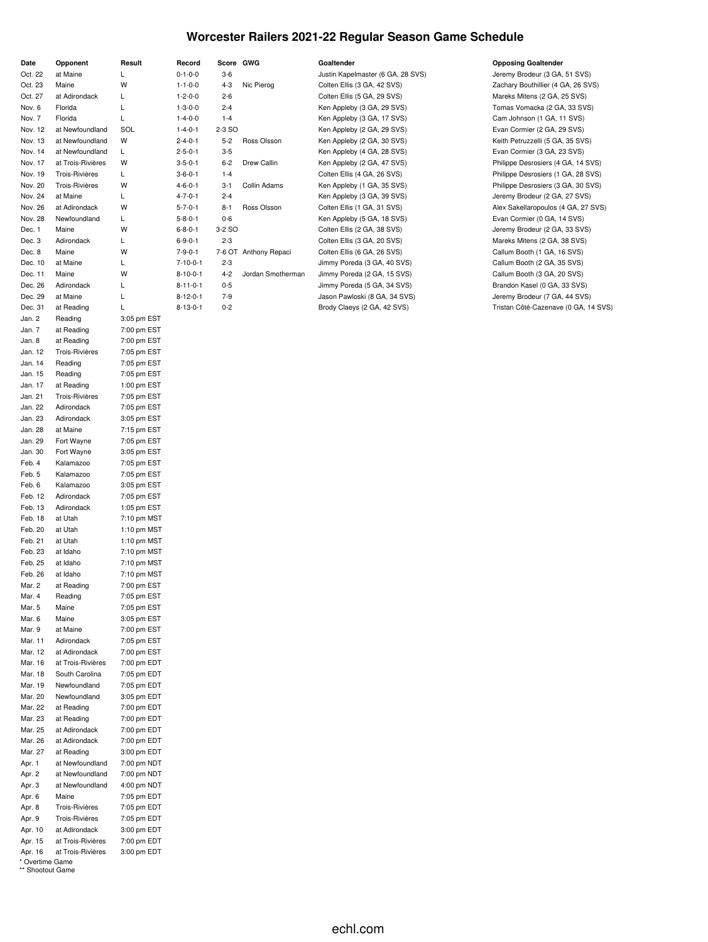## **Worcester Railers 2021-22 Regular Season Game Schedule**

| Date               | Opponent                            | Result                     |
|--------------------|-------------------------------------|----------------------------|
| Oct. 22            | at Maine                            | Г                          |
| Oct. 23            | Maine                               | W                          |
| Oct. 27            | at Adirondack                       | L                          |
| Nov. 6             | Florida                             | Г                          |
| Nov. 7             | Florida                             | L                          |
| Nov. 12            | at Newfoundland                     | SOL                        |
| Nov. 13            | at Newfoundland                     | W                          |
| Nov. 14            | at Newfoundland                     | L<br>W                     |
| Nov. 17<br>Nov. 19 | at Trois-Rivières<br>Trois-Rivières | Г                          |
| Nov. 20            | <b>Trois-Rivières</b>               | W                          |
| Nov. 24            | at Maine                            | L                          |
| Nov. 26            | at Adirondack                       | W                          |
| Nov. 28            | Newfoundland                        | L                          |
| Dec. 1             | Maine                               | W                          |
| Dec. 3             | Adirondack                          | L.                         |
| Dec. 8             | Maine                               | W                          |
| Dec. 10            | at Maine                            | Г                          |
| Dec. 11            | Maine                               | W                          |
| Dec. 26            | Adirondack                          | L                          |
| Dec. 29            | at Maine                            | L                          |
| Dec. 31            | at Reading                          | L                          |
| Jan. 2             | Reading                             | 3:05 pm EST                |
| Jan. 7<br>Jan. 8   | at Reading                          | 7:00 pm EST                |
| Jan. 12            | at Reading<br><b>Trois-Rivières</b> | 7:00 pm EST<br>7:05 pm EST |
| Jan. 14            | Reading                             | 7:05 pm EST                |
| Jan. 15            | Reading                             | 7:05 pm EST                |
| Jan. 17            | at Reading                          | 1:00 pm EST                |
| Jan. 21            | <b>Trois-Rivières</b>               | 7:05 pm EST                |
| Jan. 22            | Adirondack                          | 7:05 pm EST                |
| Jan. 23            | Adirondack                          | 3:05 pm EST                |
| Jan. 28            | at Maine                            | 7:15 pm EST                |
| Jan. 29            | Fort Wayne                          | 7:05 pm EST                |
| Jan. 30            | Fort Wayne                          | 3:05 pm EST                |
| Feb. 4             | Kalamazoo                           | 7:05 pm EST                |
| Feb. 5             | Kalamazoo                           | 7:05 pm EST                |
| Feb. 6             | Kalamazoo                           | 3:05 pm EST                |
| Feb. 12            | Adirondack                          | 7:05 pm EST                |
| Feb. 13            | Adirondack                          | 1:05 pm EST                |
| Feb. 18<br>Feb. 20 | at Utah<br>at Utah                  | 7:10 pm MST<br>1:10 pm MST |
| Feb. 21            | at Utah                             | 1:10 pm MST                |
| Feb. 23            | at Idaho                            | 7:10 pm MST                |
| Feb. 25            | at Idaho                            | 7:10 pm MST                |
| Feb. 26            | at Idaho                            | 7:10 pm MST                |
| Mar. 2             | at Reading                          | 7:00 pm EST                |
| Mar. 4             | Reading                             | 7:05 pm EST                |
| Mar. 5             | Maine                               | 7:05 pm EST                |
| Mar. 6             | Maine                               | 3:05 pm EST                |
| Mar. 9             | at Maine                            | 7:00 pm EST                |
| Mar. 11            | Adirondack                          | 7:05 pm EST                |
| Mar. 12            | at Adirondack                       | 7:00 pm EST                |
| Mar. 16            | at Trois-Rivières                   | 7:00 pm EDT                |
| Mar. 18            | South Carolina                      | 7:05 pm EDT                |
| Mar. 19            | Newfoundland                        | 7:05 pm EDT                |
| Mar. 20            | Newfoundland                        | 3:05 pm EDT                |
| Mar. 22<br>Mar. 23 | at Reading                          | 7:00 pm EDT<br>7:00 pm EDT |
| Mar. 25            | at Reading<br>at Adirondack         | 7:00 pm EDT                |
| Mar. 26            | at Adirondack                       | 7:00 pm EDT                |
| Mar. 27            | at Reading                          | 3:00 pm EDT                |
| Apr. 1             | at Newfoundland                     | 7:00 pm NDT                |
| Apr. 2             | at Newfoundland                     | 7:00 pm NDT                |
| Apr. 3             | at Newfoundland                     | 4:00 pm NDT                |
| Apr. 6             | Maine                               | 7:05 pm EDT                |
| Apr. 8             | Trois-Rivières                      | 7:05 pm EDT                |
| Apr. 9             | Trois-Rivières                      | 7:05 pm EDT                |
| Apr. 10            | at Adirondack                       | 3:00 pm EDT                |
| Apr. 15            | at Trois-Rivières                   | 7:00 pm EDT                |
| Apr. 16            | at Trois-Rivières                   | 3:00 pm EDT                |

| * Overtime Game  |  |
|------------------|--|
| ** Shootout Game |  |

| Record                      | Score GWG |                       | Goaltender                                       | <b>Opposing Goaltender</b>         |
|-----------------------------|-----------|-----------------------|--------------------------------------------------|------------------------------------|
| $0 - 1 - 0 - 0$             | $3-6$     |                       | Justin Kapelmaster (6 GA, 28 SVS)                | Jeremy Brodeur (3 GA, 51 SVS)      |
| $1 - 1 - 0 - 0$             | $4 - 3$   | Nic Pierog            | Colten Ellis (3 GA, 42 SVS)                      | Zachary Bouthillier (4 GA, 26 SVS) |
| $1 - 2 - 0 - 0$             | $2 - 6$   |                       | Colten Ellis (5 GA, 29 SVS)                      | Mareks Mitens (2 GA, 25 SVS)       |
| $1 - 3 - 0 - 0$             | $2 - 4$   |                       | Ken Appleby (3 GA, 29 SVS)                       | Tomas Vomacka (2 GA, 33 SVS)       |
| $1 - 4 - 0 - 0$             | $1 - 4$   |                       | Ken Appleby (3 GA, 17 SVS)                       | Cam Johnson (1 GA, 11 SVS)         |
| $1 - 4 - 0 - 1$             | 2-3 SO    |                       | Ken Appleby (2 GA, 29 SVS)                       | Evan Cormier (2 GA, 29 SVS)        |
| $2 - 4 - 0 - 1$             | $5 - 2$   | Ross Olsson           | Ken Appleby (2 GA, 30 SVS)                       | Keith Petruzzelli (5 GA, 35 SVS)   |
| $2 - 5 - 0 - 1$             | $3-5$     |                       | Ken Appleby (4 GA, 28 SVS)                       | Evan Cormier (3 GA, 23 SVS)        |
| $3 - 5 - 0 - 1$             | $6 - 2$   | Drew Callin           | Ken Appleby (2 GA, 47 SVS)                       | Philippe Desrosiers (4 GA, 14 SVS) |
| $3 - 6 - 0 - 1$             | $1 - 4$   |                       | Colten Ellis (4 GA, 26 SVS)                      | Philippe Desrosiers (1 GA, 28 SVS) |
| $4 - 6 - 0 - 1$             | $3 - 1$   | Collin Adams          | Ken Appleby (1 GA, 35 SVS)                       | Philippe Desrosiers (3 GA, 30 SVS) |
| $4 - 7 - 0 - 1$             | $2 - 4$   |                       | Ken Appleby (3 GA, 39 SVS)                       | Jeremy Brodeur (2 GA, 27 SVS)      |
| $5 - 7 - 0 - 1$             | $8 - 1$   | Ross Olsson           | Colten Ellis (1 GA, 31 SVS)                      | Alex Sakellaropoulos (4 GA, 27 SVS |
| $5 - 8 - 0 - 1$             | $0-6$     |                       | Ken Appleby (5 GA, 18 SVS)                       | Evan Cormier (0 GA, 14 SVS)        |
| $6 - 8 - 0 - 1$             | 3-2 SO    |                       | Colten Ellis (2 GA, 38 SVS)                      | Jeremy Brodeur (2 GA, 33 SVS)      |
| $6 - 9 - 0 - 1$             | $2 - 3$   |                       | Colten Ellis (3 GA, 20 SVS)                      | Mareks Mitens (2 GA, 38 SVS)       |
| $7 - 9 - 0 - 1$             |           | 7-6 OT Anthony Repaci | Colten Ellis (6 GA, 26 SVS)                      | Callum Booth (1 GA, 16 SVS)        |
| $7 - 10 - 0 - 1$            | $2 - 3$   |                       | Jimmy Poreda (3 GA, 40 SVS)                      | Callum Booth (2 GA, 35 SVS)        |
| $8 - 10 - 0 - 1$            | $4 - 2$   | Jordan Smotherman     | Jimmy Poreda (2 GA, 15 SVS)                      | Callum Booth (3 GA, 20 SVS)        |
| $8 - 11 - 0 - 1$            | $0 - 5$   |                       | Jimmy Poreda (5 GA, 34 SVS)                      | Brandon Kasel (0 GA, 33 SVS)       |
| $8 - 12 - 0 - 1$            | $7-9$     |                       | Jason Pawloski (8 GA, 34 SVS)                    | Jeremy Brodeur (7 GA, 44 SVS)      |
| $\sim$ $\sim$ $\sim$ $\sim$ |           |                       | $\sim$ $\sim$ $\sim$ $\sim$ $\sim$ $\sim$ $\sim$ |                                    |

5-7-0-1 8-1 Ross Olsson Colten Ellis (1 GA, 31 SVS) Alex Sakellaropoulos (4 GA, 27 SVS) 8-13-0-1 0-2 Brody Claeys (2 GA, 42 SVS) Tristan Côté-Cazenave (0 GA, 14 SVS)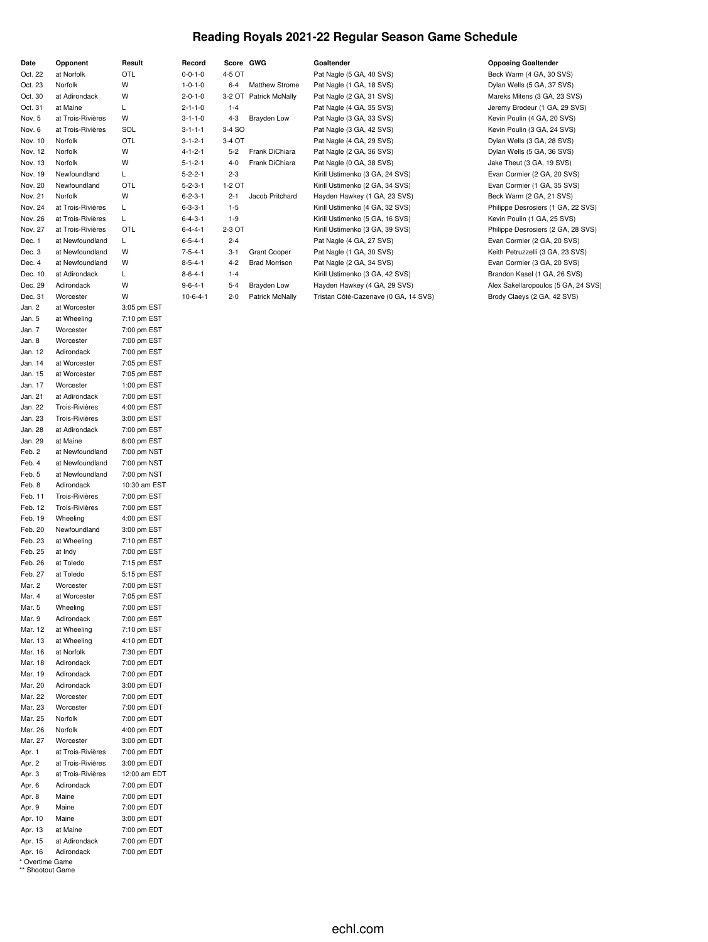## **Reading Royals 2021-22 Regular Season Game Schedule**

| Date               | Opponent                            | Result                     |
|--------------------|-------------------------------------|----------------------------|
| Oct. 22            | at Norfolk                          | OTL                        |
| Oct. 23            | Norfolk                             | W<br>W                     |
| Oct. 30<br>Oct. 31 | at Adirondack<br>at Maine           | Г                          |
| Nov. 5             | at Trois-Rivières                   | W                          |
| Nov. 6             | at Trois-Rivières                   | SOL                        |
| Nov. 10            | Norfolk                             | OTL                        |
| Nov. 12            | Norfolk                             | W                          |
| Nov. 13            | Norfolk                             | W                          |
| Nov. 19            | Newfoundland                        | Г                          |
| Nov. 20            | Newfoundland                        | OTL                        |
| Nov. 21            | Norfolk                             | W                          |
| Nov. 24            | at Trois-Rivières                   | L                          |
| Nov. 26            | at Trois-Rivières                   | L                          |
| Nov. 27            | at Trois-Rivières                   | OTL                        |
| Dec. 1             | at Newfoundland                     | L                          |
| Dec. 3             | at Newfoundland                     | W                          |
| Dec. 4             | at Newfoundland                     | W                          |
| Dec. 10            | at Adirondack                       | Г                          |
| Dec. 29            | Adirondack                          | W                          |
| Dec. 31            | Worcester                           | W                          |
| Jan. 2             | at Worcester                        | 3:05 pm EST                |
| Jan. 5             | at Wheeling                         | 7:10 pm EST                |
| Jan. 7             | Worcester                           | 7:00 pm EST                |
| Jan. 8             | Worcester                           | 7:00 pm EST                |
| Jan. 12            | Adirondack                          | 7:00 pm EST                |
| Jan. 14            | at Worcester                        | 7:05 pm EST                |
| Jan. 15            | at Worcester                        | 7:05 pm EST                |
| Jan. 17            | Worcester                           | 1:00 pm EST                |
| Jan. 21            | at Adirondack                       | 7:00 pm EST                |
| Jan. 22            | <b>Trois-Rivières</b>               | 4:00 pm EST                |
| Jan. 23            | <b>Trois-Rivières</b>               | 3:00 pm EST                |
| Jan. 28            | at Adirondack                       | 7:00 pm EST                |
| Jan. 29            | at Maine                            | 6:00 pm EST                |
| Feb. 2             | at Newfoundland                     | 7:00 pm NST                |
| Feb. 4             | at Newfoundland                     | 7:00 pm NST                |
| Feb. 5             | at Newfoundland                     | 7:00 pm NST                |
| Feb. 8             | Adirondack<br><b>Trois-Rivières</b> | 10:30 am EST               |
| Feb. 11<br>Feb. 12 | <b>Trois-Rivières</b>               | 7:00 pm EST<br>7:00 pm EST |
| Feb. 19            | Wheeling                            | 4:00 pm EST                |
| Feb. 20            | Newfoundland                        | 3:00 pm EST                |
| Feb. 23            | at Wheeling                         | 7:10 pm EST                |
| Feb. 25            | at Indy                             | 7:00 pm EST                |
| Feb. 26            | at Toledo                           | 7:15 pm EST                |
| Feb. 27            | at Toledo                           | 5:15 pm EST                |
| Mar. 2             | Worcester                           | 7:00 pm EST                |
| Mar. 4             | at Worcester                        | 7:05 pm EST                |
| Mar. 5             | Wheeling                            | 7:00 pm EST                |
| Mar. 9             | Adirondack                          | 7:00 pm EST                |
| Mar. 12            | at Wheeling                         | 7:10 pm EST                |
| Mar. 13            | at Wheeling                         | 4:10 pm EDT                |
| Mar. 16            | at Norfolk                          | 7:30 pm EDT                |
| Mar. 18            | Adirondack                          | 7:00 pm EDT                |
| Mar. 19            | Adirondack                          | 7:00 pm EDT                |
| Mar. 20            | Adirondack                          | 3:00 pm EDT                |
| Mar. 22            | Worcester                           | 7:00 pm EDT                |
| Mar. 23            | Worcester                           | 7:00 pm EDT                |
| Mar. 25            | Norfolk                             | 7:00 pm EDT                |
| Mar. 26            | Norfolk                             | 4:00 pm EDT                |
| Mar. 27            | Worcester                           | 3:00 pm EDT                |
| Apr. 1             | at Trois-Rivières                   | 7:00 pm EDT                |
| Apr. 2             | at Trois-Rivières                   | 3:00 pm EDT                |
| Apr. 3             | at Trois-Rivières                   | 12:00 am EDT               |
| Apr. 6             | Adirondack                          | 7:00 pm EDT                |
| Apr. 8             | Maine                               | 7:00 pm EDT                |
| Apr. 9             | Maine                               | 7:00 pm EDT                |
| Apr. 10            | Maine                               | 3:00 pm EDT                |
| Apr. 13            | at Maine                            | 7:00 pm EDT                |
| Apr. 15            | at Adirondack                       | 7:00 pm EDT                |
| Apr. 16            | Adirondack                          | 7:00 pm EDT                |

| * Overtime Game  |  |
|------------------|--|
| ** Shootout Game |  |

| ord:    | Score GWG |                  |
|---------|-----------|------------------|
| $1 - 0$ | 4-5 OT    |                  |
| $1 - 0$ |           | 6-4 Matthew      |
| $1 - 0$ |           | 3-2 OT Patrick M |
| $1 - 0$ | $1 - 4$   |                  |
| $1 - 0$ | $4 - 3$   | Brayden          |
| $1 - 1$ | 3-4 SO    |                  |
| $2 - 1$ | 3-4 OT    |                  |
| $2 - 1$ |           | 5-2 Frank Di     |
| $2 - 1$ |           | 4-0 Frank Di     |
| $2 - 1$ | $2 - 3$   |                  |
| $3-1$   | 1-2 OT    |                  |
| $3-1$   | $2 - 1$   | Jacob Pr         |
| 3-1     | $1 - 5$   |                  |
| 3-1     | $1 - 9$   |                  |
| $4 - 1$ | 2-3 OT    |                  |
| $4 - 1$ | $2 - 4$   |                  |
| $4 - 1$ | $3 - 1$   | Grant Co         |
| 4-1     | 4-2       | Brad Mo          |
| $4 - 1$ | $1 - 4$   |                  |
| $4 - 1$ | 5-4       | Brayden          |
|         |           |                  |

| $0 - 0 - 1 - 0$ | 4-5 OT  |                        | Pat Nagle (5 GA, 40 SVS)             | Beck Warm (4 GA, 30 SVS)            |
|-----------------|---------|------------------------|--------------------------------------|-------------------------------------|
| $1 - 0 - 1 - 0$ | $6 - 4$ | <b>Matthew Strome</b>  | Pat Nagle (1 GA, 18 SVS)             | Dylan Wells (5 GA, 37 SVS)          |
| $2 - 0 - 1 - 0$ |         | 3-2 OT Patrick McNally | Pat Nagle (2 GA, 31 SVS)             | Mareks Mitens (3 GA, 23 SVS)        |
| $2 - 1 - 1 - 0$ | $1 - 4$ |                        | Pat Nagle (4 GA, 35 SVS)             | Jeremy Brodeur (1 GA, 29 SVS)       |
| $3 - 1 - 1 - 0$ | $4 - 3$ | Brayden Low            | Pat Nagle (3 GA, 33 SVS)             | Kevin Poulin (4 GA, 20 SVS)         |
| $3 - 1 - 1 - 1$ | 3-4 SO  |                        | Pat Nagle (3 GA, 42 SVS)             | Kevin Poulin (3 GA, 24 SVS)         |
| $3 - 1 - 2 - 1$ | 3-4 OT  |                        | Pat Nagle (4 GA, 29 SVS)             | Dylan Wells (3 GA, 28 SVS)          |
| $4 - 1 - 2 - 1$ | $5 - 2$ | Frank DiChiara         | Pat Nagle (2 GA, 36 SVS)             | Dylan Wells (5 GA, 36 SVS)          |
| $5 - 1 - 2 - 1$ | $4 - 0$ | Frank DiChiara         | Pat Nagle (0 GA, 38 SVS)             | Jake Theut (3 GA, 19 SVS)           |
| $5 - 2 - 2 - 1$ | $2 - 3$ |                        | Kirill Ustimenko (3 GA, 24 SVS)      | Evan Cormier (2 GA, 20 SVS)         |
| $5 - 2 - 3 - 1$ | 1-2 OT  |                        | Kirill Ustimenko (2 GA, 34 SVS)      | Evan Cormier (1 GA, 35 SVS)         |
| $6 - 2 - 3 - 1$ | $2 - 1$ | Jacob Pritchard        | Hayden Hawkey (1 GA, 23 SVS)         | Beck Warm (2 GA, 21 SVS)            |
| $6 - 3 - 3 - 1$ | $1 - 5$ |                        | Kirill Ustimenko (4 GA, 32 SVS)      | Philippe Desrosiers (1 GA, 22 SVS)  |
| $6 - 4 - 3 - 1$ | $1-9$   |                        | Kirill Ustimenko (5 GA, 16 SVS)      | Kevin Poulin (1 GA, 25 SVS)         |
| $6 - 4 - 4 - 1$ | 2-3 OT  |                        | Kirill Ustimenko (3 GA, 39 SVS)      | Philippe Desrosiers (2 GA, 28 SVS)  |
| $6 - 5 - 4 - 1$ | $2 - 4$ |                        | Pat Nagle (4 GA, 27 SVS)             | Evan Cormier (2 GA, 20 SVS)         |
| $7 - 5 - 4 - 1$ | $3 - 1$ | <b>Grant Cooper</b>    | Pat Nagle (1 GA, 30 SVS)             | Keith Petruzzelli (3 GA, 23 SVS)    |
| $8 - 5 - 4 - 1$ | $4 - 2$ | <b>Brad Morrison</b>   | Pat Nagle (2 GA, 34 SVS)             | Evan Cormier (3 GA, 20 SVS)         |
| $8 - 6 - 4 - 1$ | $1 - 4$ |                        | Kirill Ustimenko (3 GA, 42 SVS)      | Brandon Kasel (1 GA, 26 SVS)        |
| $9 - 6 - 4 - 1$ | $5 - 4$ | Brayden Low            | Hayden Hawkey (4 GA, 29 SVS)         | Alex Sakellaropoulos (5 GA, 24 SVS) |
| $10-6-4-1$      | $2 - 0$ | Patrick McNally        | Tristan Côté-Cazenave (0 GA, 14 SVS) | Brody Claeys (2 GA, 42 SVS)         |

### **Date Opponent Result Record Score GWG Goaltender Opposing Goaltender**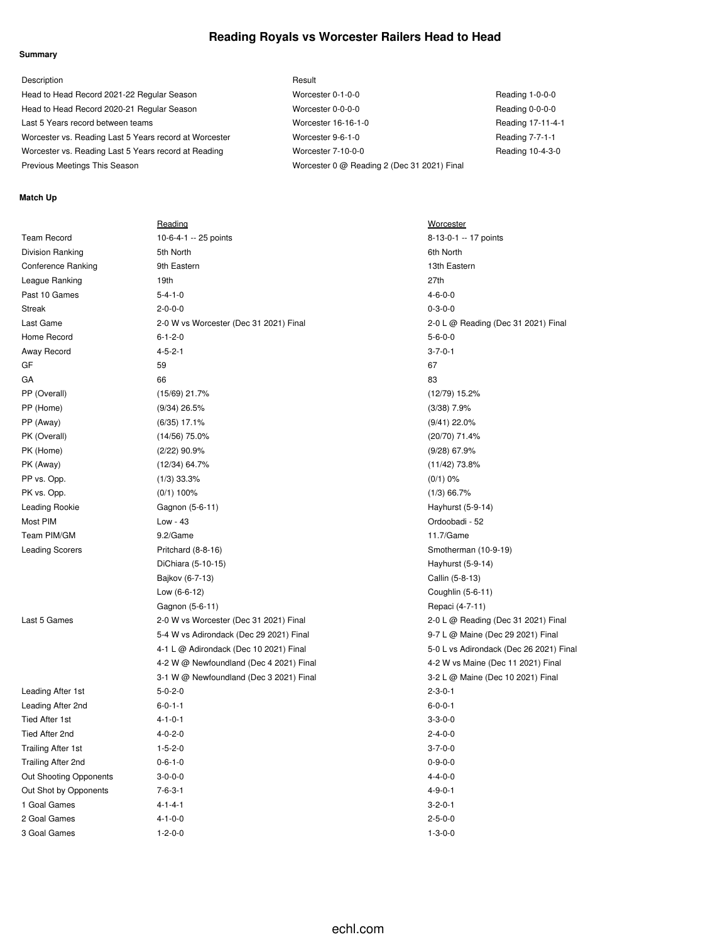# **Reading Royals vs Worcester Railers Head to Head**

## **Summary**

| Description                                            | Result                                      |                   |
|--------------------------------------------------------|---------------------------------------------|-------------------|
| Head to Head Record 2021-22 Regular Season             | Worcester 0-1-0-0                           | Reading 1-0-0-0   |
| Head to Head Record 2020-21 Regular Season             | Worcester 0-0-0-0                           | Reading 0-0-0-0   |
| Last 5 Years record between teams                      | Worcester 16-16-1-0                         | Reading 17-11-4-1 |
| Worcester vs. Reading Last 5 Years record at Worcester | Worcester 9-6-1-0                           | Reading 7-7-1-1   |
| Worcester vs. Reading Last 5 Years record at Reading   | Worcester 7-10-0-0                          | Reading 10-4-3-0  |
| Previous Meetings This Season                          | Worcester 0 @ Reading 2 (Dec 31 2021) Final |                   |

## **Match Up**

|                           | Reading                                 | <b>Worcester</b>       |
|---------------------------|-----------------------------------------|------------------------|
| <b>Team Record</b>        | 10-6-4-1 -- 25 points                   | 8-13-0-1 -- 17 points  |
| Division Ranking          | 5th North                               | 6th North              |
| <b>Conference Ranking</b> | 9th Eastern                             | 13th Eastern           |
| League Ranking            | 19th                                    | 27th                   |
| Past 10 Games             | $5 - 4 - 1 - 0$                         | $4 - 6 - 0 - 0$        |
| <b>Streak</b>             | $2 - 0 - 0 - 0$                         | $0 - 3 - 0 - 0$        |
| Last Game                 | 2-0 W vs Worcester (Dec 31 2021) Final  | 2-0 L @ Reading (Dec   |
| Home Record               | $6 - 1 - 2 - 0$                         | $5 - 6 - 0 - 0$        |
| Away Record               | $4 - 5 - 2 - 1$                         | $3 - 7 - 0 - 1$        |
| GF                        | 59                                      | 67                     |
| GA                        | 66                                      | 83                     |
| PP (Overall)              | (15/69) 21.7%                           | (12/79) 15.2%          |
| PP (Home)                 | $(9/34)$ 26.5%                          | $(3/38)$ 7.9%          |
| PP (Away)                 | $(6/35)$ 17.1%                          | $(9/41)$ 22.0%         |
| PK (Overall)              | $(14/56)$ 75.0%                         | (20/70) 71.4%          |
| PK (Home)                 | (2/22) 90.9%                            | $(9/28)$ 67.9%         |
| PK (Away)                 | $(12/34)$ 64.7%                         | $(11/42)$ 73.8%        |
| PP vs. Opp.               | $(1/3)$ 33.3%                           | $(0/1)$ 0%             |
| PK vs. Opp.               | $(0/1)$ 100%                            | $(1/3)$ 66.7%          |
| Leading Rookie            | Gagnon (5-6-11)                         | Hayhurst (5-9-14)      |
| Most PIM                  | Low - 43                                | Ordoobadi - 52         |
| Team PIM/GM               | 9.2/Game                                | 11.7/Game              |
| <b>Leading Scorers</b>    | Pritchard (8-8-16)                      | Smotherman (10-9-19)   |
|                           | DiChiara (5-10-15)                      | Hayhurst (5-9-14)      |
|                           | Bajkov (6-7-13)                         | Callin (5-8-13)        |
|                           | Low (6-6-12)                            | Coughlin (5-6-11)      |
|                           | Gagnon (5-6-11)                         | Repaci (4-7-11)        |
| Last 5 Games              | 2-0 W vs Worcester (Dec 31 2021) Final  | 2-0 L @ Reading (Dec   |
|                           | 5-4 W vs Adirondack (Dec 29 2021) Final | 9-7 L @ Maine (Dec 29  |
|                           | 4-1 L @ Adirondack (Dec 10 2021) Final  | 5-0 L vs Adirondack (D |
|                           | 4-2 W @ Newfoundland (Dec 4 2021) Final | 4-2 W vs Maine (Dec 1  |
|                           | 3-1 W @ Newfoundland (Dec 3 2021) Final | 3-2 L @ Maine (Dec 10  |
| Leading After 1st         | $5 - 0 - 2 - 0$                         | $2 - 3 - 0 - 1$        |
| Leading After 2nd         | $6 - 0 - 1 - 1$                         | $6 - 0 - 0 - 1$        |
| <b>Tied After 1st</b>     | $4 - 1 - 0 - 1$                         | $3 - 3 - 0 - 0$        |
| Tied After 2nd            | $4 - 0 - 2 - 0$                         | $2 - 4 - 0 - 0$        |
| <b>Trailing After 1st</b> | $1 - 5 - 2 - 0$                         | $3 - 7 - 0 - 0$        |
| Trailing After 2nd        | $0 - 6 - 1 - 0$                         | $0 - 9 - 0 - 0$        |
| Out Shooting Opponents    | $3 - 0 - 0 - 0$                         | $4 - 4 - 0 - 0$        |
| Out Shot by Opponents     | $7 - 6 - 3 - 1$                         | $4 - 9 - 0 - 1$        |
| 1 Goal Games              | $4 - 1 - 4 - 1$                         | $3 - 2 - 0 - 1$        |
| 2 Goal Games              | $4 - 1 - 0 - 0$                         | $2 - 5 - 0 - 0$        |
| 3 Goal Games              | $1 - 2 - 0 - 0$                         | $1 - 3 - 0 - 0$        |
|                           |                                         |                        |

Dec 31 2021) Final Dec 31 2021) Final ec 29 2021) Final k (Dec 26 2021) Final ec 11 2021) Final  $\text{ec } 10$  2021) Final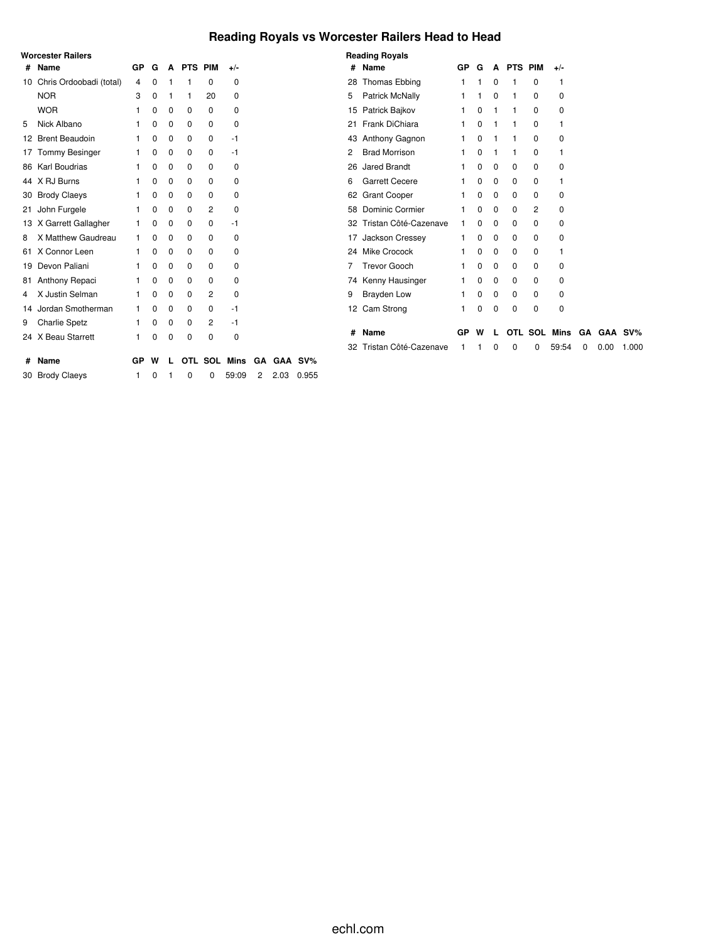# **Reading Royals vs Worcester Railers Head to Head**

|    | <b>Worcester Railers</b> |                |   |   |         |         |          |    |      |         |
|----|--------------------------|----------------|---|---|---------|---------|----------|----|------|---------|
| #  | <b>Name</b>              | GP             | G | A | PTS PIM |         | $+/-$    |    |      |         |
| 10 | Chris Ordoobadi (total)  | $\overline{4}$ | 0 | 1 | 1       | 0       | 0        |    |      |         |
|    | <b>NOR</b>               | 3              | 0 | 1 | 1       | 20      | $\Omega$ |    |      |         |
|    | <b>WOR</b>               | 1              | 0 | 0 | 0       | 0       | 0        |    |      |         |
| 5  | Nick Albano              | 1              | 0 | 0 | 0       | 0       | 0        |    |      |         |
|    | 12 Brent Beaudoin        | 1              | 0 | 0 | 0       | 0       | $-1$     |    |      |         |
| 17 | <b>Tommy Besinger</b>    | 1              | 0 | 0 | 0       | 0       | $-1$     |    |      |         |
|    | 86 Karl Boudrias         | 1              | 0 | 0 | 0       | 0       | 0        |    |      |         |
| 44 | X RJ Burns               | 1              | 0 | 0 | 0       | 0       | 0        |    |      |         |
| 30 | <b>Brody Claeys</b>      | 1              | 0 | 0 | 0       | 0       | 0        |    |      |         |
| 21 | John Furgele             | 1              | 0 | 0 | 0       | 2       | 0        |    |      |         |
| 13 | X Garrett Gallagher      | 1              | 0 | 0 | 0       | 0       | -1       |    |      |         |
| 8  | X Matthew Gaudreau       | 1              | 0 | 0 | 0       | 0       | 0        |    |      |         |
| 61 | X Connor Leen            | 1              | 0 | 0 | 0       | 0       | 0        |    |      |         |
| 19 | Devon Paliani            | 1              | 0 | 0 | 0       | 0       | 0        |    |      |         |
| 81 | Anthony Repaci           | 1              | 0 | 0 | 0       | 0       | 0        |    |      |         |
| 4  | X Justin Selman          | 1              | 0 | 0 | 0       | 2       | 0        |    |      |         |
|    | 14 Jordan Smotherman     | 1              | 0 | 0 | 0       | 0       | $-1$     |    |      |         |
| 9  | <b>Charlie Spetz</b>     | 1              | 0 | 0 | 0       | 2       | $-1$     |    |      |         |
|    | 24 X Beau Starrett       | 1              | 0 | 0 | 0       | 0       | 0        |    |      |         |
| #  | <b>Name</b>              | GP             | W | L |         | OTL SOL | Mins     | GA |      | GAA SV% |
| 30 | <b>Brody Claeys</b>      | 1              | 0 | 1 | 0       | 0       | 59:09    | 2  | 2.03 | 0.955   |

|    | <b>Reading Royals</b>  |    |   |   |         |     |             |    |      |         |
|----|------------------------|----|---|---|---------|-----|-------------|----|------|---------|
| #  | Name                   | GP | G | A | PTS PIM |     | +/-         |    |      |         |
| 28 | <b>Thomas Ebbing</b>   | 1  | 1 | 0 | 1       | 0   | 1           |    |      |         |
| 5  | <b>Patrick McNally</b> | 1  | 1 | 0 | 1       | 0   | $\Omega$    |    |      |         |
| 15 | Patrick Bajkov         | 1  | 0 | 1 | 1       | 0   | $\Omega$    |    |      |         |
| 21 | Frank DiChiara         | 1  | 0 | 1 | 1       | 0   | 1           |    |      |         |
| 43 | Anthony Gagnon         | 1  | 0 | 1 | 1       | 0   | 0           |    |      |         |
| 2  | <b>Brad Morrison</b>   | 1  | 0 | 1 | 1       | 0   | 1           |    |      |         |
| 26 | <b>Jared Brandt</b>    | 1  | 0 | 0 | 0       | 0   | 0           |    |      |         |
| 6  | <b>Garrett Cecere</b>  | 1  | 0 | 0 | 0       | 0   | 1           |    |      |         |
| 62 | <b>Grant Cooper</b>    | 1  | 0 | 0 | 0       | 0   | 0           |    |      |         |
| 58 | Dominic Cormier        | 1  | 0 | 0 | 0       | 2   | $\Omega$    |    |      |         |
| 32 | Tristan Côté-Cazenave  | 1  | 0 | 0 | 0       | 0   | $\Omega$    |    |      |         |
| 17 | Jackson Cressey        | 1  | 0 | 0 | 0       | 0   | 0           |    |      |         |
| 24 | <b>Mike Crocock</b>    | 1  | 0 | 0 | 0       | 0   | 1           |    |      |         |
| 7  | Trevor Gooch           | 1  | 0 | 0 | 0       | 0   | $\Omega$    |    |      |         |
| 74 | Kenny Hausinger        | 1  | 0 | 0 | 0       | 0   | $\Omega$    |    |      |         |
| 9  | <b>Brayden Low</b>     | 1  | 0 | 0 | 0       | 0   | $\Omega$    |    |      |         |
| 12 | Cam Strong             | 1  | 0 | 0 | 0       | 0   | 0           |    |      |         |
|    |                        |    |   |   |         |     |             |    |      |         |
| #  | Name                   | GP | W |   | OTL     | SOL | <b>Mins</b> | GΑ |      | GAA SV% |
| 32 | Tristan Côté-Cazenave  | 1  | 1 | 0 | 0       | 0   | 59:54       | 0  | 0.00 | 1.000   |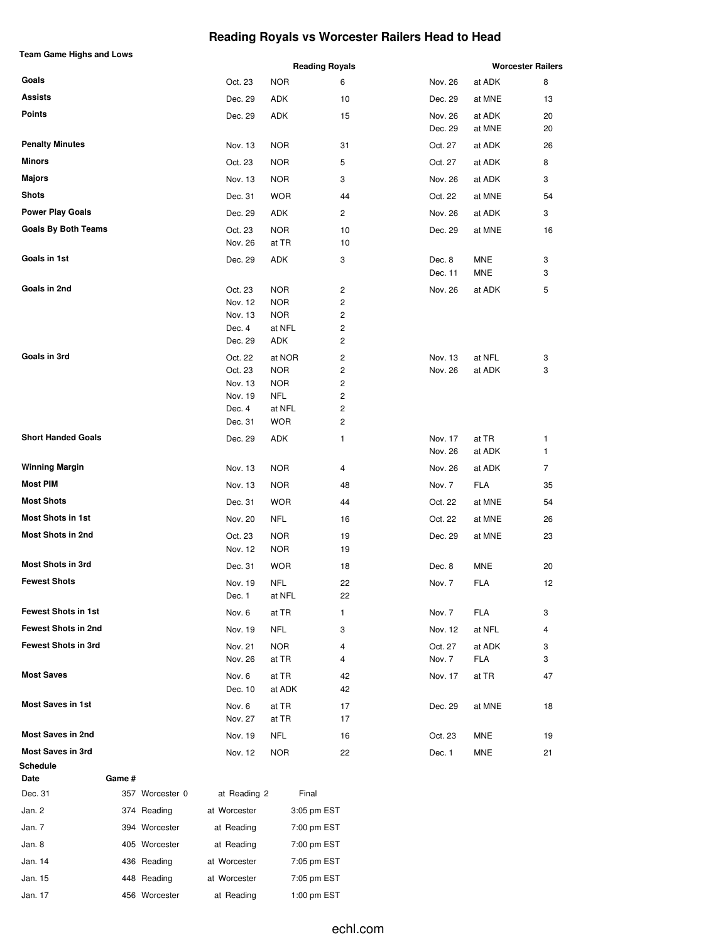# **Reading Royals vs Worcester Railers Head to Head**

| <b>Team Game Highs and Lows</b> |                    |                          |          |         |                          |    |
|---------------------------------|--------------------|--------------------------|----------|---------|--------------------------|----|
|                                 |                    | <b>Reading Royals</b>    |          |         | <b>Worcester Railers</b> |    |
| Goals                           | Oct. 23            | <b>NOR</b>               | 6        | Nov. 26 | at ADK                   | 8  |
| Assists                         | Dec. 29            | ADK                      | 10       | Dec. 29 | at MNE                   | 13 |
| <b>Points</b>                   | Dec. 29            | ADK                      | 15       | Nov. 26 | at ADK                   | 20 |
|                                 |                    |                          |          | Dec. 29 | at MNE                   | 20 |
| <b>Penalty Minutes</b>          | Nov. 13            | <b>NOR</b>               | 31       | Oct. 27 | at ADK                   | 26 |
| <b>Minors</b>                   | Oct. 23            | <b>NOR</b>               | 5        | Oct. 27 | at ADK                   | 8  |
| <b>Majors</b>                   | Nov. 13            | <b>NOR</b>               | 3        | Nov. 26 | at ADK                   | 3  |
| <b>Shots</b>                    | Dec. 31            | <b>WOR</b>               | 44       | Oct. 22 | at MNE                   | 54 |
| <b>Power Play Goals</b>         | Dec. 29            | ADK                      | 2        | Nov. 26 | at ADK                   | 3  |
| <b>Goals By Both Teams</b>      | Oct. 23            | <b>NOR</b>               | 10       | Dec. 29 | at MNE                   | 16 |
|                                 | Nov. 26            | at TR                    | 10       |         |                          |    |
| Goals in 1st                    | Dec. 29            | ADK                      | 3        | Dec. 8  | MNE                      | 3  |
|                                 |                    |                          |          | Dec. 11 | MNE                      | 3  |
| Goals in 2nd                    | Oct. 23            | <b>NOR</b>               | 2        | Nov. 26 | at ADK                   | 5  |
|                                 | Nov. 12            | <b>NOR</b>               | 2        |         |                          |    |
|                                 | Nov. 13            | <b>NOR</b>               | 2        |         |                          |    |
|                                 | Dec. 4             | at NFL                   | 2        |         |                          |    |
|                                 | Dec. 29            | ADK                      | 2        |         |                          |    |
| Goals in 3rd                    | Oct. 22            | at NOR                   | 2        | Nov. 13 | at NFL                   | 3  |
|                                 | Oct. 23            | <b>NOR</b>               | 2        | Nov. 26 | at ADK                   | 3  |
|                                 | Nov. 13<br>Nov. 19 | <b>NOR</b><br><b>NFL</b> | 2<br>2   |         |                          |    |
|                                 | Dec. 4             | at NFL                   | 2        |         |                          |    |
|                                 | Dec. 31            | <b>WOR</b>               | 2        |         |                          |    |
| <b>Short Handed Goals</b>       | Dec. 29            | ADK                      | 1        | Nov. 17 | at TR                    | 1  |
|                                 |                    |                          |          | Nov. 26 | at ADK                   | 1  |
| <b>Winning Margin</b>           | Nov. 13            | <b>NOR</b>               | 4        | Nov. 26 | at ADK                   | 7  |
| <b>Most PIM</b>                 | Nov. 13            | <b>NOR</b>               | 48       | Nov. 7  | FLA                      | 35 |
| <b>Most Shots</b>               | Dec. 31            | <b>WOR</b>               | 44       | Oct. 22 | at MNE                   | 54 |
| <b>Most Shots in 1st</b>        | Nov. 20            | <b>NFL</b>               | 16       | Oct. 22 | at MNE                   | 26 |
| <b>Most Shots in 2nd</b>        | Oct. 23            | <b>NOR</b>               | 19       | Dec. 29 | at MNE                   | 23 |
|                                 | Nov. 12            | <b>NOR</b>               | 19       |         |                          |    |
| <b>Most Shots in 3rd</b>        | Dec. 31            | <b>WOR</b>               | 18       | Dec. 8  | MNE                      | 20 |
| <b>Fewest Shots</b>             |                    |                          |          |         |                          |    |
|                                 | Nov. 19<br>Dec. 1  | <b>NFL</b><br>at NFL     | 22<br>22 | Nov. 7  | <b>FLA</b>               | 12 |
| <b>Fewest Shots in 1st</b>      | Nov. 6             | at TR                    | 1        | Nov. 7  | FLA                      | 3  |
| <b>Fewest Shots in 2nd</b>      | Nov. 19            | <b>NFL</b>               | 3        | Nov. 12 | at NFL                   | 4  |
| <b>Fewest Shots in 3rd</b>      | Nov. 21            | <b>NOR</b>               | 4        | Oct. 27 | at ADK                   | 3  |
|                                 | Nov. 26            | at TR                    | 4        | Nov. 7  | FLA                      | 3  |
| <b>Most Saves</b>               | Nov. 6             | at TR                    | 42       | Nov. 17 | at TR                    | 47 |
|                                 | Dec. 10            | at ADK                   | 42       |         |                          |    |
| <b>Most Saves in 1st</b>        | Nov. 6             | at TR                    | 17       | Dec. 29 | at MNE                   | 18 |
|                                 | Nov. 27            | at TR                    | 17       |         |                          |    |
| <b>Most Saves in 2nd</b>        | Nov. 19            | NFL                      | 16       | Oct. 23 | MNE                      | 19 |
| <b>Most Saves in 3rd</b>        | Nov. 12            | <b>NOR</b>               | 22       | Dec. 1  | MNE                      | 21 |
| Schedule                        |                    |                          |          |         |                          |    |

| Dec. 31 | 357 Worcester 0 | at Reading 2 | Final       |
|---------|-----------------|--------------|-------------|
| Jan. 2  | 374 Reading     | at Worcester | 3:05 pm EST |
| Jan. 7  | 394 Worcester   | at Reading   | 7:00 pm EST |
| Jan. 8  | 405 Worcester   | at Reading   | 7:00 pm EST |
| Jan. 14 | 436 Reading     | at Worcester | 7:05 pm EST |
| Jan. 15 | 448 Reading     | at Worcester | 7:05 pm EST |
| Jan. 17 | 456 Worcester   | at Reading   | 1:00 pm EST |

**Date Game #**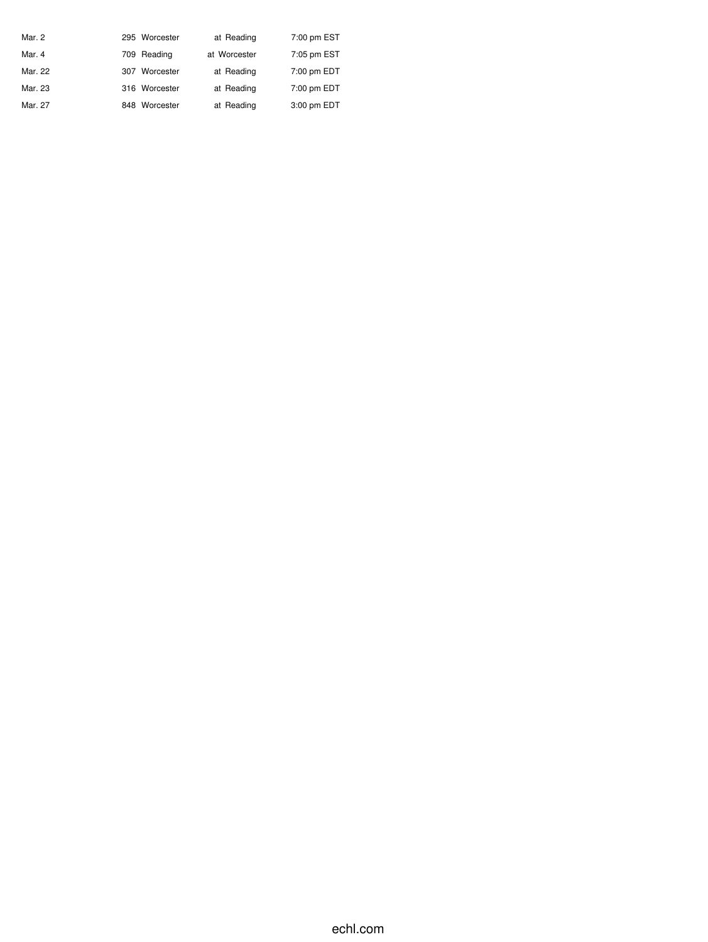| Mar. 2  | 295 Worcester | at Reading   | 7:00 pm EST |
|---------|---------------|--------------|-------------|
| Mar. 4  | 709 Reading   | at Worcester | 7:05 pm EST |
| Mar. 22 | 307 Worcester | at Reading   | 7:00 pm EDT |
| Mar. 23 | 316 Worcester | at Reading   | 7:00 pm EDT |
| Mar. 27 | 848 Worcester | at Reading   | 3:00 pm EDT |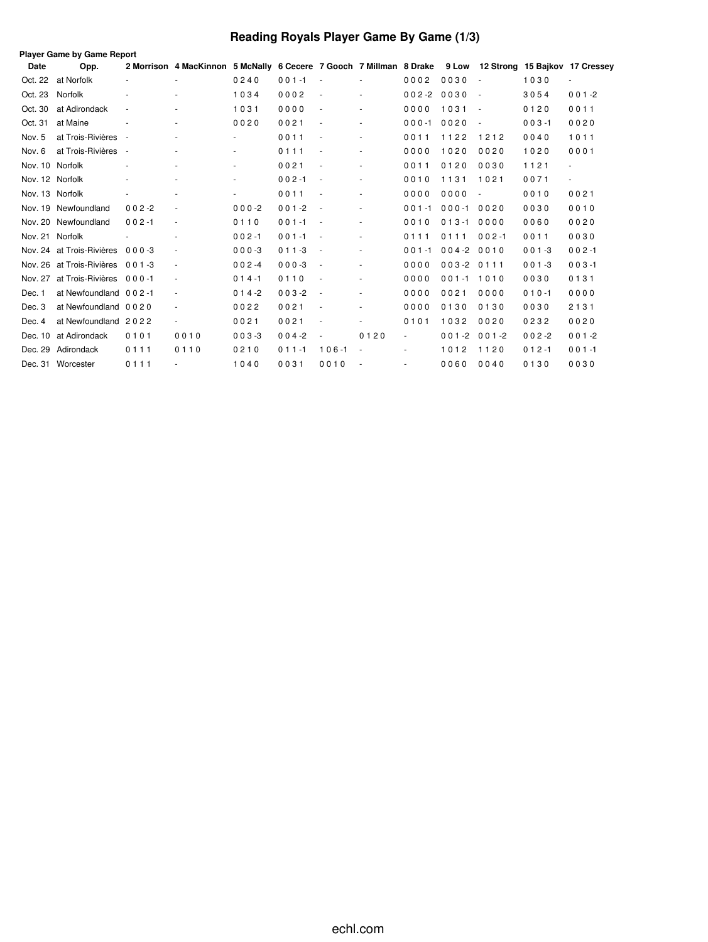# **Reading Royals Player Game By Game (1/3)**

|                 | <b>Player Game by Game Report</b> |                          |                                                                                                          |                          |           |                          |        |                          |           |                          |           |                          |
|-----------------|-----------------------------------|--------------------------|----------------------------------------------------------------------------------------------------------|--------------------------|-----------|--------------------------|--------|--------------------------|-----------|--------------------------|-----------|--------------------------|
| <b>Date</b>     | Opp.                              |                          | 2 Morrison 4 MacKinnon 5 McNally 6 Cecere 7 Gooch 7 Millman 8 Drake 9 Low 12 Strong 15 Bajkov 17 Cressey |                          |           |                          |        |                          |           |                          |           |                          |
| Oct. 22         | at Norfolk                        |                          |                                                                                                          | 0240                     | $001 - 1$ |                          |        | 0002                     | 0030      |                          | 1030      | $\overline{\phantom{a}}$ |
| Oct. 23         | Norfolk                           | $\blacksquare$           |                                                                                                          | 1034                     | 0002      |                          |        | $002 - 2$                | 0030      | $\sim$                   | 3054      | $001 - 2$                |
| Oct. 30         | at Adirondack                     | $\overline{\phantom{a}}$ |                                                                                                          | 1031                     | 0000      |                          | $\sim$ | 0000                     | 1031      | $\sim$                   | 0120      | 0011                     |
| Oct. 31         | at Maine                          |                          |                                                                                                          | 0020                     | 0021      |                          |        | $000 - 1$                | 0020      | $\overline{\phantom{a}}$ | $003 - 1$ | 0020                     |
| Nov. 5          | at Trois-Rivières                 | $\overline{\phantom{a}}$ |                                                                                                          | $\overline{\phantom{a}}$ | 0011      |                          |        | 0011                     | 1122      | 1212                     | 0040      | 1011                     |
| Nov. 6          | at Trois-Rivières                 | $\overline{\phantom{a}}$ | $\overline{\phantom{a}}$                                                                                 | $\overline{\phantom{a}}$ | 0111      | $\overline{\phantom{a}}$ | $\sim$ | 0000                     | 1020      | 0020                     | 1020      | 0001                     |
| Nov. 10 Norfolk |                                   |                          |                                                                                                          | $\sim$                   | 0021      |                          |        | 0011                     | 0120      | 0030                     | 1121      | $\overline{\phantom{a}}$ |
| Nov. 12 Norfolk |                                   | $\overline{\phantom{a}}$ | $\overline{\phantom{a}}$                                                                                 | $\sim$                   | $002 - 1$ | $\overline{\phantom{a}}$ | ٠      | 0010                     | 1131      | 1021                     | 0071      | $\blacksquare$           |
| Nov. 13 Norfolk |                                   | $\overline{\phantom{a}}$ |                                                                                                          | $\overline{\phantom{a}}$ | 0011      |                          | $\sim$ | 0000                     | 0000      |                          | 0010      | 0021                     |
| Nov. 19         | Newfoundland                      | $002 - 2$                |                                                                                                          | $000 - 2$                | $001 - 2$ | $\sim$                   |        | $001 - 1$                | $000 - 1$ | 0020                     | 0030      | 0010                     |
| Nov. 20         | Newfoundland                      | $002 - 1$                |                                                                                                          | 0110                     | $001 - 1$ | $\overline{\phantom{a}}$ | ٠      | 0010                     | $013 - 1$ | 0000                     | 0060      | 0020                     |
| Nov. 21 Norfolk |                                   |                          |                                                                                                          | $002 - 1$                | $001 - 1$ | $\sim$                   | $\sim$ | 0111                     | 0111      | $002 - 1$                | 0011      | 0030                     |
|                 | Nov. 24 at Trois-Rivières         | 000-3                    |                                                                                                          | $000 - 3$                | $011 - 3$ | $\sim$                   | ٠      | $001 - 1$                | $004 - 2$ | 0010                     | $001 - 3$ | $002 - 1$                |
| Nov. 26         | at Trois-Rivières                 | $001 - 3$                |                                                                                                          | $002 -4$                 | $000-3$   | $\sim$                   | $\sim$ | 0000                     | $003 - 2$ | 0111                     | $001 - 3$ | $003 - 1$                |
| Nov. 27         | at Trois-Rivières                 | $000 - 1$                | $\sim$                                                                                                   | $014 - 1$                | 0110      |                          | $\sim$ | 0000                     | $001 - 1$ | 1010                     | 0030      | 0131                     |
| Dec. 1          | at Newfoundland 002-1             |                          |                                                                                                          | $014 - 2$                | $003 - 2$ |                          |        | 0000                     | 0021      | 0000                     | $010 - 1$ | 0000                     |
| Dec. 3          | at Newfoundland 0020              |                          |                                                                                                          | 0022                     | 0021      |                          |        | 0000                     | 0130      | 0130                     | 0030      | 2131                     |
| Dec. 4          | at Newfoundland 2022              |                          | $\overline{\phantom{a}}$                                                                                 | 0021                     | 0021      |                          | $\sim$ | 0101                     | 1032      | 0020                     | 0232      | 0020                     |
| Dec. 10         | at Adirondack                     | 0101                     | 0010                                                                                                     | $003 - 3$                | $004 - 2$ | $\sim$                   | 0120   | $\sim$                   | $001 - 2$ | $001 - 2$                | $002 - 2$ | $001 - 2$                |
| Dec. 29         | Adirondack                        | 0111                     | 0110                                                                                                     | 0210                     | $011 - 1$ | $106 - 1$                | $\sim$ | $\overline{\phantom{a}}$ | 1012      | 1120                     | $012 - 1$ | $001 - 1$                |
|                 | Dec. 31 Worcester                 | 0111                     |                                                                                                          | 1040                     | 0031      | 0010                     |        | $\overline{\phantom{a}}$ | 0060      | 0040                     | 0130      | 0030                     |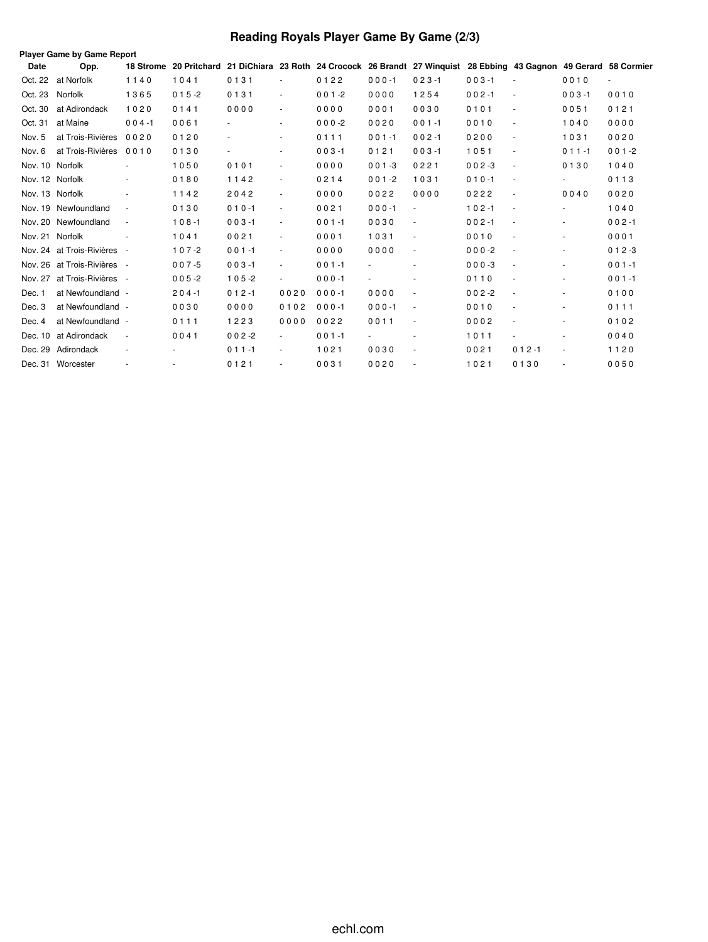# **Reading Royals Player Game By Game (2/3)**

|                 | Player Game by Game Report  |                          |                        |           |                          |           |           |                                                                                               |           |                          |                          |                          |
|-----------------|-----------------------------|--------------------------|------------------------|-----------|--------------------------|-----------|-----------|-----------------------------------------------------------------------------------------------|-----------|--------------------------|--------------------------|--------------------------|
| Date            | Opp.                        |                          | 18 Strome 20 Pritchard |           |                          |           |           | 21 DiChiara 23 Roth 24 Crocock 26 Brandt 27 Winguist 28 Ebbing 43 Gagnon 49 Gerard 58 Cormier |           |                          |                          |                          |
| Oct. 22         | at Norfolk                  | 1140                     | 1041                   | 0131      |                          | 0122      | $000 - 1$ | $023 - 1$                                                                                     | $003 - 1$ | $\sim$                   | 0010                     | $\overline{\phantom{a}}$ |
| Oct. 23         | Norfolk                     | 1365                     | $015 - 2$              | 0131      | $\overline{\phantom{a}}$ | $001 - 2$ | 0000      | 1254                                                                                          | $002 - 1$ | $\blacksquare$           | $003 - 1$                | 0010                     |
| Oct. 30         | at Adirondack               | 1020                     | 0141                   | 0000      | $\sim$                   | 0000      | 0001      | 0030                                                                                          | 0101      | $\blacksquare$           | 0051                     | 0121                     |
| Oct. 31         | at Maine                    | $004 - 1$                | 0061                   |           | $\sim$                   | $000 - 2$ | 0020      | $001 - 1$                                                                                     | 0010      | $\sim$                   | 1040                     | 0000                     |
| Nov. 5          | at Trois-Rivières           | 0020                     | 0120                   |           | $\sim$                   | 0111      | $001 - 1$ | $002 - 1$                                                                                     | 0200      | $\blacksquare$           | 1031                     | 0020                     |
| Nov. 6          | at Trois-Rivières           | 0010                     | 0130                   |           | $\sim$                   | $003 - 1$ | 0121      | $003 - 1$                                                                                     | 1051      | $\blacksquare$           | $011 - 1$                | $001 - 2$                |
| Nov. 10 Norfolk |                             |                          | 1050                   | 0101      | $\sim$                   | 0000      | $001 - 3$ | 0221                                                                                          | $002 - 3$ | $\overline{\phantom{a}}$ | 0130                     | 1040                     |
| Nov. 12 Norfolk |                             | $\overline{\phantom{a}}$ | 0180                   | 1142      | $\sim$                   | 0214      | $001 - 2$ | 1031                                                                                          | $010 - 1$ | $\sim$                   | $\overline{\phantom{a}}$ | 0113                     |
|                 | Nov. 13 Norfolk             | $\overline{\phantom{a}}$ | 1142                   | 2042      | $\overline{\phantom{a}}$ | 0000      | 0022      | 0000                                                                                          | 0222      | $\overline{\phantom{a}}$ | 0040                     | 0020                     |
|                 | Nov. 19 Newfoundland        | $\overline{\phantom{a}}$ | 0130                   | $010 - 1$ | $\sim$                   | 0021      | $000 - 1$ |                                                                                               | $102 - 1$ | $\overline{\phantom{a}}$ | $\overline{\phantom{a}}$ | 1040                     |
|                 | Nov. 20 Newfoundland        | $\overline{\phantom{a}}$ | $108 - 1$              | $003 - 1$ | $\overline{\phantom{a}}$ | $001 - 1$ | 0030      | ÷.                                                                                            | $002 - 1$ | $\overline{\phantom{a}}$ | $\blacksquare$           | $002 - 1$                |
|                 | Nov. 21 Norfolk             |                          | 1041                   | 0021      | $\sim$                   | 0001      | 1031      | $\sim$                                                                                        | 0010      | $\blacksquare$           | $\blacksquare$           | 0001                     |
|                 | Nov. 24 at Trois-Rivières - |                          | $107 - 2$              | $001 - 1$ | $\overline{\phantom{a}}$ | 0000      | 0000      | $\overline{\phantom{a}}$                                                                      | $000-2$   | $\overline{\phantom{a}}$ |                          | $012 - 3$                |
|                 | Nov. 26 at Trois-Rivières - |                          | $007 - 5$              | $003 - 1$ | $\overline{\phantom{a}}$ | $001 - 1$ |           |                                                                                               | $000-3$   | $\overline{\phantom{a}}$ | $\overline{\phantom{a}}$ | $001 - 1$                |
| Nov. 27         | at Trois-Rivières -         |                          | $005 - 2$              | $105 - 2$ |                          | $000 - 1$ |           |                                                                                               | 0110      | $\overline{\phantom{a}}$ | $\overline{\phantom{a}}$ | $001 - 1$                |
| Dec. 1          | at Newfoundland -           |                          | $204 - 1$              | $012 - 1$ | 0020                     | $000 - 1$ | 0000      | $\sim$                                                                                        | $002 - 2$ | $\overline{\phantom{a}}$ |                          | 0100                     |
| Dec. 3          | at Newfoundland -           |                          | 0030                   | 0000      | 0102                     | $000 - 1$ | $000 - 1$ | $\sim$                                                                                        | 0010      | $\blacksquare$           | $\blacksquare$           | 0111                     |
| Dec. 4          | at Newfoundland -           |                          | 0111                   | 1223      | 0000                     | 0022      | 0011      | $\overline{\phantom{a}}$                                                                      | 0002      | $\overline{\phantom{a}}$ | $\sim$                   | 0102                     |
|                 | Dec. 10 at Adirondack       | $\sim$                   | 0041                   | $002 - 2$ | $\sim$                   | $001 - 1$ | $\sim$    | $\overline{\phantom{a}}$                                                                      | 1011      | $\blacksquare$           |                          | 0040                     |
|                 | Dec. 29 Adirondack          | $\overline{\phantom{a}}$ |                        | $011 - 1$ | $\blacksquare$           | 1021      | 0030      | $\overline{\phantom{a}}$                                                                      | 0021      | $012 - 1$                | $\blacksquare$           | 1120                     |
|                 | Dec. 31 Worcester           |                          |                        | 0121      |                          | 0031      | 0020      |                                                                                               | 1021      | 0130                     |                          | 0050                     |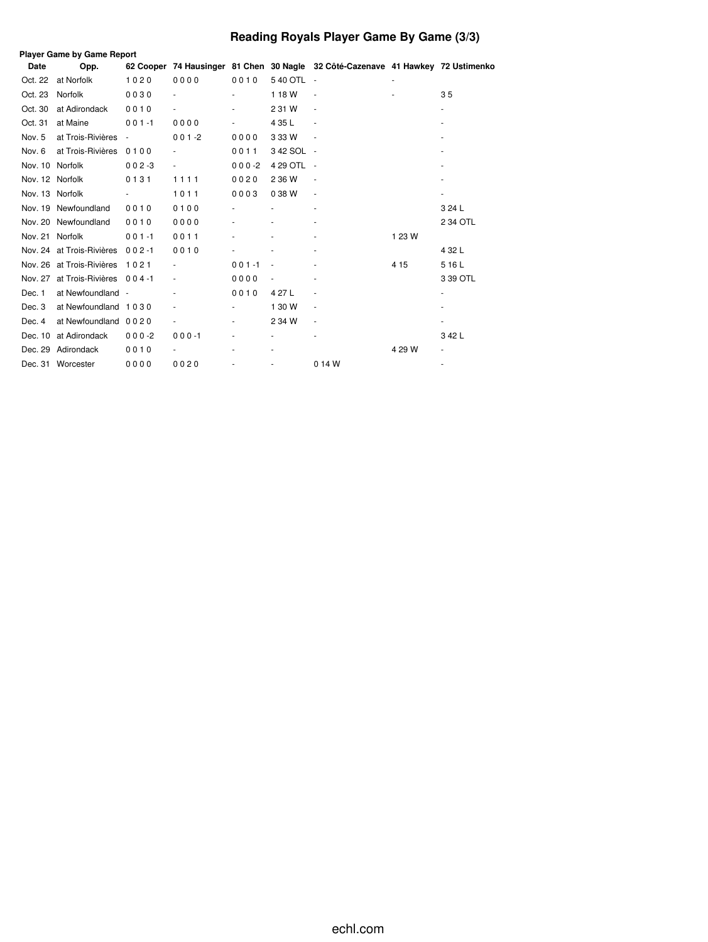# **Reading Royals Player Game By Game (3/3)**

|                 | <b>Player Game by Game Report</b> |                          |               |           |                          |                                                                                 |        |                          |
|-----------------|-----------------------------------|--------------------------|---------------|-----------|--------------------------|---------------------------------------------------------------------------------|--------|--------------------------|
| Date            | Opp.                              |                          |               |           |                          | 62 Cooper 74 Hausinger 81 Chen 30 Nagle 32 Côté-Cazenave 41 Hawkey 72 Ustimenko |        |                          |
| Oct. 22         | at Norfolk                        | 1020                     | 0000          | 0010      | 540 OTL -                |                                                                                 |        |                          |
| Oct. 23         | Norfolk                           | 0030                     |               |           | 118W                     | $\overline{\phantom{a}}$                                                        |        | 35                       |
| Oct. 30         | at Adirondack                     | 0010                     | ۰             |           | 2 31 W                   | $\overline{\phantom{a}}$                                                        |        | $\frac{1}{2}$            |
| Oct. 31         | at Maine                          | $001 - 1$                | 0000          |           | 4 35 L                   | $\overline{\phantom{a}}$                                                        |        |                          |
| Nov. 5          | at Trois-Rivières                 | $\overline{\phantom{a}}$ | $001 - 2$     | 0000      | 3 3 3 W                  | $\sim$                                                                          |        |                          |
| Nov. 6          | at Trois-Rivières                 | 0100                     | $\frac{1}{2}$ | 0011      | 342 SOL -                |                                                                                 |        |                          |
| Nov. 10 Norfolk |                                   | $002 - 3$                | ۰             | $000 - 2$ | 4 29 OTL -               |                                                                                 |        |                          |
| Nov. 12 Norfolk |                                   | 0131                     | 1111          | 0020      | 2 36 W                   | $\overline{\phantom{a}}$                                                        |        |                          |
| Nov. 13 Norfolk |                                   |                          | 1011          | 0003      | 038W                     | $\overline{\phantom{a}}$                                                        |        |                          |
|                 | Nov. 19 Newfoundland              | 0010                     | 0100          |           |                          | $\overline{\phantom{a}}$                                                        |        | 3 24 L                   |
|                 | Nov. 20 Newfoundland              | 0010                     | 0000          |           |                          |                                                                                 |        | 2 34 OTL                 |
| Nov. 21 Norfolk |                                   | $001 - 1$                | 0011          |           |                          |                                                                                 | 1 23 W |                          |
|                 | Nov. 24 at Trois-Rivières         | $002 - 1$                | 0010          |           |                          | $\overline{\phantom{0}}$                                                        |        | 4 3 2 L                  |
|                 | Nov. 26 at Trois-Rivières         | 1021                     |               | $001 - 1$ |                          |                                                                                 | 4 1 5  | 516L                     |
|                 | Nov. 27 at Trois-Rivières 004-1   |                          |               | 0000      |                          |                                                                                 |        | 3 39 OTL                 |
| Dec. 1          | at Newfoundland -                 |                          | ٠             | 0010      | 4 27 L                   | $\overline{\phantom{a}}$                                                        |        | $\overline{\phantom{a}}$ |
| Dec. 3          | at Newfoundland 1030              |                          |               |           | 1 30 W                   | $\overline{\phantom{a}}$                                                        |        |                          |
| Dec. 4          | at Newfoundland 0020              |                          |               |           | 2 34 W                   | $\overline{\phantom{a}}$                                                        |        |                          |
| Dec. 10         | at Adirondack                     | $000 - 2$                | $000 - 1$     |           | $\overline{\phantom{0}}$ | $\overline{\phantom{a}}$                                                        |        | 342L                     |
| Dec. 29         | Adirondack                        | 0010                     |               |           |                          |                                                                                 | 4 29 W |                          |
|                 | Dec. 31 Worcester                 | 0000                     | 0020          |           |                          | 0 14 W                                                                          |        |                          |
|                 |                                   |                          |               |           |                          |                                                                                 |        |                          |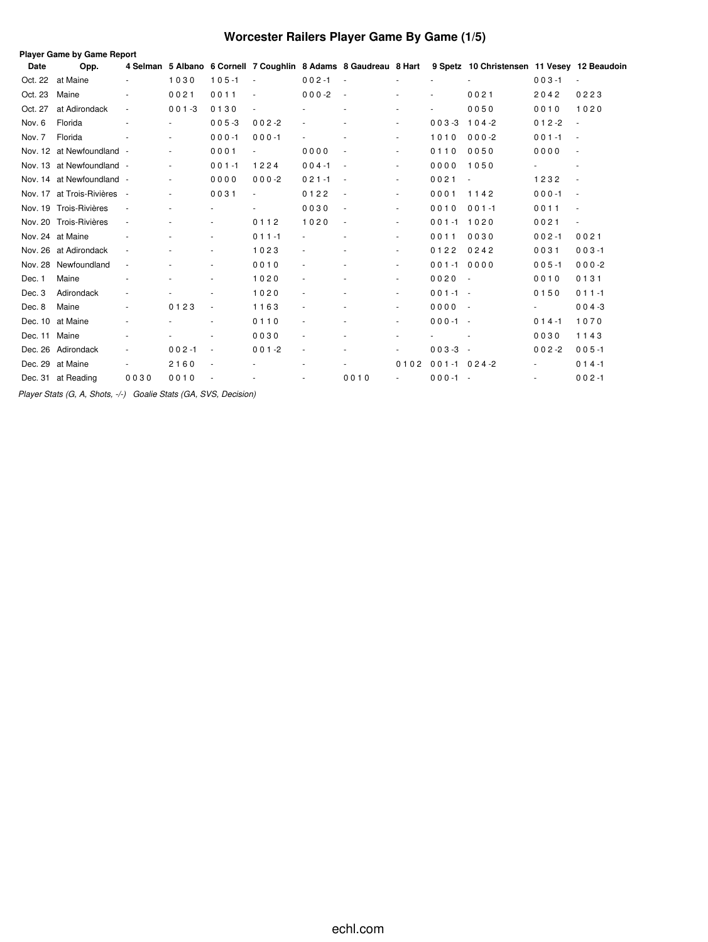# **Worcester Railers Player Game By Game (1/5)**

|             | Player Game by Game Report |                          |                          |                          |           |                          |                                                                  |                          |                  |                                             |           |                          |
|-------------|----------------------------|--------------------------|--------------------------|--------------------------|-----------|--------------------------|------------------------------------------------------------------|--------------------------|------------------|---------------------------------------------|-----------|--------------------------|
| <b>Date</b> | Opp.                       |                          |                          |                          |           |                          | 4 Selman 5 Albano 6 Cornell 7 Coughlin 8 Adams 8 Gaudreau 8 Hart |                          |                  | 9 Spetz 10 Christensen 11 Vesey 12 Beaudoin |           |                          |
| Oct. 22     | at Maine                   | $\overline{\phantom{a}}$ | 1030                     | $105 - 1$                | $\sim$    | $002 - 1$                | $\sim$ $\sim$                                                    |                          |                  |                                             | $003 - 1$ | $\sim$                   |
| Oct. 23     | Maine                      | $\sim$                   | 0021                     | 0011                     |           | $000 -2$                 | $\overline{\phantom{a}}$                                         |                          |                  | 0021                                        | 2042      | 0223                     |
| Oct. 27     | at Adirondack              | $\blacksquare$           | $001 - 3$                | 0130                     |           |                          |                                                                  | $\sim$                   |                  | 0050                                        | 0010      | 1020                     |
| Nov. 6      | Florida                    |                          |                          | $005 - 3$                | $002 - 2$ |                          |                                                                  |                          | $003 - 3$        | $104-2$                                     | $012 - 2$ |                          |
| Nov. 7      | Florida                    |                          |                          | $000 - 1$                | $000 - 1$ |                          |                                                                  |                          | 1010             | $000-2$                                     | $001 - 1$ | $\sim$                   |
| Nov. 12     | at Newfoundland -          |                          |                          | 0001                     |           | 0000                     |                                                                  |                          | 0110             | 0050                                        | 0000      |                          |
|             | Nov. 13 at Newfoundland -  |                          | $\overline{\phantom{a}}$ | $001 - 1$                | 1224      | $004 - 1$                | $\overline{\phantom{a}}$                                         | $\overline{\phantom{a}}$ | 0000             | 1050                                        |           |                          |
|             | Nov. 14 at Newfoundland -  |                          | $\blacksquare$           | 0000                     | $000-2$   | $021 - 1$                | $\overline{\phantom{a}}$                                         | $\sim$                   | 0021             | ÷,                                          | 1232      | $\sim$                   |
| Nov. 17     | at Trois-Rivières -        |                          | $\frac{1}{2}$            | 0031                     |           | 0122                     | $\overline{\phantom{a}}$                                         |                          | 0001             | 1142                                        | $000 - 1$ |                          |
|             | Nov. 19 Trois-Rivières     | $\sim$                   | ٠                        |                          |           | 0030                     | $\overline{\phantom{a}}$                                         | ٠                        | 0010             | $001 - 1$                                   | 0011      | $\overline{\phantom{a}}$ |
|             | Nov. 20 Trois-Rivières     | $\overline{\phantom{a}}$ |                          |                          | 0112      | 1020                     | $\overline{\phantom{a}}$                                         |                          | $001 - 1$        | 1020                                        | 0021      | $\overline{\phantom{a}}$ |
|             | Nov. 24 at Maine           |                          |                          |                          | $011 - 1$ |                          |                                                                  |                          | 0011             | 0030                                        | $002 - 1$ | 0021                     |
| Nov. 26     | at Adirondack              | $\overline{\phantom{a}}$ |                          |                          | 1023      |                          |                                                                  |                          | 0122             | 0242                                        | 0031      | $003 - 1$                |
| Nov. 28     | Newfoundland               | ÷,                       |                          |                          | 0010      |                          |                                                                  | ٠                        | $001 - 1$        | 0000                                        | $005 - 1$ | $000-2$                  |
| Dec. 1      | Maine                      | ٠                        | ٠                        |                          | 1020      | $\sim$                   |                                                                  | ٠                        | 0020             | $\overline{\phantom{a}}$                    | 0010      | 0131                     |
| Dec. 3      | Adirondack                 | $\sim$                   |                          |                          | 1020      | $\overline{\phantom{a}}$ |                                                                  | ٠                        | $001 - 1 -$      |                                             | 0150      | $011 - 1$                |
| Dec. 8      | Maine                      | ä,                       | 0123                     | $\overline{\phantom{a}}$ | 1163      |                          |                                                                  | ٠                        | 0000             | $\sim$                                      |           | $004 - 3$                |
| Dec. 10     | at Maine                   |                          |                          |                          | 0110      |                          |                                                                  | $\frac{1}{2}$            | $000 - 1 -$      |                                             | $014 - 1$ | 1070                     |
| Dec. 11     | Maine                      |                          |                          |                          | 0030      |                          |                                                                  |                          |                  |                                             | 0030      | 1143                     |
| Dec. 26     | Adirondack                 | ÷,                       | $002 - 1$                | ÷,                       | $001 - 2$ | ÷,                       |                                                                  | ٠                        | $003 - 3$        | $\sim$                                      | $002 - 2$ | $005 - 1$                |
| Dec. 29     | at Maine                   | ٠                        | 2160                     | $\overline{\phantom{a}}$ |           | ٠                        |                                                                  | 0102                     | $001 - 1024 - 2$ |                                             |           | $014 - 1$                |
| Dec. 31     | at Reading                 | 0030                     | 0010                     |                          |           |                          | 0010                                                             | $\overline{\phantom{a}}$ | $000 - 1 -$      |                                             |           | $002 - 1$                |
|             |                            |                          |                          |                          |           |                          |                                                                  |                          |                  |                                             |           |                          |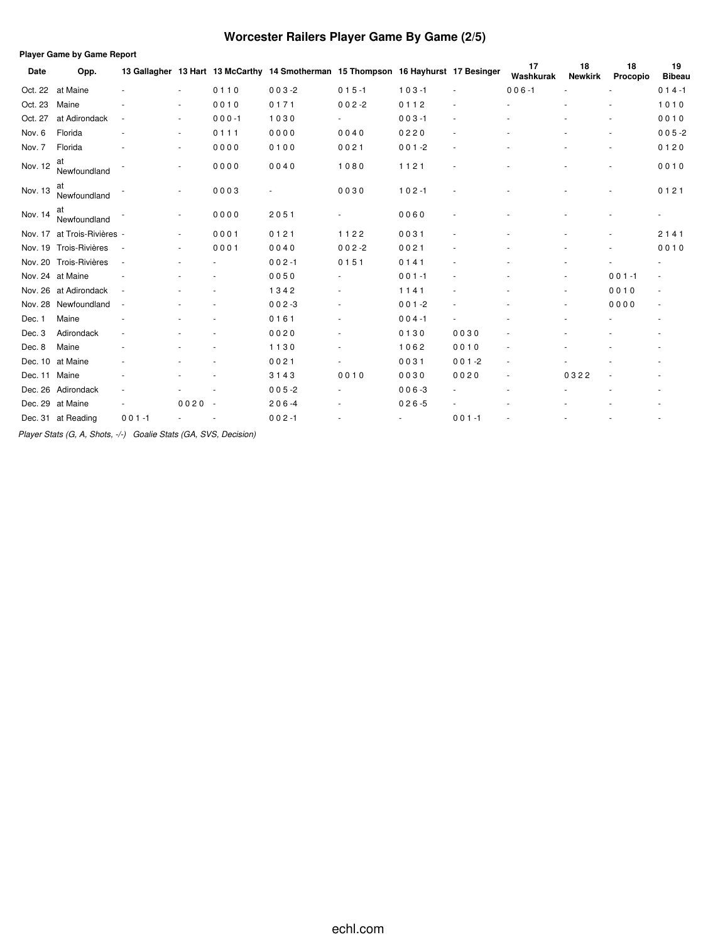# **Worcester Railers Player Game By Game (2/5)**

|         | <b>Player Game by Game Report</b> |                          |          |           |                                                                                    |           |           |                          |                          |                      |                |                     |
|---------|-----------------------------------|--------------------------|----------|-----------|------------------------------------------------------------------------------------|-----------|-----------|--------------------------|--------------------------|----------------------|----------------|---------------------|
| Date    | Opp.                              |                          |          |           | 13 Gallagher 13 Hart 13 McCarthy 14 Smotherman 15 Thompson 16 Hayhurst 17 Besinger |           |           |                          | 17<br>Washkurak          | 18<br><b>Newkirk</b> | 18<br>Procopio | 19<br><b>Bibeau</b> |
| Oct. 22 | at Maine                          |                          | $\sim$   | 0110      | $003 - 2$                                                                          | $015 - 1$ | $103 - 1$ | $\overline{\phantom{a}}$ | $006 - 1$                |                      | ÷.             | $014 - 1$           |
| Oct. 23 | Maine                             |                          | ٠        | 0010      | 0171                                                                               | $002 - 2$ | 0112      |                          |                          |                      |                | 1010                |
| Oct. 27 | at Adirondack                     | $\overline{\phantom{a}}$ | ٠        | $000 - 1$ | 1030                                                                               |           | $003 - 1$ |                          |                          |                      |                | 0010                |
| Nov. 6  | Florida                           |                          | ٠        | 0111      | 0000                                                                               | 0040      | 0220      |                          |                          |                      |                | $005 - 2$           |
| Nov. 7  | Florida                           |                          |          | 0000      | 0100                                                                               | 0021      | $001 - 2$ |                          |                          |                      |                | 0120                |
| Nov. 12 | at<br>Newfoundland                |                          |          | 0000      | 0040                                                                               | 1080      | 1121      |                          |                          |                      |                | 0010                |
| Nov. 13 | at<br>Newfoundland                |                          |          | 0003      |                                                                                    | 0030      | $102 - 1$ |                          |                          |                      |                | 0121                |
| Nov. 14 | at<br>Newfoundland                |                          |          | 0000      | 2051                                                                               |           | 0060      |                          |                          |                      |                |                     |
|         | Nov. 17 at Trois-Rivières -       |                          | ٠        | 0001      | 0121                                                                               | 1122      | 0031      |                          |                          |                      |                | 2141                |
|         | Nov. 19 Trois-Rivières            | $\sim$                   |          | 0001      | 0040                                                                               | $002 - 2$ | 0021      |                          |                          |                      |                | 0010                |
|         | Nov. 20 Trois-Rivières            | $\overline{\phantom{a}}$ |          |           | $002 - 1$                                                                          | 0151      | 0141      |                          |                          |                      |                |                     |
| Nov. 24 | at Maine                          |                          |          |           | 0050                                                                               |           | $001 - 1$ |                          |                          |                      | $001 - 1$      | $\sim$              |
|         | Nov. 26 at Adirondack             | $\sim$                   |          |           | 1342                                                                               |           | 1141      |                          |                          | ٠                    | 0010           | $\sim$              |
| Nov. 28 | Newfoundland                      |                          |          |           | $002 - 3$                                                                          |           | $001 - 2$ |                          |                          |                      | 0000           | ٠                   |
| Dec. 1  | Maine                             |                          |          |           | 0161                                                                               |           | $004 - 1$ |                          |                          |                      |                |                     |
| Dec. 3  | Adirondack                        |                          |          |           | 0020                                                                               |           | 0130      | 0030                     |                          |                      |                |                     |
| Dec. 8  | Maine                             |                          |          |           | 1130                                                                               |           | 1062      | 0010                     |                          |                      |                |                     |
| Dec. 10 | at Maine                          |                          |          |           | 0021                                                                               |           | 0031      | $001 - 2$                | $\overline{\phantom{a}}$ |                      |                |                     |
| Dec. 11 | Maine                             |                          |          |           | 3143                                                                               | 0010      | 0030      | 0020                     |                          | 0322                 |                |                     |
| Dec. 26 | Adirondack                        |                          |          |           | $005 - 2$                                                                          |           | $006 - 3$ |                          |                          |                      |                |                     |
|         | Dec. 29 at Maine                  |                          | $0020 -$ |           | $206 - 4$                                                                          |           | $026 - 5$ |                          |                          |                      |                |                     |
|         | Dec. 31 at Reading                | $001 - 1$                |          |           | $002 - 1$                                                                          |           | ٠         | $001 - 1$                |                          |                      |                |                     |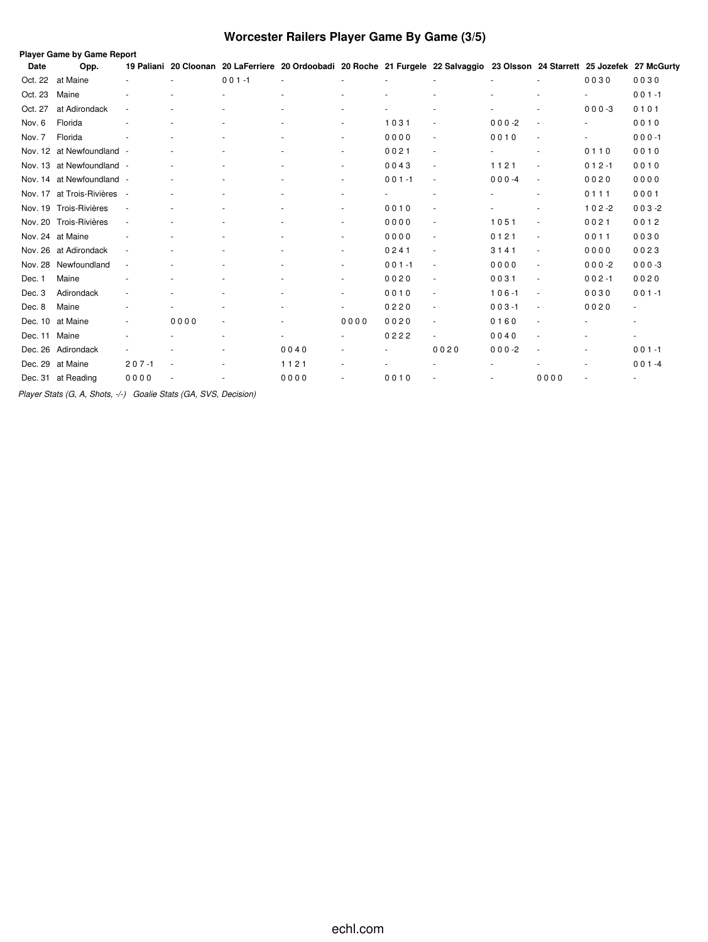# **Worcester Railers Player Game By Game (3/5)**

|         | Player Game by Game Report |           |      |           |                                                                                                                               |                          |           |        |           |                          |                          |                |
|---------|----------------------------|-----------|------|-----------|-------------------------------------------------------------------------------------------------------------------------------|--------------------------|-----------|--------|-----------|--------------------------|--------------------------|----------------|
| Date    | Opp.                       |           |      |           | 19 Paliani 20 Cloonan 20 LaFerriere 20 Ordoobadi 20 Roche 21 Furgele 22 Salvaggio 23 Olsson 24 Starrett 25 Jozefek 27 McGurty |                          |           |        |           |                          |                          |                |
| Oct. 22 | at Maine                   |           |      | $001 - 1$ |                                                                                                                               |                          |           |        |           | $\sim$                   | 0030                     | 0030           |
| Oct. 23 | Maine                      |           |      |           |                                                                                                                               |                          |           |        |           |                          |                          | $001 - 1$      |
| Oct. 27 | at Adirondack              |           |      |           |                                                                                                                               |                          |           |        |           |                          | $000 - 3$                | 0101           |
| Nov. 6  | Florida                    |           |      |           |                                                                                                                               | $\overline{\phantom{a}}$ | 1031      |        | $000-2$   | $\overline{\phantom{a}}$ | $\overline{\phantom{a}}$ | 0010           |
| Nov. 7  | Florida                    |           |      |           |                                                                                                                               | $\overline{\phantom{a}}$ | 0000      | $\sim$ | 0010      | $\sim$                   |                          | $000 - 1$      |
|         | Nov. 12 at Newfoundland -  |           |      |           |                                                                                                                               | $\overline{\phantom{a}}$ | 0021      | $\sim$ |           | $\overline{\phantom{a}}$ | 0110                     | 0010           |
|         | Nov. 13 at Newfoundland -  |           |      |           |                                                                                                                               | $\overline{\phantom{a}}$ | 0043      |        | 1121      | $\sim$                   | $012 - 1$                | 0010           |
|         | Nov. 14 at Newfoundland    |           |      |           |                                                                                                                               | ٠                        | $001 - 1$ |        | $000 -4$  | $\overline{\phantom{a}}$ | 0020                     | 0000           |
|         | Nov. 17 at Trois-Rivières  |           |      |           |                                                                                                                               |                          |           |        |           |                          | 0111                     | 0001           |
|         | Nov. 19 Trois-Rivières     |           |      |           |                                                                                                                               | ٠                        | 0010      |        |           | $\sim$                   | $102 - 2$                | $003 - 2$      |
|         | Nov. 20 Trois-Rivières     | ٠         |      |           |                                                                                                                               | ٠                        | 0000      | $\sim$ | 1051      | $\sim$                   | 0021                     | 0012           |
|         | Nov. 24 at Maine           |           |      |           |                                                                                                                               | ٠                        | 0000      |        | 0121      | $\sim$                   | 0011                     | 0030           |
|         | Nov. 26 at Adirondack      |           |      |           |                                                                                                                               | $\sim$                   | 0241      |        | 3141      | $\overline{\phantom{a}}$ | 0000                     | 0023           |
| Nov. 28 | Newfoundland               | ÷,        |      |           |                                                                                                                               | $\overline{\phantom{a}}$ | $001 - 1$ | $\sim$ | 0000      | $\sim$                   | $000-2$                  | $000 - 3$      |
| Dec. 1  | Maine                      |           |      |           |                                                                                                                               | $\sim$                   | 0020      | $\sim$ | 0031      | $\sim$                   | $002 - 1$                | 0020           |
| Dec. 3  | Adirondack                 |           |      |           |                                                                                                                               | ٠                        | 0010      |        | $106 - 1$ | $\sim$                   | 0030                     | $001 - 1$      |
| Dec. 8  | Maine                      |           |      |           |                                                                                                                               |                          | 0220      |        | $003 - 1$ | $\overline{\phantom{a}}$ | 0020                     | $\blacksquare$ |
| Dec. 10 | at Maine                   |           | 0000 | ٠         |                                                                                                                               | 0000                     | 0020      |        | 0160      | $\overline{\phantom{a}}$ |                          | $\blacksquare$ |
| Dec. 11 | Maine                      |           |      |           |                                                                                                                               | $\overline{\phantom{a}}$ | 0222      |        | 0040      | $\sim$                   |                          | $\blacksquare$ |
|         | Dec. 26 Adirondack         |           |      |           | 0040                                                                                                                          |                          |           | 0020   | $000 -2$  |                          |                          | $001 - 1$      |
|         | Dec. 29 at Maine           | $207 - 1$ |      |           | 1121                                                                                                                          | ٠                        |           |        |           |                          |                          | $001 - 4$      |
|         | Dec. 31 at Reading         | 0000      |      |           | 0000                                                                                                                          | $\sim$                   | 0010      |        |           | 0000                     |                          |                |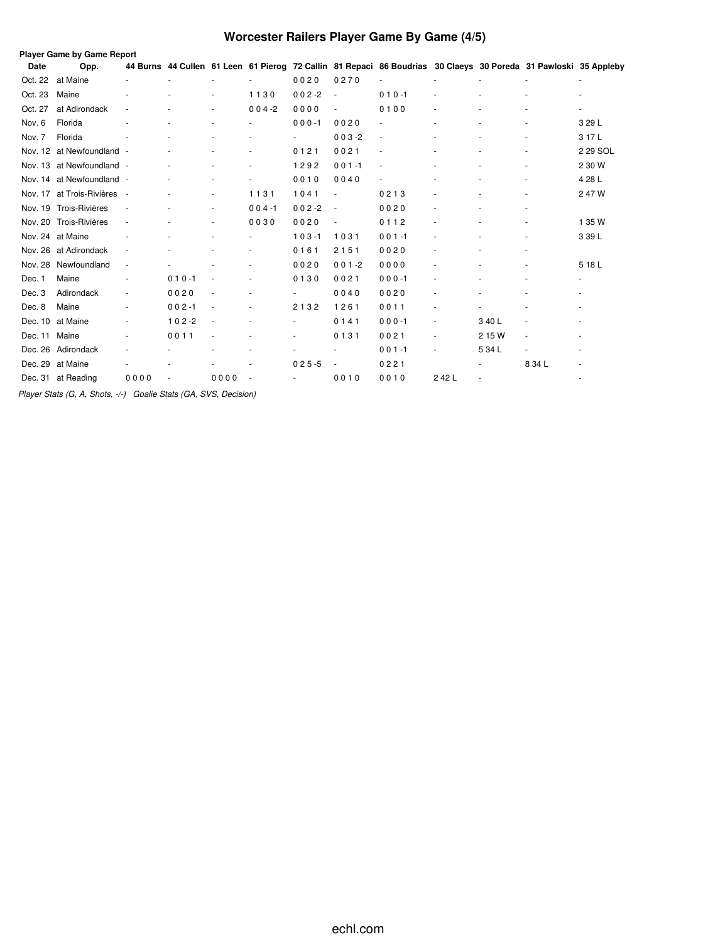# **Worcester Railers Player Game By Game (4/5)**

|             | <b>Player Game by Game Report</b> |                          |           |        |                          |                          |           |                                                                                                                 |      |        |        |                |
|-------------|-----------------------------------|--------------------------|-----------|--------|--------------------------|--------------------------|-----------|-----------------------------------------------------------------------------------------------------------------|------|--------|--------|----------------|
| <b>Date</b> | Opp.                              |                          |           |        |                          |                          |           | 44 Burns 44 Cullen 61 Leen 61 Pierog 72 Callin 81 Repaci 86 Boudrias 30 Claeys 30 Poreda 31 Pawloski 35 Appleby |      |        |        |                |
| Oct. 22     | at Maine                          |                          |           |        |                          | 0020                     | 0270      |                                                                                                                 |      |        |        | $\sim$         |
| Oct. 23     | Maine                             |                          |           |        | 1130                     | $002 - 2$                |           | $010 - 1$                                                                                                       |      |        |        |                |
| Oct. 27     | at Adirondack                     |                          |           |        | $004 - 2$                | 0000                     |           | 0100                                                                                                            |      |        |        | $\blacksquare$ |
| Nov. 6      | Florida                           |                          |           |        |                          | $000 - 1$                | 0020      |                                                                                                                 |      |        |        | 3 29 L         |
| Nov. 7      | Florida                           |                          |           |        |                          |                          | $003 - 2$ |                                                                                                                 |      |        |        | 317L           |
| Nov. 12     | at Newfoundland                   |                          |           |        | ٠                        | 0121                     | 0021      |                                                                                                                 |      |        |        | 2 29 SOL       |
|             | Nov. 13 at Newfoundland           | $\overline{\phantom{a}}$ |           |        | ٠                        | 1292                     | $001 - 1$ |                                                                                                                 |      |        |        | 2 30 W         |
|             | Nov. 14 at Newfoundland           |                          |           |        | ٠                        | 0010                     | 0040      |                                                                                                                 |      |        |        | 4 28 L         |
| Nov. 17     | at Trois-Rivières                 | $\overline{\phantom{a}}$ |           |        | 1131                     | 1041                     |           | 0213                                                                                                            |      |        |        | 247W           |
|             | Nov. 19 Trois-Rivières            |                          |           |        | $004 - 1$                | $002 - 2$                | $\sim$    | 0020                                                                                                            |      |        |        |                |
| Nov. 20     | Trois-Rivières                    | $\overline{\phantom{a}}$ |           |        | 0030                     | 0020                     |           | 0112                                                                                                            |      |        |        | 1 35 W         |
|             | Nov. 24 at Maine                  |                          |           |        |                          | $103 - 1$                | 1031      | $001 - 1$                                                                                                       |      |        |        | 3 39 L         |
|             | Nov. 26 at Adirondack             | $\overline{\phantom{a}}$ |           |        | ÷,                       | 0161                     | 2151      | 0020                                                                                                            |      |        |        |                |
| Nov. 28     | Newfoundland                      | ÷,                       |           |        |                          | 0020                     | $001 - 2$ | 0000                                                                                                            |      |        |        | 5 18 L         |
| Dec. 1      | Maine                             |                          | $010 - 1$ |        |                          | 0130                     | 0021      | $000 - 1$                                                                                                       |      |        |        |                |
| Dec. 3      | Adirondack                        | ä,                       | 0020      |        | ÷,                       |                          | 0040      | 0020                                                                                                            |      |        |        |                |
| Dec. 8      | Maine                             | ٠                        | $002 - 1$ |        | $\bar{\phantom{a}}$      | 2132                     | 1261      | 0011                                                                                                            |      |        |        |                |
| Dec. 10     | at Maine                          | ÷,                       | $102 - 2$ | $\sim$ | $\sim$                   | $\overline{\phantom{0}}$ | 0141      | $000 - 1$                                                                                                       |      | 3 40 L |        |                |
| Dec. 11     | Maine                             |                          | 0011      |        | ٠                        |                          | 0131      | 0021                                                                                                            |      | 2 15 W |        |                |
| Dec. 26     | Adirondack                        |                          |           |        |                          |                          |           | $001 - 1$                                                                                                       |      | 5 34 L |        |                |
| Dec. 29     | at Maine                          |                          |           |        |                          | $025 - 5$                |           | 0221                                                                                                            |      |        | 8 34 L |                |
|             | Dec. 31 at Reading                | 0000                     |           | 0000   | $\overline{\phantom{a}}$ |                          | 0010      | 0010                                                                                                            | 242L |        |        |                |
|             |                                   |                          |           |        |                          |                          |           |                                                                                                                 |      |        |        |                |